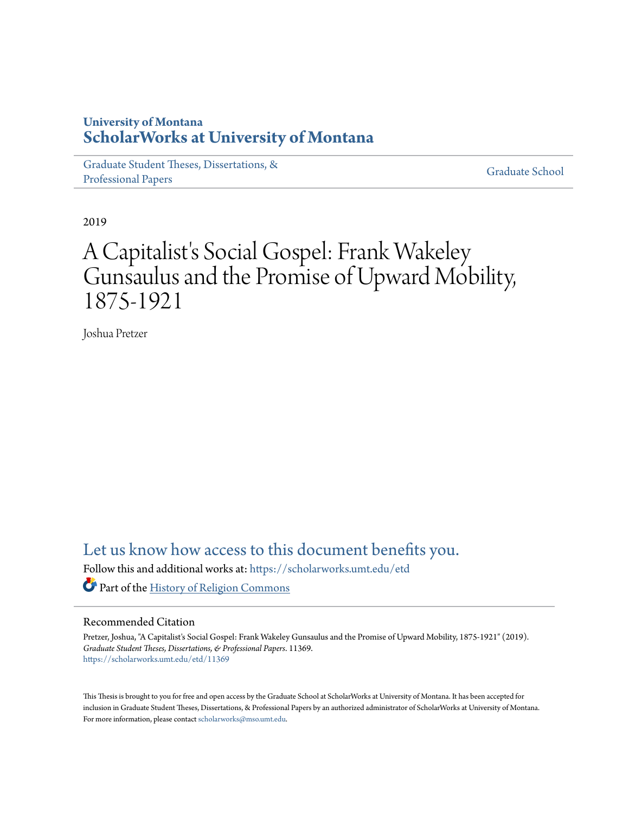### **University of Montana [ScholarWorks at University of Montana](https://scholarworks.umt.edu?utm_source=scholarworks.umt.edu%2Fetd%2F11369&utm_medium=PDF&utm_campaign=PDFCoverPages)**

[Graduate Student Theses, Dissertations, &](https://scholarworks.umt.edu/etd?utm_source=scholarworks.umt.edu%2Fetd%2F11369&utm_medium=PDF&utm_campaign=PDFCoverPages) [Professional Papers](https://scholarworks.umt.edu/etd?utm_source=scholarworks.umt.edu%2Fetd%2F11369&utm_medium=PDF&utm_campaign=PDFCoverPages)

[Graduate School](https://scholarworks.umt.edu/grad?utm_source=scholarworks.umt.edu%2Fetd%2F11369&utm_medium=PDF&utm_campaign=PDFCoverPages)

2019

# A Capitalist's Social Gospel: Frank Wakeley Gunsaulus and the Promise of Upward Mobility, 1875-1921

Joshua Pretzer

## [Let us know how access to this document benefits you.](https://goo.gl/forms/s2rGfXOLzz71qgsB2)

Follow this and additional works at: [https://scholarworks.umt.edu/etd](https://scholarworks.umt.edu/etd?utm_source=scholarworks.umt.edu%2Fetd%2F11369&utm_medium=PDF&utm_campaign=PDFCoverPages)

Part of the [History of Religion Commons](http://network.bepress.com/hgg/discipline/499?utm_source=scholarworks.umt.edu%2Fetd%2F11369&utm_medium=PDF&utm_campaign=PDFCoverPages)

#### Recommended Citation

Pretzer, Joshua, "A Capitalist's Social Gospel: Frank Wakeley Gunsaulus and the Promise of Upward Mobility, 1875-1921" (2019). *Graduate Student Theses, Dissertations, & Professional Papers*. 11369. [https://scholarworks.umt.edu/etd/11369](https://scholarworks.umt.edu/etd/11369?utm_source=scholarworks.umt.edu%2Fetd%2F11369&utm_medium=PDF&utm_campaign=PDFCoverPages)

This Thesis is brought to you for free and open access by the Graduate School at ScholarWorks at University of Montana. It has been accepted for inclusion in Graduate Student Theses, Dissertations, & Professional Papers by an authorized administrator of ScholarWorks at University of Montana. For more information, please contact [scholarworks@mso.umt.edu](mailto:scholarworks@mso.umt.edu).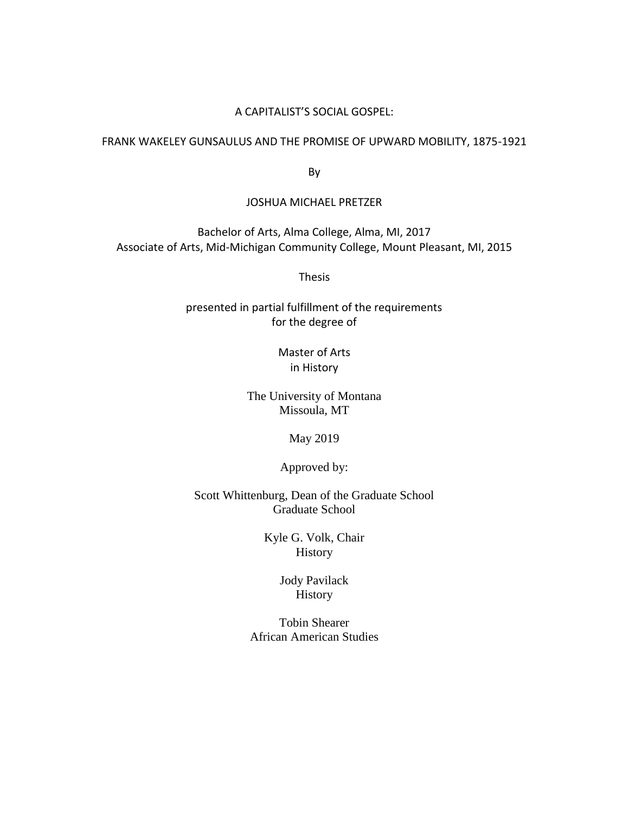#### A CAPITALIST'S SOCIAL GOSPEL:

### FRANK WAKELEY GUNSAULUS AND THE PROMISE OF UPWARD MOBILITY, 1875-1921

By

#### JOSHUA MICHAEL PRETZER

Bachelor of Arts, Alma College, Alma, MI, 2017 Associate of Arts, Mid-Michigan Community College, Mount Pleasant, MI, 2015

Thesis

presented in partial fulfillment of the requirements for the degree of

> Master of Arts in History

The University of Montana Missoula, MT

May 2019

Approved by:

Scott Whittenburg, Dean of the Graduate School Graduate School

> Kyle G. Volk, Chair **History**

> > Jody Pavilack History

Tobin Shearer African American Studies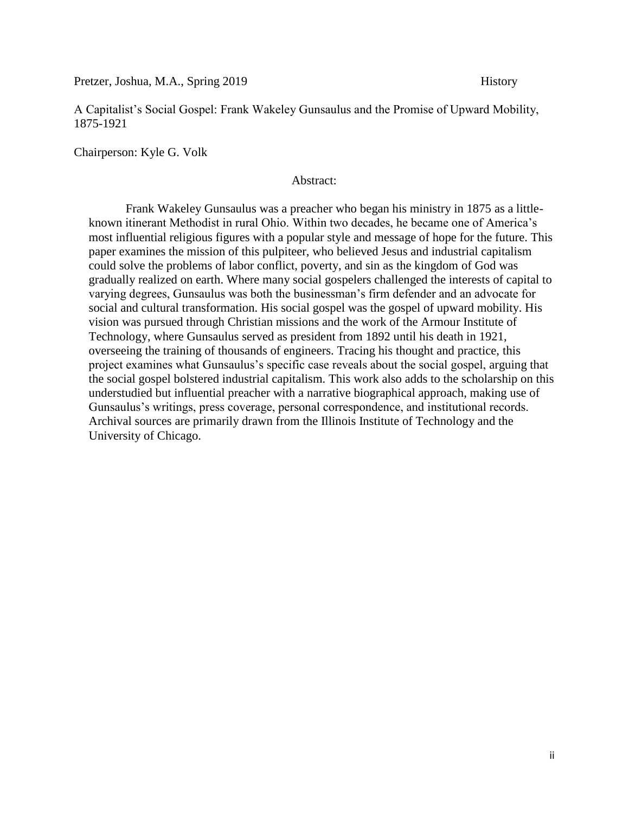Pretzer, Joshua, M.A., Spring 2019 **History** 

A Capitalist's Social Gospel: Frank Wakeley Gunsaulus and the Promise of Upward Mobility, 1875-1921

Chairperson: Kyle G. Volk

#### Abstract:

Frank Wakeley Gunsaulus was a preacher who began his ministry in 1875 as a littleknown itinerant Methodist in rural Ohio. Within two decades, he became one of America's most influential religious figures with a popular style and message of hope for the future. This paper examines the mission of this pulpiteer, who believed Jesus and industrial capitalism could solve the problems of labor conflict, poverty, and sin as the kingdom of God was gradually realized on earth. Where many social gospelers challenged the interests of capital to varying degrees, Gunsaulus was both the businessman's firm defender and an advocate for social and cultural transformation. His social gospel was the gospel of upward mobility. His vision was pursued through Christian missions and the work of the Armour Institute of Technology, where Gunsaulus served as president from 1892 until his death in 1921, overseeing the training of thousands of engineers. Tracing his thought and practice, this project examines what Gunsaulus's specific case reveals about the social gospel, arguing that the social gospel bolstered industrial capitalism. This work also adds to the scholarship on this understudied but influential preacher with a narrative biographical approach, making use of Gunsaulus's writings, press coverage, personal correspondence, and institutional records. Archival sources are primarily drawn from the Illinois Institute of Technology and the University of Chicago.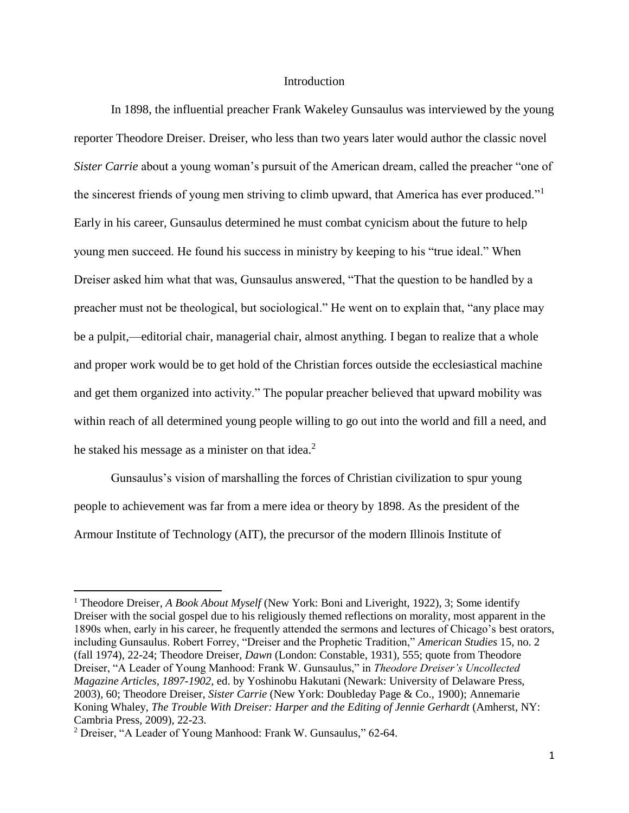#### **Introduction**

In 1898, the influential preacher Frank Wakeley Gunsaulus was interviewed by the young reporter Theodore Dreiser. Dreiser, who less than two years later would author the classic novel *Sister Carrie* about a young woman's pursuit of the American dream, called the preacher "one of the sincerest friends of young men striving to climb upward, that America has ever produced." Early in his career, Gunsaulus determined he must combat cynicism about the future to help young men succeed. He found his success in ministry by keeping to his "true ideal." When Dreiser asked him what that was, Gunsaulus answered, "That the question to be handled by a preacher must not be theological, but sociological." He went on to explain that, "any place may be a pulpit,—editorial chair, managerial chair, almost anything. I began to realize that a whole and proper work would be to get hold of the Christian forces outside the ecclesiastical machine and get them organized into activity." The popular preacher believed that upward mobility was within reach of all determined young people willing to go out into the world and fill a need, and he staked his message as a minister on that idea. $2^2$ 

Gunsaulus's vision of marshalling the forces of Christian civilization to spur young people to achievement was far from a mere idea or theory by 1898. As the president of the Armour Institute of Technology (AIT), the precursor of the modern Illinois Institute of

<sup>1</sup> Theodore Dreiser, *A Book About Myself* (New York: Boni and Liveright, 1922), 3; Some identify Dreiser with the social gospel due to his religiously themed reflections on morality, most apparent in the 1890s when, early in his career, he frequently attended the sermons and lectures of Chicago's best orators, including Gunsaulus. Robert Forrey, "Dreiser and the Prophetic Tradition," *American Studies* 15, no. 2 (fall 1974), 22-24; Theodore Dreiser, *Dawn* (London: Constable, 1931), 555; quote from Theodore Dreiser, "A Leader of Young Manhood: Frank W. Gunsaulus," in *Theodore Dreiser's Uncollected Magazine Articles, 1897-1902*, ed. by Yoshinobu Hakutani (Newark: University of Delaware Press, 2003), 60; Theodore Dreiser, *Sister Carrie* (New York: Doubleday Page & Co., 1900); Annemarie Koning Whaley, *The Trouble With Dreiser: Harper and the Editing of Jennie Gerhardt* (Amherst, NY: Cambria Press, 2009), 22-23.

<sup>2</sup> Dreiser, "A Leader of Young Manhood: Frank W. Gunsaulus," 62-64.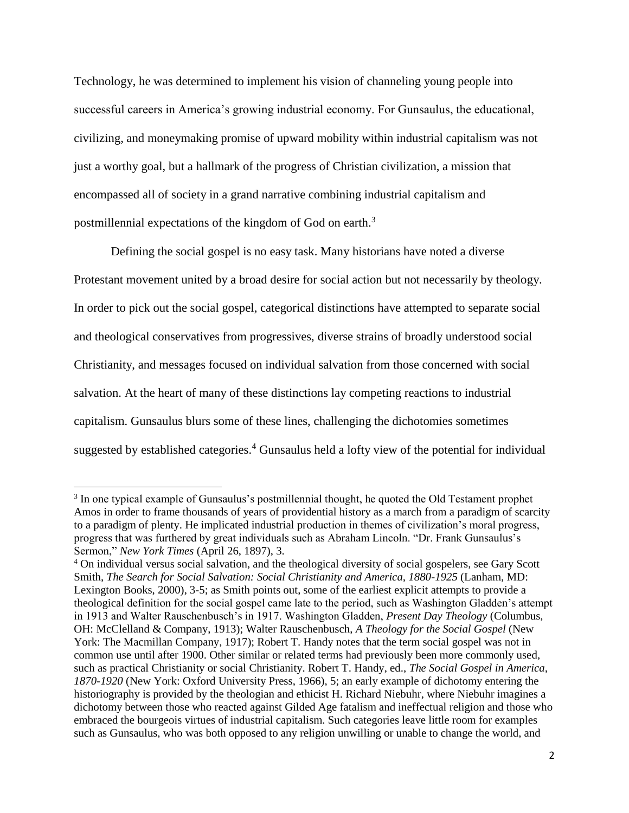Technology, he was determined to implement his vision of channeling young people into successful careers in America's growing industrial economy. For Gunsaulus, the educational, civilizing, and moneymaking promise of upward mobility within industrial capitalism was not just a worthy goal, but a hallmark of the progress of Christian civilization, a mission that encompassed all of society in a grand narrative combining industrial capitalism and postmillennial expectations of the kingdom of God on earth.<sup>3</sup>

Defining the social gospel is no easy task. Many historians have noted a diverse Protestant movement united by a broad desire for social action but not necessarily by theology. In order to pick out the social gospel, categorical distinctions have attempted to separate social and theological conservatives from progressives, diverse strains of broadly understood social Christianity, and messages focused on individual salvation from those concerned with social salvation. At the heart of many of these distinctions lay competing reactions to industrial capitalism. Gunsaulus blurs some of these lines, challenging the dichotomies sometimes suggested by established categories.<sup>4</sup> Gunsaulus held a lofty view of the potential for individual

<sup>&</sup>lt;sup>3</sup> In one typical example of Gunsaulus's postmillennial thought, he quoted the Old Testament prophet Amos in order to frame thousands of years of providential history as a march from a paradigm of scarcity to a paradigm of plenty. He implicated industrial production in themes of civilization's moral progress, progress that was furthered by great individuals such as Abraham Lincoln. "Dr. Frank Gunsaulus's Sermon," *New York Times* (April 26, 1897), 3.

<sup>4</sup> On individual versus social salvation, and the theological diversity of social gospelers, see Gary Scott Smith, *The Search for Social Salvation: Social Christianity and America, 1880-1925* (Lanham, MD: Lexington Books, 2000), 3-5; as Smith points out, some of the earliest explicit attempts to provide a theological definition for the social gospel came late to the period, such as Washington Gladden's attempt in 1913 and Walter Rauschenbusch's in 1917. Washington Gladden, *Present Day Theology* (Columbus, OH: McClelland & Company, 1913); Walter Rauschenbusch, *A Theology for the Social Gospel* (New York: The Macmillan Company, 1917); Robert T. Handy notes that the term social gospel was not in common use until after 1900. Other similar or related terms had previously been more commonly used, such as practical Christianity or social Christianity. Robert T. Handy, ed., *The Social Gospel in America, 1870-1920* (New York: Oxford University Press, 1966), 5; an early example of dichotomy entering the historiography is provided by the theologian and ethicist H. Richard Niebuhr, where Niebuhr imagines a dichotomy between those who reacted against Gilded Age fatalism and ineffectual religion and those who embraced the bourgeois virtues of industrial capitalism. Such categories leave little room for examples such as Gunsaulus, who was both opposed to any religion unwilling or unable to change the world, and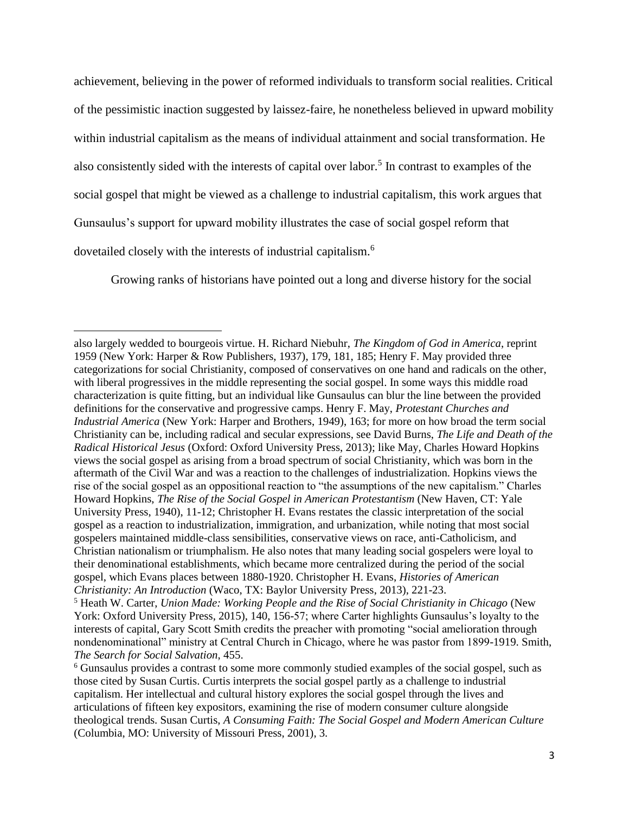achievement, believing in the power of reformed individuals to transform social realities. Critical of the pessimistic inaction suggested by laissez-faire, he nonetheless believed in upward mobility within industrial capitalism as the means of individual attainment and social transformation. He also consistently sided with the interests of capital over labor.<sup>5</sup> In contrast to examples of the social gospel that might be viewed as a challenge to industrial capitalism, this work argues that Gunsaulus's support for upward mobility illustrates the case of social gospel reform that dovetailed closely with the interests of industrial capitalism.<sup>6</sup>

Growing ranks of historians have pointed out a long and diverse history for the social

also largely wedded to bourgeois virtue. H. Richard Niebuhr, *The Kingdom of God in America*, reprint 1959 (New York: Harper & Row Publishers, 1937), 179, 181, 185; Henry F. May provided three categorizations for social Christianity, composed of conservatives on one hand and radicals on the other, with liberal progressives in the middle representing the social gospel. In some ways this middle road characterization is quite fitting, but an individual like Gunsaulus can blur the line between the provided definitions for the conservative and progressive camps. Henry F. May, *Protestant Churches and Industrial America* (New York: Harper and Brothers, 1949), 163; for more on how broad the term social Christianity can be, including radical and secular expressions, see David Burns, *The Life and Death of the Radical Historical Jesus* (Oxford: Oxford University Press, 2013); like May, Charles Howard Hopkins views the social gospel as arising from a broad spectrum of social Christianity, which was born in the aftermath of the Civil War and was a reaction to the challenges of industrialization. Hopkins views the rise of the social gospel as an oppositional reaction to "the assumptions of the new capitalism." Charles Howard Hopkins, *The Rise of the Social Gospel in American Protestantism* (New Haven, CT: Yale University Press, 1940), 11-12; Christopher H. Evans restates the classic interpretation of the social gospel as a reaction to industrialization, immigration, and urbanization, while noting that most social gospelers maintained middle-class sensibilities, conservative views on race, anti-Catholicism, and Christian nationalism or triumphalism. He also notes that many leading social gospelers were loyal to their denominational establishments, which became more centralized during the period of the social gospel, which Evans places between 1880-1920. Christopher H. Evans, *Histories of American Christianity: An Introduction* (Waco, TX: Baylor University Press, 2013), 221-23.

<sup>5</sup> Heath W. Carter, *Union Made: Working People and the Rise of Social Christianity in Chicago* (New York: Oxford University Press, 2015), 140, 156-57; where Carter highlights Gunsaulus's loyalty to the interests of capital, Gary Scott Smith credits the preacher with promoting "social amelioration through nondenominational" ministry at Central Church in Chicago, where he was pastor from 1899-1919. Smith, *The Search for Social Salvation*, 455.

<sup>6</sup> Gunsaulus provides a contrast to some more commonly studied examples of the social gospel, such as those cited by Susan Curtis. Curtis interprets the social gospel partly as a challenge to industrial capitalism. Her intellectual and cultural history explores the social gospel through the lives and articulations of fifteen key expositors, examining the rise of modern consumer culture alongside theological trends. Susan Curtis, *A Consuming Faith: The Social Gospel and Modern American Culture* (Columbia, MO: University of Missouri Press, 2001), 3.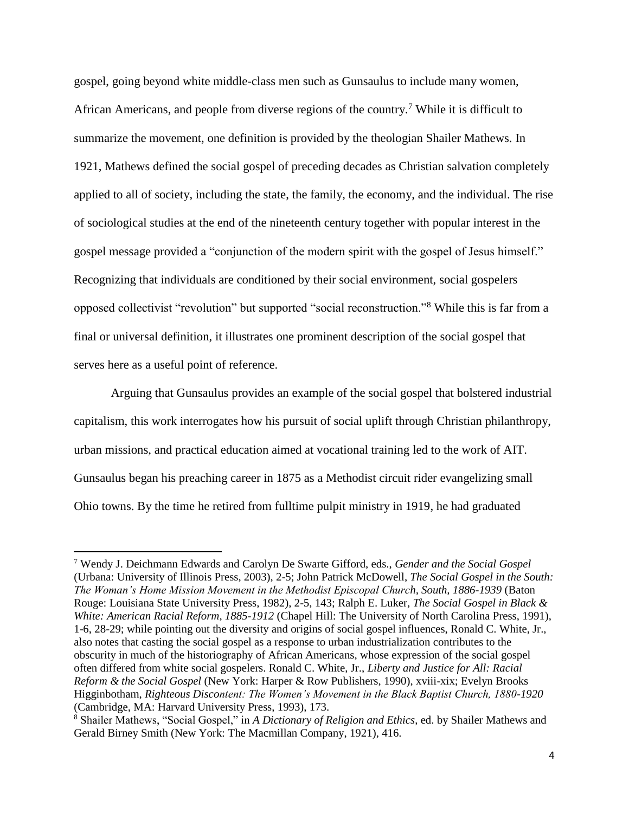gospel, going beyond white middle-class men such as Gunsaulus to include many women, African Americans, and people from diverse regions of the country.<sup>7</sup> While it is difficult to summarize the movement, one definition is provided by the theologian Shailer Mathews. In 1921, Mathews defined the social gospel of preceding decades as Christian salvation completely applied to all of society, including the state, the family, the economy, and the individual. The rise of sociological studies at the end of the nineteenth century together with popular interest in the gospel message provided a "conjunction of the modern spirit with the gospel of Jesus himself." Recognizing that individuals are conditioned by their social environment, social gospelers opposed collectivist "revolution" but supported "social reconstruction."<sup>8</sup> While this is far from a final or universal definition, it illustrates one prominent description of the social gospel that serves here as a useful point of reference.

Arguing that Gunsaulus provides an example of the social gospel that bolstered industrial capitalism, this work interrogates how his pursuit of social uplift through Christian philanthropy, urban missions, and practical education aimed at vocational training led to the work of AIT. Gunsaulus began his preaching career in 1875 as a Methodist circuit rider evangelizing small Ohio towns. By the time he retired from fulltime pulpit ministry in 1919, he had graduated

 $\overline{a}$ 

<sup>7</sup> Wendy J. Deichmann Edwards and Carolyn De Swarte Gifford, eds., *Gender and the Social Gospel* (Urbana: University of Illinois Press, 2003), 2-5; John Patrick McDowell, *The Social Gospel in the South: The Woman's Home Mission Movement in the Methodist Episcopal Church, South, 1886-1939* (Baton Rouge: Louisiana State University Press, 1982), 2-5, 143; Ralph E. Luker, *The Social Gospel in Black & White: American Racial Reform, 1885-1912* (Chapel Hill: The University of North Carolina Press, 1991), 1-6, 28-29; while pointing out the diversity and origins of social gospel influences, Ronald C. White, Jr., also notes that casting the social gospel as a response to urban industrialization contributes to the obscurity in much of the historiography of African Americans, whose expression of the social gospel often differed from white social gospelers. Ronald C. White, Jr., *Liberty and Justice for All: Racial Reform & the Social Gospel* (New York: Harper & Row Publishers, 1990), xviii-xix; Evelyn Brooks Higginbotham, *Righteous Discontent: The Women's Movement in the Black Baptist Church, 1880-1920* (Cambridge, MA: Harvard University Press, 1993), 173.

<sup>8</sup> Shailer Mathews, "Social Gospel," in *A Dictionary of Religion and Ethics*, ed. by Shailer Mathews and Gerald Birney Smith (New York: The Macmillan Company, 1921), 416.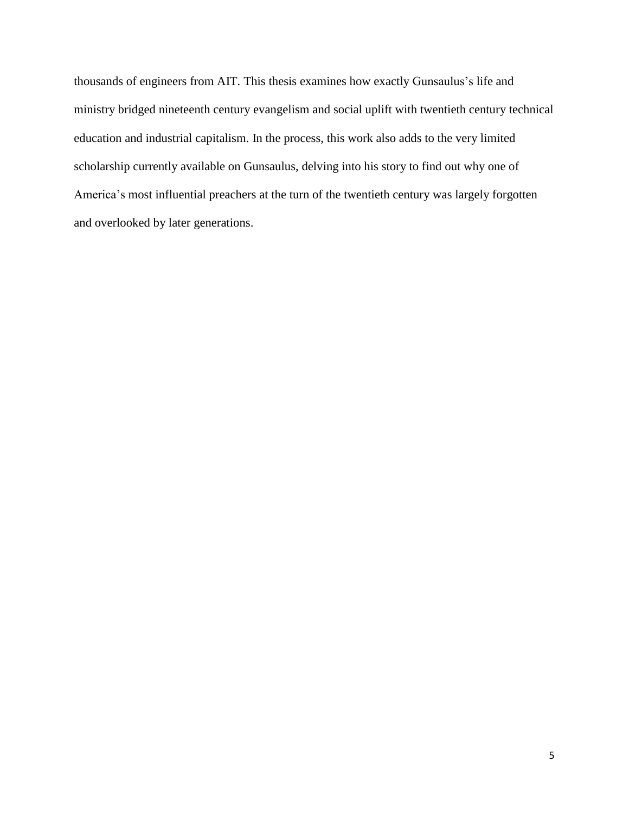thousands of engineers from AIT. This thesis examines how exactly Gunsaulus's life and ministry bridged nineteenth century evangelism and social uplift with twentieth century technical education and industrial capitalism. In the process, this work also adds to the very limited scholarship currently available on Gunsaulus, delving into his story to find out why one of America's most influential preachers at the turn of the twentieth century was largely forgotten and overlooked by later generations.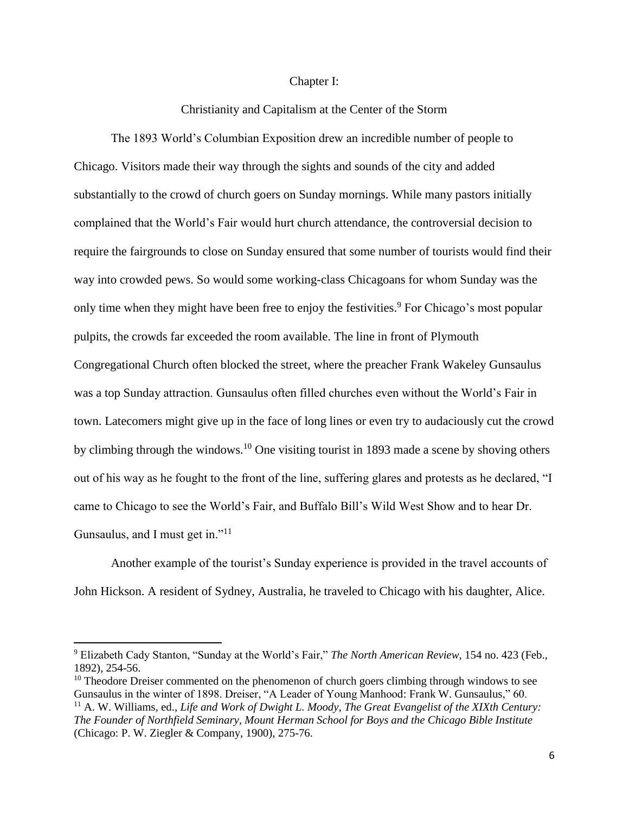#### Chapter I:

#### Christianity and Capitalism at the Center of the Storm

The 1893 World's Columbian Exposition drew an incredible number of people to Chicago. Visitors made their way through the sights and sounds of the city and added substantially to the crowd of church goers on Sunday mornings. While many pastors initially complained that the World's Fair would hurt church attendance, the controversial decision to require the fairgrounds to close on Sunday ensured that some number of tourists would find their way into crowded pews. So would some working-class Chicagoans for whom Sunday was the only time when they might have been free to enjoy the festivities.<sup>9</sup> For Chicago's most popular pulpits, the crowds far exceeded the room available. The line in front of Plymouth Congregational Church often blocked the street, where the preacher Frank Wakeley Gunsaulus was a top Sunday attraction. Gunsaulus often filled churches even without the World's Fair in town. Latecomers might give up in the face of long lines or even try to audaciously cut the crowd by climbing through the windows.<sup>10</sup> One visiting tourist in 1893 made a scene by shoving others out of his way as he fought to the front of the line, suffering glares and protests as he declared, "I came to Chicago to see the World's Fair, and Buffalo Bill's Wild West Show and to hear Dr. Gunsaulus, and I must get in."<sup>11</sup>

Another example of the tourist's Sunday experience is provided in the travel accounts of John Hickson. A resident of Sydney, Australia, he traveled to Chicago with his daughter, Alice.

<sup>9</sup> Elizabeth Cady Stanton, "Sunday at the World's Fair," *The North American Review*, 154 no. 423 (Feb., 1892), 254-56.

 $10$  Theodore Dreiser commented on the phenomenon of church goers climbing through windows to see Gunsaulus in the winter of 1898. Dreiser, "A Leader of Young Manhood: Frank W. Gunsaulus," 60.

<sup>11</sup> A. W. Williams, ed., *Life and Work of Dwight L. Moody, The Great Evangelist of the XIXth Century: The Founder of Northfield Seminary, Mount Herman School for Boys and the Chicago Bible Institute* (Chicago: P. W. Ziegler & Company, 1900), 275-76.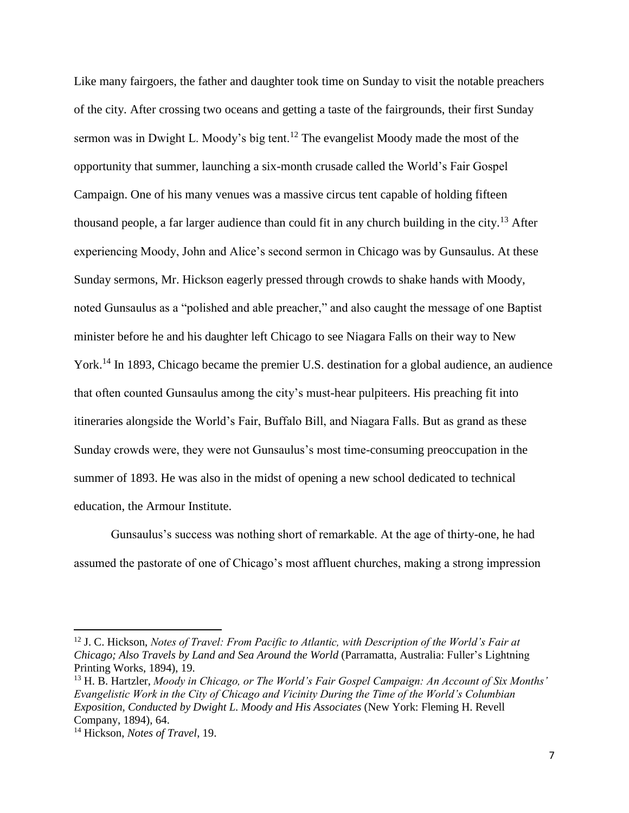Like many fairgoers, the father and daughter took time on Sunday to visit the notable preachers of the city. After crossing two oceans and getting a taste of the fairgrounds, their first Sunday sermon was in Dwight L. Moody's big tent.<sup>12</sup> The evangelist Moody made the most of the opportunity that summer, launching a six-month crusade called the World's Fair Gospel Campaign. One of his many venues was a massive circus tent capable of holding fifteen thousand people, a far larger audience than could fit in any church building in the city.<sup>13</sup> After experiencing Moody, John and Alice's second sermon in Chicago was by Gunsaulus. At these Sunday sermons, Mr. Hickson eagerly pressed through crowds to shake hands with Moody, noted Gunsaulus as a "polished and able preacher," and also caught the message of one Baptist minister before he and his daughter left Chicago to see Niagara Falls on their way to New York.<sup>14</sup> In 1893, Chicago became the premier U.S. destination for a global audience, an audience that often counted Gunsaulus among the city's must-hear pulpiteers. His preaching fit into itineraries alongside the World's Fair, Buffalo Bill, and Niagara Falls. But as grand as these Sunday crowds were, they were not Gunsaulus's most time-consuming preoccupation in the summer of 1893. He was also in the midst of opening a new school dedicated to technical education, the Armour Institute.

Gunsaulus's success was nothing short of remarkable. At the age of thirty-one, he had assumed the pastorate of one of Chicago's most affluent churches, making a strong impression

<sup>&</sup>lt;sup>12</sup> J. C. Hickson, *Notes of Travel: From Pacific to Atlantic, with Description of the World's Fair at Chicago; Also Travels by Land and Sea Around the World* (Parramatta, Australia: Fuller's Lightning Printing Works, 1894), 19.

<sup>13</sup> H. B. Hartzler, *Moody in Chicago, or The World's Fair Gospel Campaign: An Account of Six Months' Evangelistic Work in the City of Chicago and Vicinity During the Time of the World's Columbian Exposition, Conducted by Dwight L. Moody and His Associates* (New York: Fleming H. Revell Company, 1894), 64.

<sup>14</sup> Hickson, *Notes of Travel*, 19.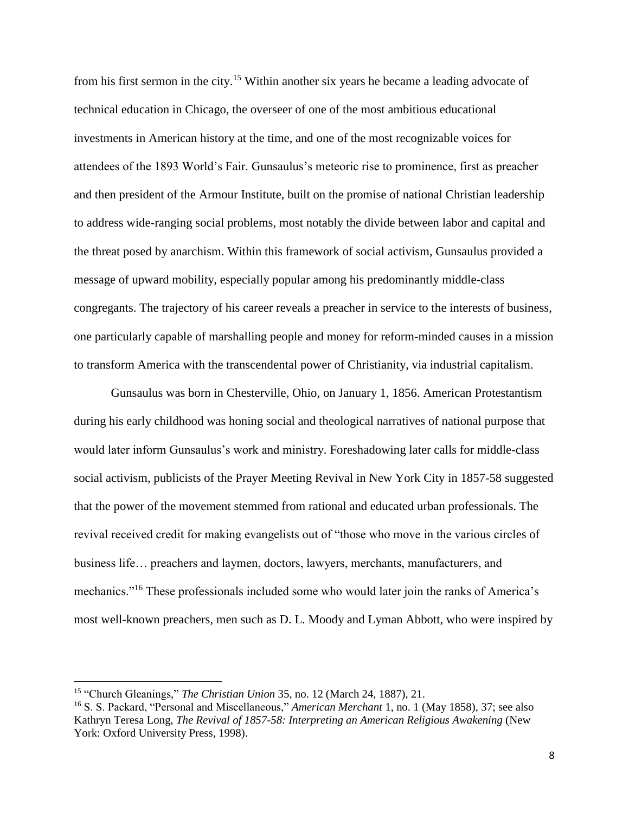from his first sermon in the city.<sup>15</sup> Within another six years he became a leading advocate of technical education in Chicago, the overseer of one of the most ambitious educational investments in American history at the time, and one of the most recognizable voices for attendees of the 1893 World's Fair. Gunsaulus's meteoric rise to prominence, first as preacher and then president of the Armour Institute, built on the promise of national Christian leadership to address wide-ranging social problems, most notably the divide between labor and capital and the threat posed by anarchism. Within this framework of social activism, Gunsaulus provided a message of upward mobility, especially popular among his predominantly middle-class congregants. The trajectory of his career reveals a preacher in service to the interests of business, one particularly capable of marshalling people and money for reform-minded causes in a mission to transform America with the transcendental power of Christianity, via industrial capitalism.

Gunsaulus was born in Chesterville, Ohio, on January 1, 1856. American Protestantism during his early childhood was honing social and theological narratives of national purpose that would later inform Gunsaulus's work and ministry. Foreshadowing later calls for middle-class social activism, publicists of the Prayer Meeting Revival in New York City in 1857-58 suggested that the power of the movement stemmed from rational and educated urban professionals. The revival received credit for making evangelists out of "those who move in the various circles of business life… preachers and laymen, doctors, lawyers, merchants, manufacturers, and mechanics."<sup>16</sup> These professionals included some who would later join the ranks of America's most well-known preachers, men such as D. L. Moody and Lyman Abbott, who were inspired by

<sup>15</sup> "Church Gleanings," *The Christian Union* 35, no. 12 (March 24, 1887), 21.

<sup>16</sup> S. S. Packard, "Personal and Miscellaneous," *American Merchant* 1, no. 1 (May 1858), 37; see also Kathryn Teresa Long, *The Revival of 1857-58: Interpreting an American Religious Awakening* (New York: Oxford University Press, 1998).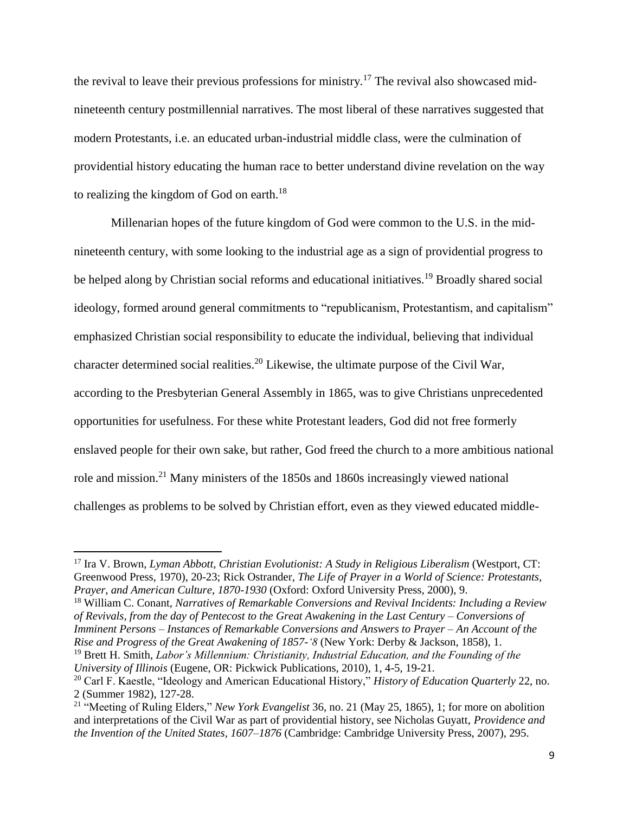the revival to leave their previous professions for ministry.<sup>17</sup> The revival also showcased midnineteenth century postmillennial narratives. The most liberal of these narratives suggested that modern Protestants, i.e. an educated urban-industrial middle class, were the culmination of providential history educating the human race to better understand divine revelation on the way to realizing the kingdom of God on earth.<sup>18</sup>

Millenarian hopes of the future kingdom of God were common to the U.S. in the midnineteenth century, with some looking to the industrial age as a sign of providential progress to be helped along by Christian social reforms and educational initiatives.<sup>19</sup> Broadly shared social ideology, formed around general commitments to "republicanism, Protestantism, and capitalism" emphasized Christian social responsibility to educate the individual, believing that individual character determined social realities.<sup>20</sup> Likewise, the ultimate purpose of the Civil War, according to the Presbyterian General Assembly in 1865, was to give Christians unprecedented opportunities for usefulness. For these white Protestant leaders, God did not free formerly enslaved people for their own sake, but rather, God freed the church to a more ambitious national role and mission.<sup>21</sup> Many ministers of the 1850s and 1860s increasingly viewed national challenges as problems to be solved by Christian effort, even as they viewed educated middle-

 $\overline{a}$ 

<sup>18</sup> William C. Conant, *Narratives of Remarkable Conversions and Revival Incidents: Including a Review of Revivals, from the day of Pentecost to the Great Awakening in the Last Century – Conversions of Imminent Persons – Instances of Remarkable Conversions and Answers to Prayer – An Account of the Rise and Progress of the Great Awakening of 1857-'8* (New York: Derby & Jackson, 1858), 1.

<sup>19</sup> Brett H. Smith, *Labor's Millennium: Christianity, Industrial Education, and the Founding of the University of Illinois* (Eugene, OR: Pickwick Publications, 2010), 1, 4-5, 19-21.

<sup>17</sup> Ira V. Brown, *Lyman Abbott, Christian Evolutionist: A Study in Religious Liberalism* (Westport, CT: Greenwood Press, 1970), 20-23; Rick Ostrander, *The Life of Prayer in a World of Science: Protestants, Prayer, and American Culture, 1870-1930* (Oxford: Oxford University Press, 2000), 9.

<sup>20</sup> Carl F. Kaestle, "Ideology and American Educational History," *History of Education Quarterly* 22, no. 2 (Summer 1982), 127-28.

<sup>21</sup> "Meeting of Ruling Elders," *New York Evangelist* 36, no. 21 (May 25, 1865), 1; for more on abolition and interpretations of the Civil War as part of providential history, see Nicholas Guyatt, *Providence and the Invention of the United States, 1607–1876* (Cambridge: Cambridge University Press, 2007), 295.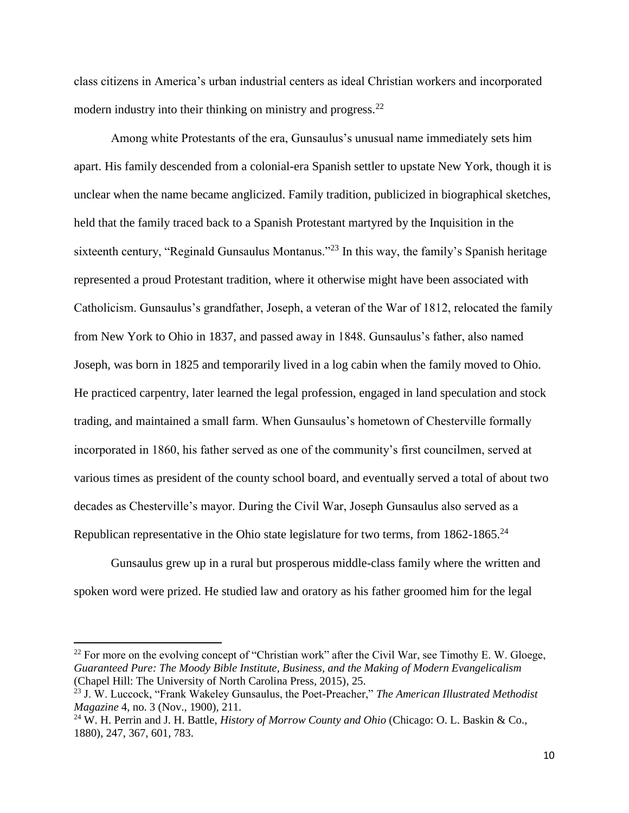class citizens in America's urban industrial centers as ideal Christian workers and incorporated modern industry into their thinking on ministry and progress.<sup>22</sup>

Among white Protestants of the era, Gunsaulus's unusual name immediately sets him apart. His family descended from a colonial-era Spanish settler to upstate New York, though it is unclear when the name became anglicized. Family tradition, publicized in biographical sketches, held that the family traced back to a Spanish Protestant martyred by the Inquisition in the sixteenth century, "Reginald Gunsaulus Montanus."<sup>23</sup> In this way, the family's Spanish heritage represented a proud Protestant tradition, where it otherwise might have been associated with Catholicism. Gunsaulus's grandfather, Joseph, a veteran of the War of 1812, relocated the family from New York to Ohio in 1837, and passed away in 1848. Gunsaulus's father, also named Joseph, was born in 1825 and temporarily lived in a log cabin when the family moved to Ohio. He practiced carpentry, later learned the legal profession, engaged in land speculation and stock trading, and maintained a small farm. When Gunsaulus's hometown of Chesterville formally incorporated in 1860, his father served as one of the community's first councilmen, served at various times as president of the county school board, and eventually served a total of about two decades as Chesterville's mayor. During the Civil War, Joseph Gunsaulus also served as a Republican representative in the Ohio state legislature for two terms, from 1862-1865.<sup>24</sup>

Gunsaulus grew up in a rural but prosperous middle-class family where the written and spoken word were prized. He studied law and oratory as his father groomed him for the legal

<sup>&</sup>lt;sup>22</sup> For more on the evolving concept of "Christian work" after the Civil War, see Timothy E. W. Gloege, *Guaranteed Pure: The Moody Bible Institute, Business, and the Making of Modern Evangelicalism*  (Chapel Hill: The University of North Carolina Press, 2015), 25.

<sup>23</sup> J. W. Luccock, "Frank Wakeley Gunsaulus, the Poet-Preacher," *The American Illustrated Methodist Magazine* 4, no. 3 (Nov., 1900), 211.

<sup>24</sup> W. H. Perrin and J. H. Battle, *History of Morrow County and Ohio* (Chicago: O. L. Baskin & Co., 1880), 247, 367, 601, 783.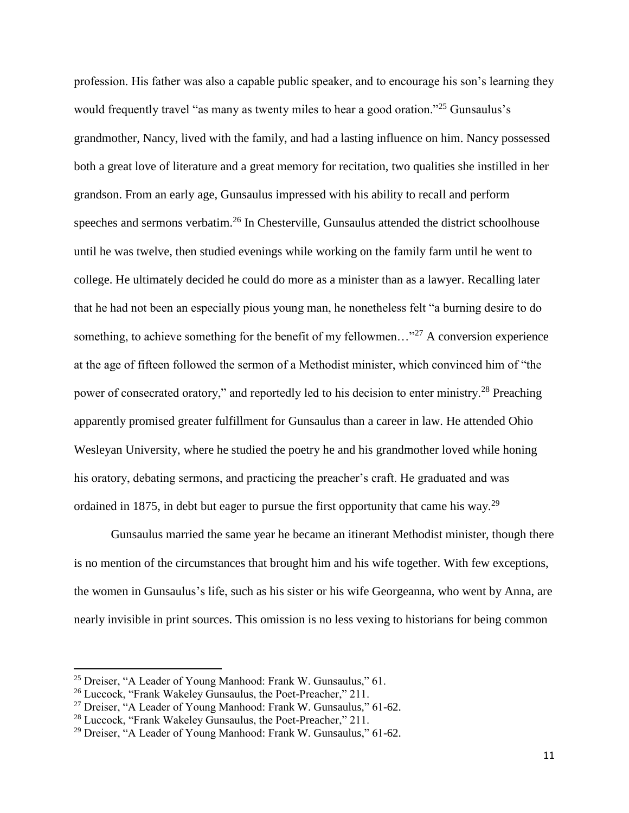profession. His father was also a capable public speaker, and to encourage his son's learning they would frequently travel "as many as twenty miles to hear a good oration."<sup>25</sup> Gunsaulus's grandmother, Nancy, lived with the family, and had a lasting influence on him. Nancy possessed both a great love of literature and a great memory for recitation, two qualities she instilled in her grandson. From an early age, Gunsaulus impressed with his ability to recall and perform speeches and sermons verbatim.<sup>26</sup> In Chesterville, Gunsaulus attended the district schoolhouse until he was twelve, then studied evenings while working on the family farm until he went to college. He ultimately decided he could do more as a minister than as a lawyer. Recalling later that he had not been an especially pious young man, he nonetheless felt "a burning desire to do something, to achieve something for the benefit of my fellowmen..."<sup>27</sup> A conversion experience at the age of fifteen followed the sermon of a Methodist minister, which convinced him of "the power of consecrated oratory," and reportedly led to his decision to enter ministry.<sup>28</sup> Preaching apparently promised greater fulfillment for Gunsaulus than a career in law. He attended Ohio Wesleyan University, where he studied the poetry he and his grandmother loved while honing his oratory, debating sermons, and practicing the preacher's craft. He graduated and was ordained in 1875, in debt but eager to pursue the first opportunity that came his way.<sup>29</sup>

Gunsaulus married the same year he became an itinerant Methodist minister, though there is no mention of the circumstances that brought him and his wife together. With few exceptions, the women in Gunsaulus's life, such as his sister or his wife Georgeanna, who went by Anna, are nearly invisible in print sources. This omission is no less vexing to historians for being common

<sup>&</sup>lt;sup>25</sup> Dreiser, "A Leader of Young Manhood: Frank W. Gunsaulus," 61.

<sup>26</sup> Luccock, "Frank Wakeley Gunsaulus, the Poet-Preacher," 211.

<sup>27</sup> Dreiser, "A Leader of Young Manhood: Frank W. Gunsaulus," 61-62.

<sup>28</sup> Luccock, "Frank Wakeley Gunsaulus, the Poet-Preacher," 211.

<sup>&</sup>lt;sup>29</sup> Dreiser, "A Leader of Young Manhood: Frank W. Gunsaulus," 61-62.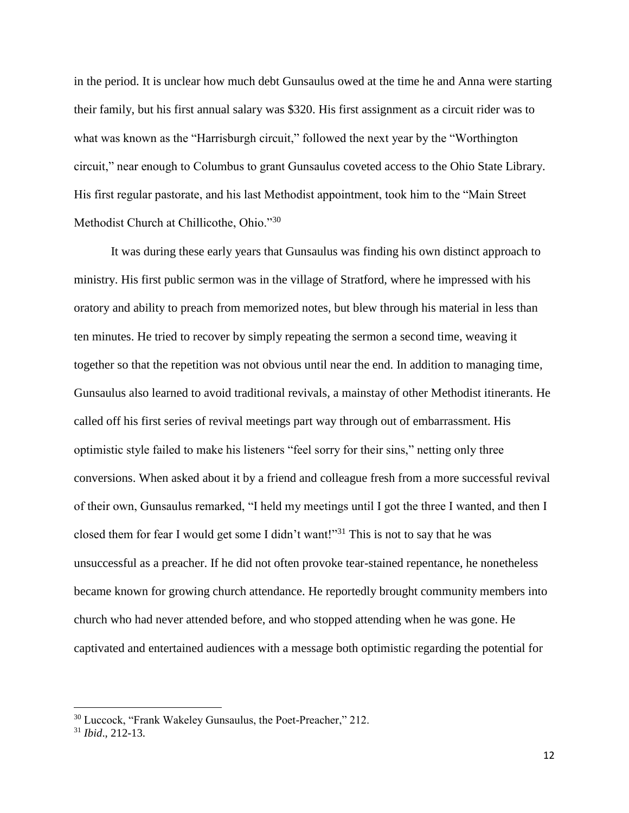in the period. It is unclear how much debt Gunsaulus owed at the time he and Anna were starting their family, but his first annual salary was \$320. His first assignment as a circuit rider was to what was known as the "Harrisburgh circuit," followed the next year by the "Worthington circuit," near enough to Columbus to grant Gunsaulus coveted access to the Ohio State Library. His first regular pastorate, and his last Methodist appointment, took him to the "Main Street Methodist Church at Chillicothe, Ohio."30

It was during these early years that Gunsaulus was finding his own distinct approach to ministry. His first public sermon was in the village of Stratford, where he impressed with his oratory and ability to preach from memorized notes, but blew through his material in less than ten minutes. He tried to recover by simply repeating the sermon a second time, weaving it together so that the repetition was not obvious until near the end. In addition to managing time, Gunsaulus also learned to avoid traditional revivals, a mainstay of other Methodist itinerants. He called off his first series of revival meetings part way through out of embarrassment. His optimistic style failed to make his listeners "feel sorry for their sins," netting only three conversions. When asked about it by a friend and colleague fresh from a more successful revival of their own, Gunsaulus remarked, "I held my meetings until I got the three I wanted, and then I closed them for fear I would get some I didn't want!"<sup>31</sup> This is not to say that he was unsuccessful as a preacher. If he did not often provoke tear-stained repentance, he nonetheless became known for growing church attendance. He reportedly brought community members into church who had never attended before, and who stopped attending when he was gone. He captivated and entertained audiences with a message both optimistic regarding the potential for

 $\overline{a}$ 

<sup>30</sup> Luccock, "Frank Wakeley Gunsaulus, the Poet-Preacher," 212.

<sup>31</sup> *Ibid*., 212-13.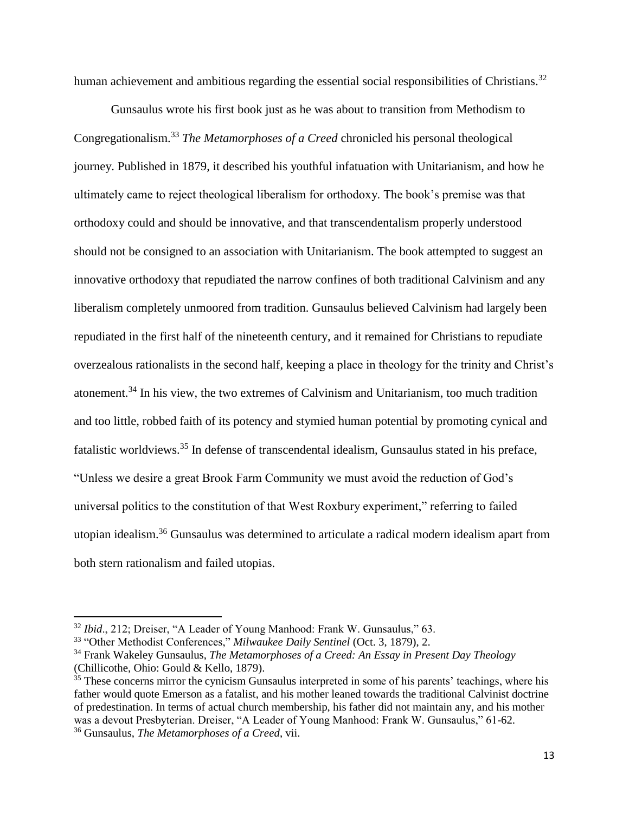human achievement and ambitious regarding the essential social responsibilities of Christians.<sup>32</sup>

Gunsaulus wrote his first book just as he was about to transition from Methodism to Congregationalism.<sup>33</sup> *The Metamorphoses of a Creed* chronicled his personal theological journey. Published in 1879, it described his youthful infatuation with Unitarianism, and how he ultimately came to reject theological liberalism for orthodoxy. The book's premise was that orthodoxy could and should be innovative, and that transcendentalism properly understood should not be consigned to an association with Unitarianism. The book attempted to suggest an innovative orthodoxy that repudiated the narrow confines of both traditional Calvinism and any liberalism completely unmoored from tradition. Gunsaulus believed Calvinism had largely been repudiated in the first half of the nineteenth century, and it remained for Christians to repudiate overzealous rationalists in the second half, keeping a place in theology for the trinity and Christ's atonement.<sup>34</sup> In his view, the two extremes of Calvinism and Unitarianism, too much tradition and too little, robbed faith of its potency and stymied human potential by promoting cynical and fatalistic worldviews.<sup>35</sup> In defense of transcendental idealism, Gunsaulus stated in his preface, "Unless we desire a great Brook Farm Community we must avoid the reduction of God's universal politics to the constitution of that West Roxbury experiment," referring to failed utopian idealism.<sup>36</sup> Gunsaulus was determined to articulate a radical modern idealism apart from both stern rationalism and failed utopias.

<sup>32</sup> *Ibid*., 212; Dreiser, "A Leader of Young Manhood: Frank W. Gunsaulus," 63.

<sup>33</sup> "Other Methodist Conferences," *Milwaukee Daily Sentinel* (Oct. 3, 1879), 2.

<sup>34</sup> Frank Wakeley Gunsaulus, *The Metamorphoses of a Creed: An Essay in Present Day Theology* (Chillicothe, Ohio: Gould & Kello, 1879).

<sup>&</sup>lt;sup>35</sup> These concerns mirror the cynicism Gunsaulus interpreted in some of his parents' teachings, where his father would quote Emerson as a fatalist, and his mother leaned towards the traditional Calvinist doctrine of predestination. In terms of actual church membership, his father did not maintain any, and his mother was a devout Presbyterian. Dreiser, "A Leader of Young Manhood: Frank W. Gunsaulus," 61-62.

<sup>36</sup> Gunsaulus, *The Metamorphoses of a Creed*, vii.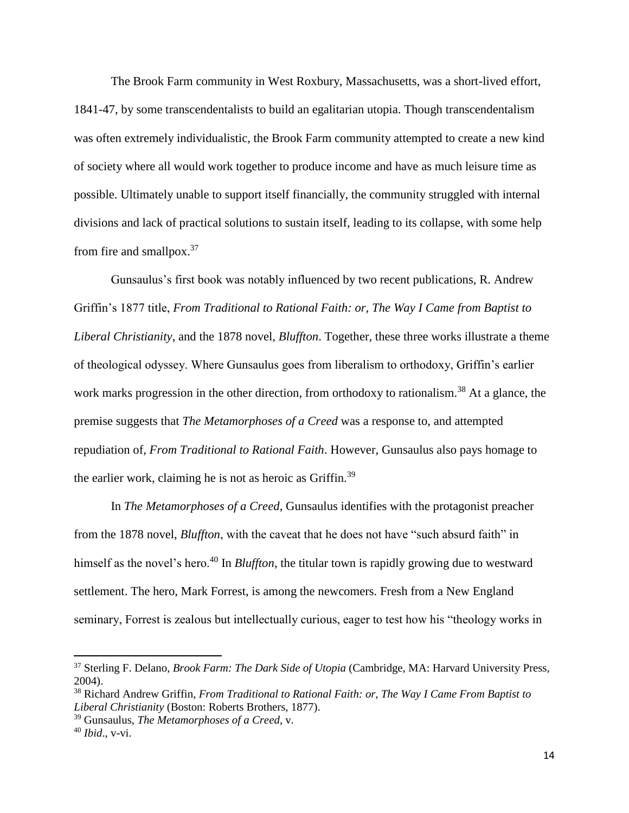The Brook Farm community in West Roxbury, Massachusetts, was a short-lived effort, 1841-47, by some transcendentalists to build an egalitarian utopia. Though transcendentalism was often extremely individualistic, the Brook Farm community attempted to create a new kind of society where all would work together to produce income and have as much leisure time as possible. Ultimately unable to support itself financially, the community struggled with internal divisions and lack of practical solutions to sustain itself, leading to its collapse, with some help from fire and smallpox.<sup>37</sup>

Gunsaulus's first book was notably influenced by two recent publications, R. Andrew Griffin's 1877 title, *From Traditional to Rational Faith: or, The Way I Came from Baptist to Liberal Christianity*, and the 1878 novel, *Bluffton*. Together, these three works illustrate a theme of theological odyssey. Where Gunsaulus goes from liberalism to orthodoxy, Griffin's earlier work marks progression in the other direction, from orthodoxy to rationalism.<sup>38</sup> At a glance, the premise suggests that *The Metamorphoses of a Creed* was a response to, and attempted repudiation of, *From Traditional to Rational Faith*. However, Gunsaulus also pays homage to the earlier work, claiming he is not as heroic as Griffin.<sup>39</sup>

In *The Metamorphoses of a Creed*, Gunsaulus identifies with the protagonist preacher from the 1878 novel, *Bluffton*, with the caveat that he does not have "such absurd faith" in himself as the novel's hero.<sup>40</sup> In *Bluffton*, the titular town is rapidly growing due to westward settlement. The hero, Mark Forrest, is among the newcomers. Fresh from a New England seminary, Forrest is zealous but intellectually curious, eager to test how his "theology works in

l

<sup>37</sup> Sterling F. Delano, *Brook Farm: The Dark Side of Utopia* (Cambridge, MA: Harvard University Press, 2004).

<sup>38</sup> Richard Andrew Griffin, *From Traditional to Rational Faith: or, The Way I Came From Baptist to Liberal Christianity* (Boston: Roberts Brothers, 1877).

<sup>39</sup> Gunsaulus, *The Metamorphoses of a Creed*, v.

<sup>40</sup> *Ibid*., v-vi.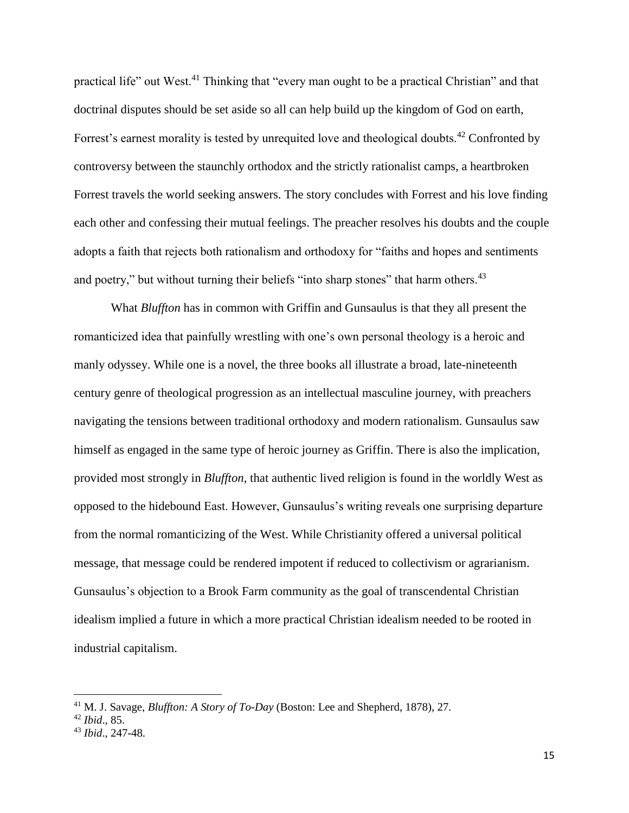practical life" out West.<sup>41</sup> Thinking that "every man ought to be a practical Christian" and that doctrinal disputes should be set aside so all can help build up the kingdom of God on earth, Forrest's earnest morality is tested by unrequited love and theological doubts.<sup>42</sup> Confronted by controversy between the staunchly orthodox and the strictly rationalist camps, a heartbroken Forrest travels the world seeking answers. The story concludes with Forrest and his love finding each other and confessing their mutual feelings. The preacher resolves his doubts and the couple adopts a faith that rejects both rationalism and orthodoxy for "faiths and hopes and sentiments and poetry," but without turning their beliefs "into sharp stones" that harm others.<sup>43</sup>

What *Bluffton* has in common with Griffin and Gunsaulus is that they all present the romanticized idea that painfully wrestling with one's own personal theology is a heroic and manly odyssey. While one is a novel, the three books all illustrate a broad, late-nineteenth century genre of theological progression as an intellectual masculine journey, with preachers navigating the tensions between traditional orthodoxy and modern rationalism. Gunsaulus saw himself as engaged in the same type of heroic journey as Griffin. There is also the implication, provided most strongly in *Bluffton*, that authentic lived religion is found in the worldly West as opposed to the hidebound East. However, Gunsaulus's writing reveals one surprising departure from the normal romanticizing of the West. While Christianity offered a universal political message, that message could be rendered impotent if reduced to collectivism or agrarianism. Gunsaulus's objection to a Brook Farm community as the goal of transcendental Christian idealism implied a future in which a more practical Christian idealism needed to be rooted in industrial capitalism.

<sup>41</sup> M. J. Savage, *Bluffton: A Story of To-Day* (Boston: Lee and Shepherd, 1878), 27.

<sup>42</sup> *Ibid*., 85.

<sup>43</sup> *Ibid*., 247-48.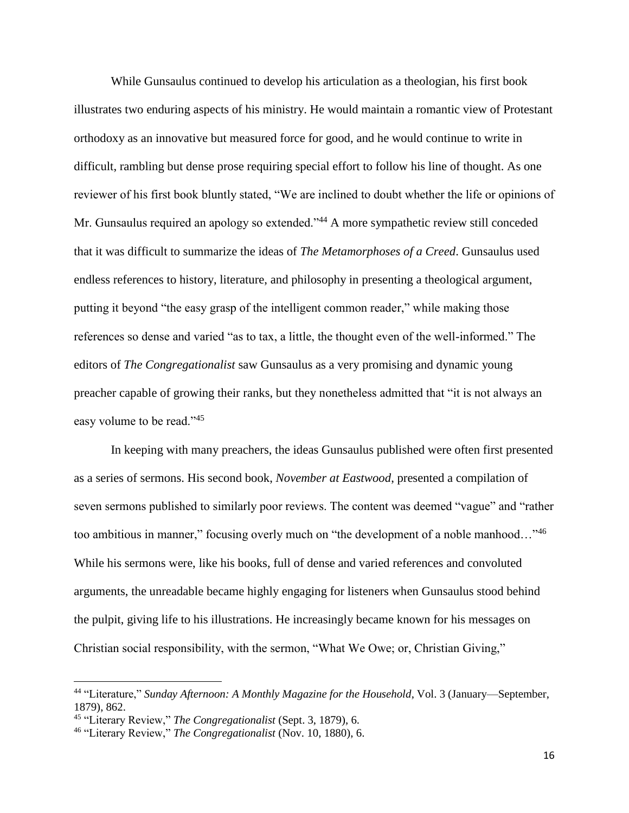While Gunsaulus continued to develop his articulation as a theologian, his first book illustrates two enduring aspects of his ministry. He would maintain a romantic view of Protestant orthodoxy as an innovative but measured force for good, and he would continue to write in difficult, rambling but dense prose requiring special effort to follow his line of thought. As one reviewer of his first book bluntly stated, "We are inclined to doubt whether the life or opinions of Mr. Gunsaulus required an apology so extended."<sup>44</sup> A more sympathetic review still conceded that it was difficult to summarize the ideas of *The Metamorphoses of a Creed*. Gunsaulus used endless references to history, literature, and philosophy in presenting a theological argument, putting it beyond "the easy grasp of the intelligent common reader," while making those references so dense and varied "as to tax, a little, the thought even of the well-informed." The editors of *The Congregationalist* saw Gunsaulus as a very promising and dynamic young preacher capable of growing their ranks, but they nonetheless admitted that "it is not always an easy volume to be read."<sup>45</sup>

In keeping with many preachers, the ideas Gunsaulus published were often first presented as a series of sermons. His second book, *November at Eastwood*, presented a compilation of seven sermons published to similarly poor reviews. The content was deemed "vague" and "rather too ambitious in manner," focusing overly much on "the development of a noble manhood..."<sup>46</sup> While his sermons were, like his books, full of dense and varied references and convoluted arguments, the unreadable became highly engaging for listeners when Gunsaulus stood behind the pulpit, giving life to his illustrations. He increasingly became known for his messages on Christian social responsibility, with the sermon, "What We Owe; or, Christian Giving,"

<sup>44</sup> "Literature," *Sunday Afternoon: A Monthly Magazine for the Household*, Vol. 3 (January—September, 1879), 862.

<sup>45</sup> "Literary Review," *The Congregationalist* (Sept. 3, 1879), 6.

<sup>46</sup> "Literary Review," *The Congregationalist* (Nov. 10, 1880), 6.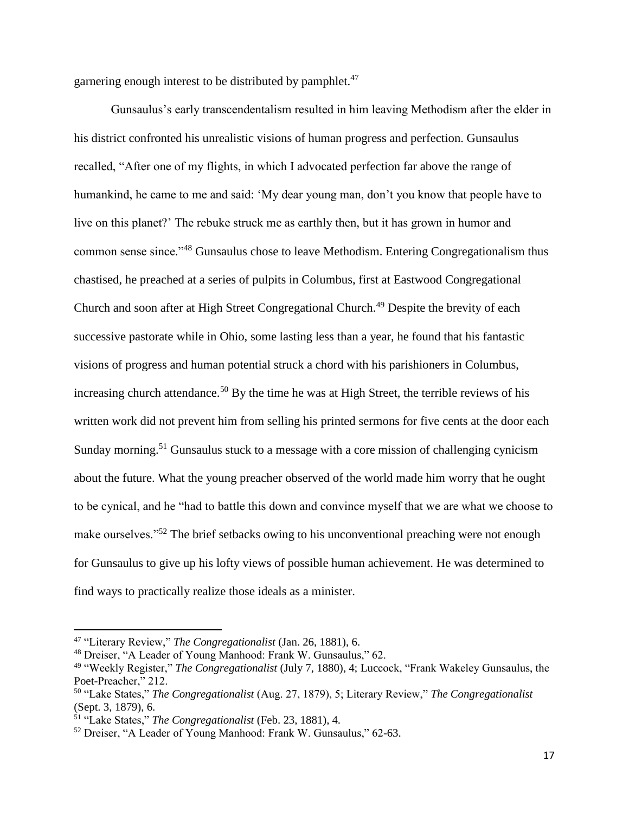garnering enough interest to be distributed by pamphlet.<sup>47</sup>

Gunsaulus's early transcendentalism resulted in him leaving Methodism after the elder in his district confronted his unrealistic visions of human progress and perfection. Gunsaulus recalled, "After one of my flights, in which I advocated perfection far above the range of humankind, he came to me and said: 'My dear young man, don't you know that people have to live on this planet?' The rebuke struck me as earthly then, but it has grown in humor and common sense since."<sup>48</sup> Gunsaulus chose to leave Methodism. Entering Congregationalism thus chastised, he preached at a series of pulpits in Columbus, first at Eastwood Congregational Church and soon after at High Street Congregational Church.<sup>49</sup> Despite the brevity of each successive pastorate while in Ohio, some lasting less than a year, he found that his fantastic visions of progress and human potential struck a chord with his parishioners in Columbus, increasing church attendance.<sup>50</sup> By the time he was at High Street, the terrible reviews of his written work did not prevent him from selling his printed sermons for five cents at the door each Sunday morning.<sup>51</sup> Gunsaulus stuck to a message with a core mission of challenging cynicism about the future. What the young preacher observed of the world made him worry that he ought to be cynical, and he "had to battle this down and convince myself that we are what we choose to make ourselves."<sup>52</sup> The brief setbacks owing to his unconventional preaching were not enough for Gunsaulus to give up his lofty views of possible human achievement. He was determined to find ways to practically realize those ideals as a minister.

<sup>47</sup> "Literary Review," *The Congregationalist* (Jan. 26, 1881), 6.

<sup>48</sup> Dreiser, "A Leader of Young Manhood: Frank W. Gunsaulus," 62.

<sup>49</sup> "Weekly Register," *The Congregationalist* (July 7, 1880), 4; Luccock, "Frank Wakeley Gunsaulus, the Poet-Preacher," 212.

<sup>50</sup> "Lake States," *The Congregationalist* (Aug. 27, 1879), 5; Literary Review," *The Congregationalist*  (Sept. 3, 1879), 6.

<sup>51</sup> "Lake States," *The Congregationalist* (Feb. 23, 1881), 4.

<sup>52</sup> Dreiser, "A Leader of Young Manhood: Frank W. Gunsaulus," 62-63.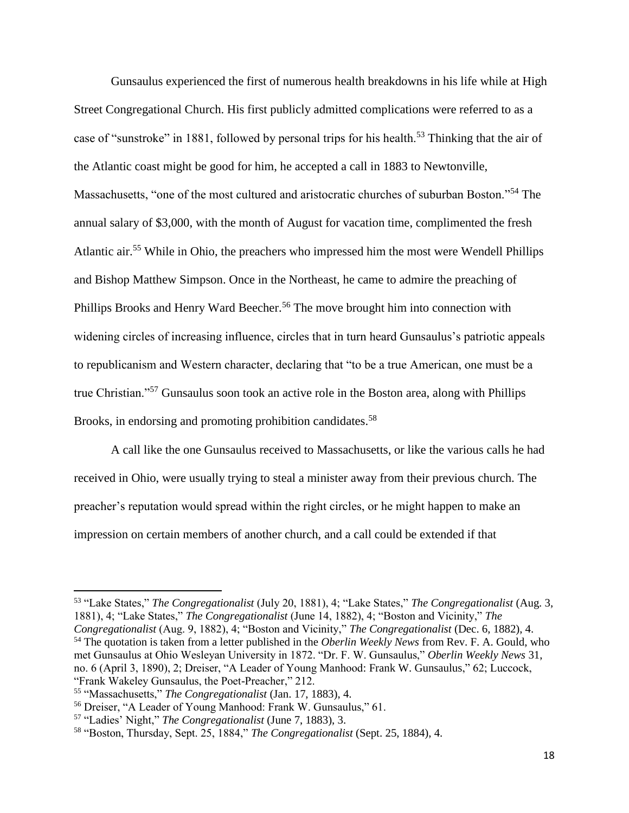Gunsaulus experienced the first of numerous health breakdowns in his life while at High Street Congregational Church. His first publicly admitted complications were referred to as a case of "sunstroke" in 1881, followed by personal trips for his health.<sup>53</sup> Thinking that the air of the Atlantic coast might be good for him, he accepted a call in 1883 to Newtonville, Massachusetts, "one of the most cultured and aristocratic churches of suburban Boston."<sup>54</sup> The annual salary of \$3,000, with the month of August for vacation time, complimented the fresh Atlantic air.<sup>55</sup> While in Ohio, the preachers who impressed him the most were Wendell Phillips and Bishop Matthew Simpson. Once in the Northeast, he came to admire the preaching of Phillips Brooks and Henry Ward Beecher.<sup>56</sup> The move brought him into connection with widening circles of increasing influence, circles that in turn heard Gunsaulus's patriotic appeals to republicanism and Western character, declaring that "to be a true American, one must be a true Christian."<sup>57</sup> Gunsaulus soon took an active role in the Boston area, along with Phillips Brooks, in endorsing and promoting prohibition candidates.<sup>58</sup>

A call like the one Gunsaulus received to Massachusetts, or like the various calls he had received in Ohio, were usually trying to steal a minister away from their previous church. The preacher's reputation would spread within the right circles, or he might happen to make an impression on certain members of another church, and a call could be extended if that

<sup>53</sup> "Lake States," *The Congregationalist* (July 20, 1881), 4; "Lake States," *The Congregationalist* (Aug. 3, 1881), 4; "Lake States," *The Congregationalist* (June 14, 1882), 4; "Boston and Vicinity," *The Congregationalist* (Aug. 9, 1882), 4; "Boston and Vicinity," *The Congregationalist* (Dec. 6, 1882), 4. <sup>54</sup> The quotation is taken from a letter published in the *Oberlin Weekly News* from Rev. F. A. Gould, who met Gunsaulus at Ohio Wesleyan University in 1872. "Dr. F. W. Gunsaulus," *Oberlin Weekly News* 31, no. 6 (April 3, 1890), 2; Dreiser, "A Leader of Young Manhood: Frank W. Gunsaulus," 62; Luccock, "Frank Wakeley Gunsaulus, the Poet-Preacher," 212.

<sup>55</sup> "Massachusetts," *The Congregationalist* (Jan. 17, 1883), 4.

<sup>56</sup> Dreiser, "A Leader of Young Manhood: Frank W. Gunsaulus," 61.

<sup>57</sup> "Ladies' Night," *The Congregationalist* (June 7, 1883), 3.

<sup>58</sup> "Boston, Thursday, Sept. 25, 1884," *The Congregationalist* (Sept. 25, 1884), 4.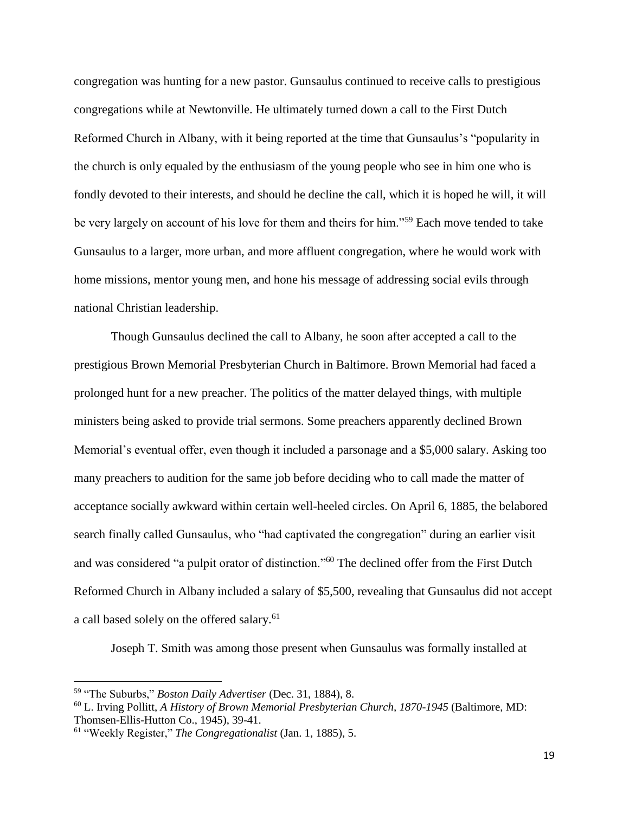congregation was hunting for a new pastor. Gunsaulus continued to receive calls to prestigious congregations while at Newtonville. He ultimately turned down a call to the First Dutch Reformed Church in Albany, with it being reported at the time that Gunsaulus's "popularity in the church is only equaled by the enthusiasm of the young people who see in him one who is fondly devoted to their interests, and should he decline the call, which it is hoped he will, it will be very largely on account of his love for them and theirs for him."<sup>59</sup> Each move tended to take Gunsaulus to a larger, more urban, and more affluent congregation, where he would work with home missions, mentor young men, and hone his message of addressing social evils through national Christian leadership.

Though Gunsaulus declined the call to Albany, he soon after accepted a call to the prestigious Brown Memorial Presbyterian Church in Baltimore. Brown Memorial had faced a prolonged hunt for a new preacher. The politics of the matter delayed things, with multiple ministers being asked to provide trial sermons. Some preachers apparently declined Brown Memorial's eventual offer, even though it included a parsonage and a \$5,000 salary. Asking too many preachers to audition for the same job before deciding who to call made the matter of acceptance socially awkward within certain well-heeled circles. On April 6, 1885, the belabored search finally called Gunsaulus, who "had captivated the congregation" during an earlier visit and was considered "a pulpit orator of distinction."<sup>60</sup> The declined offer from the First Dutch Reformed Church in Albany included a salary of \$5,500, revealing that Gunsaulus did not accept a call based solely on the offered salary.<sup>61</sup>

Joseph T. Smith was among those present when Gunsaulus was formally installed at

<sup>59</sup> "The Suburbs," *Boston Daily Advertiser* (Dec. 31, 1884), 8.

<sup>60</sup> L. Irving Pollitt, *A History of Brown Memorial Presbyterian Church, 1870-1945* (Baltimore, MD: Thomsen-Ellis-Hutton Co., 1945), 39-41.

<sup>61</sup> "Weekly Register," *The Congregationalist* (Jan. 1, 1885), 5.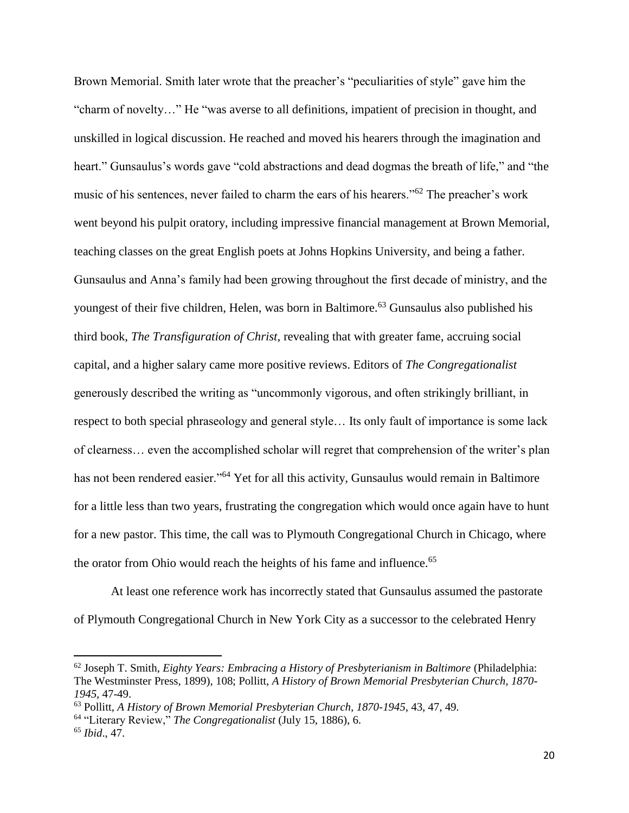Brown Memorial. Smith later wrote that the preacher's "peculiarities of style" gave him the "charm of novelty…" He "was averse to all definitions, impatient of precision in thought, and unskilled in logical discussion. He reached and moved his hearers through the imagination and heart." Gunsaulus's words gave "cold abstractions and dead dogmas the breath of life," and "the music of his sentences, never failed to charm the ears of his hearers."<sup>62</sup> The preacher's work went beyond his pulpit oratory, including impressive financial management at Brown Memorial, teaching classes on the great English poets at Johns Hopkins University, and being a father. Gunsaulus and Anna's family had been growing throughout the first decade of ministry, and the youngest of their five children, Helen, was born in Baltimore.<sup>63</sup> Gunsaulus also published his third book, *The Transfiguration of Christ*, revealing that with greater fame, accruing social capital, and a higher salary came more positive reviews. Editors of *The Congregationalist*  generously described the writing as "uncommonly vigorous, and often strikingly brilliant, in respect to both special phraseology and general style… Its only fault of importance is some lack of clearness… even the accomplished scholar will regret that comprehension of the writer's plan has not been rendered easier."<sup>64</sup> Yet for all this activity, Gunsaulus would remain in Baltimore for a little less than two years, frustrating the congregation which would once again have to hunt for a new pastor. This time, the call was to Plymouth Congregational Church in Chicago, where the orator from Ohio would reach the heights of his fame and influence.<sup>65</sup>

At least one reference work has incorrectly stated that Gunsaulus assumed the pastorate of Plymouth Congregational Church in New York City as a successor to the celebrated Henry

l

<sup>62</sup> Joseph T. Smith, *Eighty Years: Embracing a History of Presbyterianism in Baltimore* (Philadelphia: The Westminster Press, 1899), 108; Pollitt, *A History of Brown Memorial Presbyterian Church, 1870- 1945*, 47-49.

<sup>63</sup> Pollitt, *A History of Brown Memorial Presbyterian Church, 1870-1945*, 43, 47, 49.

<sup>64</sup> "Literary Review," *The Congregationalist* (July 15, 1886), 6.

<sup>65</sup> *Ibid*., 47.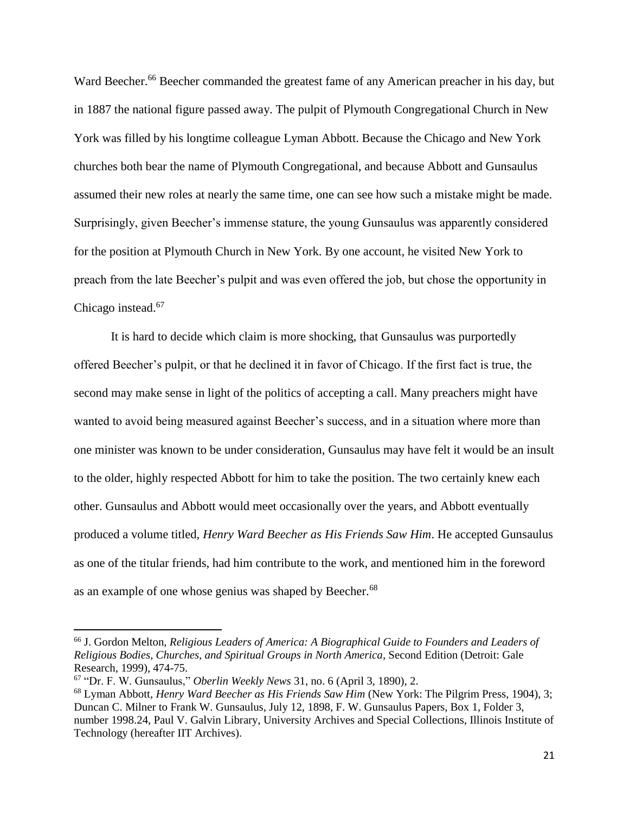Ward Beecher.<sup>66</sup> Beecher commanded the greatest fame of any American preacher in his day, but in 1887 the national figure passed away. The pulpit of Plymouth Congregational Church in New York was filled by his longtime colleague Lyman Abbott. Because the Chicago and New York churches both bear the name of Plymouth Congregational, and because Abbott and Gunsaulus assumed their new roles at nearly the same time, one can see how such a mistake might be made. Surprisingly, given Beecher's immense stature, the young Gunsaulus was apparently considered for the position at Plymouth Church in New York. By one account, he visited New York to preach from the late Beecher's pulpit and was even offered the job, but chose the opportunity in Chicago instead.<sup>67</sup>

It is hard to decide which claim is more shocking, that Gunsaulus was purportedly offered Beecher's pulpit, or that he declined it in favor of Chicago. If the first fact is true, the second may make sense in light of the politics of accepting a call. Many preachers might have wanted to avoid being measured against Beecher's success, and in a situation where more than one minister was known to be under consideration, Gunsaulus may have felt it would be an insult to the older, highly respected Abbott for him to take the position. The two certainly knew each other. Gunsaulus and Abbott would meet occasionally over the years, and Abbott eventually produced a volume titled, *Henry Ward Beecher as His Friends Saw Him*. He accepted Gunsaulus as one of the titular friends, had him contribute to the work, and mentioned him in the foreword as an example of one whose genius was shaped by Beecher.<sup>68</sup>

<sup>66</sup> J. Gordon Melton, *Religious Leaders of America: A Biographical Guide to Founders and Leaders of Religious Bodies, Churches, and Spiritual Groups in North America*, Second Edition (Detroit: Gale Research, 1999), 474-75.

<sup>67</sup> "Dr. F. W. Gunsaulus," *Oberlin Weekly News* 31, no. 6 (April 3, 1890), 2.

<sup>68</sup> Lyman Abbott, *Henry Ward Beecher as His Friends Saw Him* (New York: The Pilgrim Press, 1904), 3; Duncan C. Milner to Frank W. Gunsaulus, July 12, 1898, F. W. Gunsaulus Papers, Box 1, Folder 3, number 1998.24, Paul V. Galvin Library, University Archives and Special Collections, Illinois Institute of Technology (hereafter IIT Archives).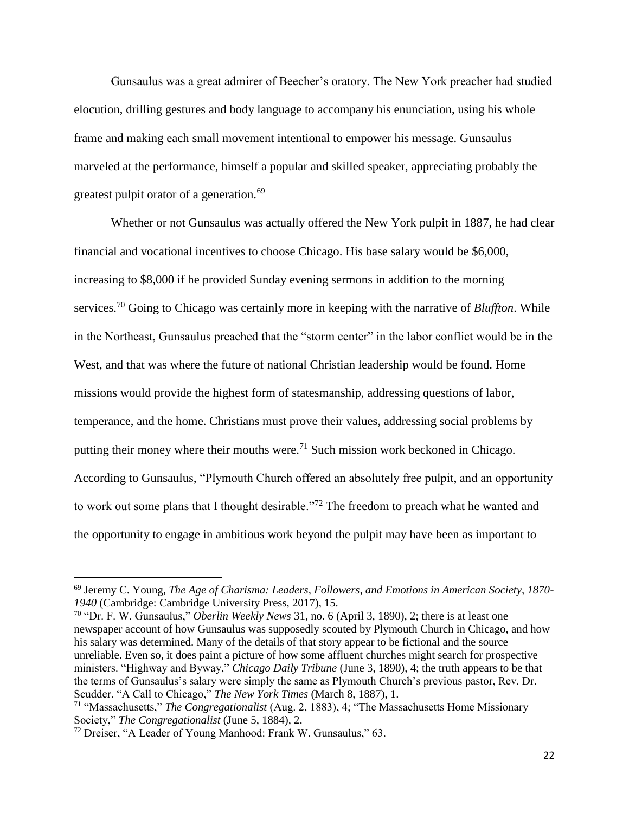Gunsaulus was a great admirer of Beecher's oratory. The New York preacher had studied elocution, drilling gestures and body language to accompany his enunciation, using his whole frame and making each small movement intentional to empower his message. Gunsaulus marveled at the performance, himself a popular and skilled speaker, appreciating probably the greatest pulpit orator of a generation.<sup>69</sup>

Whether or not Gunsaulus was actually offered the New York pulpit in 1887, he had clear financial and vocational incentives to choose Chicago. His base salary would be \$6,000, increasing to \$8,000 if he provided Sunday evening sermons in addition to the morning services.<sup>70</sup> Going to Chicago was certainly more in keeping with the narrative of *Bluffton*. While in the Northeast, Gunsaulus preached that the "storm center" in the labor conflict would be in the West, and that was where the future of national Christian leadership would be found. Home missions would provide the highest form of statesmanship, addressing questions of labor, temperance, and the home. Christians must prove their values, addressing social problems by putting their money where their mouths were.<sup>71</sup> Such mission work beckoned in Chicago. According to Gunsaulus, "Plymouth Church offered an absolutely free pulpit, and an opportunity to work out some plans that I thought desirable."<sup>72</sup> The freedom to preach what he wanted and the opportunity to engage in ambitious work beyond the pulpit may have been as important to

<sup>69</sup> Jeremy C. Young, *The Age of Charisma: Leaders, Followers, and Emotions in American Society, 1870- 1940* (Cambridge: Cambridge University Press, 2017), 15.

<sup>70</sup> "Dr. F. W. Gunsaulus," *Oberlin Weekly News* 31, no. 6 (April 3, 1890), 2; there is at least one newspaper account of how Gunsaulus was supposedly scouted by Plymouth Church in Chicago, and how his salary was determined. Many of the details of that story appear to be fictional and the source unreliable. Even so, it does paint a picture of how some affluent churches might search for prospective ministers. "Highway and Byway," *Chicago Daily Tribune* (June 3, 1890), 4; the truth appears to be that the terms of Gunsaulus's salary were simply the same as Plymouth Church's previous pastor, Rev. Dr. Scudder. "A Call to Chicago," *The New York Times* (March 8, 1887), 1.

<sup>71</sup> "Massachusetts," *The Congregationalist* (Aug. 2, 1883), 4; "The Massachusetts Home Missionary Society," *The Congregationalist* (June 5, 1884), 2.

<sup>72</sup> Dreiser, "A Leader of Young Manhood: Frank W. Gunsaulus," 63.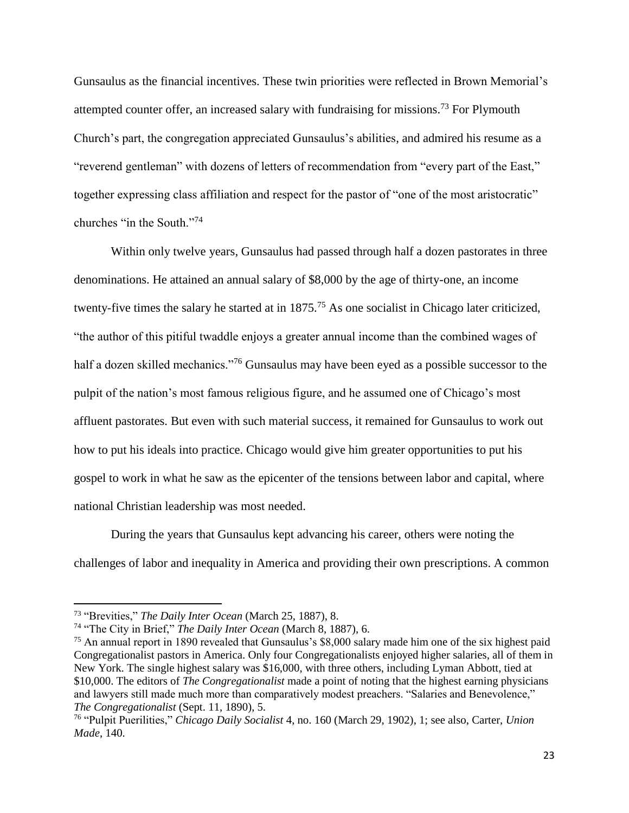Gunsaulus as the financial incentives. These twin priorities were reflected in Brown Memorial's attempted counter offer, an increased salary with fundraising for missions.<sup>73</sup> For Plymouth Church's part, the congregation appreciated Gunsaulus's abilities, and admired his resume as a "reverend gentleman" with dozens of letters of recommendation from "every part of the East," together expressing class affiliation and respect for the pastor of "one of the most aristocratic" churches "in the South."<sup>74</sup>

Within only twelve years, Gunsaulus had passed through half a dozen pastorates in three denominations. He attained an annual salary of \$8,000 by the age of thirty-one, an income twenty-five times the salary he started at in 1875.<sup>75</sup> As one socialist in Chicago later criticized, "the author of this pitiful twaddle enjoys a greater annual income than the combined wages of half a dozen skilled mechanics."<sup>76</sup> Gunsaulus may have been eyed as a possible successor to the pulpit of the nation's most famous religious figure, and he assumed one of Chicago's most affluent pastorates. But even with such material success, it remained for Gunsaulus to work out how to put his ideals into practice. Chicago would give him greater opportunities to put his gospel to work in what he saw as the epicenter of the tensions between labor and capital, where national Christian leadership was most needed.

During the years that Gunsaulus kept advancing his career, others were noting the challenges of labor and inequality in America and providing their own prescriptions. A common

l

<sup>73</sup> "Brevities," *The Daily Inter Ocean* (March 25, 1887), 8.

<sup>74</sup> "The City in Brief," *The Daily Inter Ocean* (March 8, 1887), 6.

<sup>75</sup> An annual report in 1890 revealed that Gunsaulus's \$8,000 salary made him one of the six highest paid Congregationalist pastors in America. Only four Congregationalists enjoyed higher salaries, all of them in New York. The single highest salary was \$16,000, with three others, including Lyman Abbott, tied at \$10,000. The editors of *The Congregationalist* made a point of noting that the highest earning physicians and lawyers still made much more than comparatively modest preachers. "Salaries and Benevolence," *The Congregationalist* (Sept. 11, 1890), 5.

<sup>76</sup> "Pulpit Puerilities," *Chicago Daily Socialist* 4, no. 160 (March 29, 1902), 1; see also, Carter, *Union Made*, 140.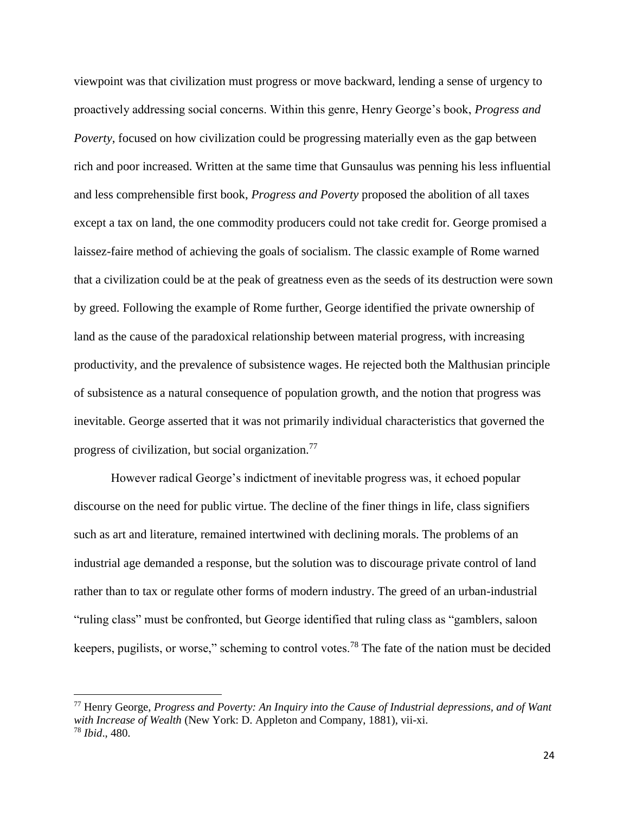viewpoint was that civilization must progress or move backward, lending a sense of urgency to proactively addressing social concerns. Within this genre, Henry George's book, *Progress and Poverty*, focused on how civilization could be progressing materially even as the gap between rich and poor increased. Written at the same time that Gunsaulus was penning his less influential and less comprehensible first book, *Progress and Poverty* proposed the abolition of all taxes except a tax on land, the one commodity producers could not take credit for. George promised a laissez-faire method of achieving the goals of socialism. The classic example of Rome warned that a civilization could be at the peak of greatness even as the seeds of its destruction were sown by greed. Following the example of Rome further, George identified the private ownership of land as the cause of the paradoxical relationship between material progress, with increasing productivity, and the prevalence of subsistence wages. He rejected both the Malthusian principle of subsistence as a natural consequence of population growth, and the notion that progress was inevitable. George asserted that it was not primarily individual characteristics that governed the progress of civilization, but social organization.<sup>77</sup>

However radical George's indictment of inevitable progress was, it echoed popular discourse on the need for public virtue. The decline of the finer things in life, class signifiers such as art and literature, remained intertwined with declining morals. The problems of an industrial age demanded a response, but the solution was to discourage private control of land rather than to tax or regulate other forms of modern industry. The greed of an urban-industrial "ruling class" must be confronted, but George identified that ruling class as "gamblers, saloon keepers, pugilists, or worse," scheming to control votes.<sup>78</sup> The fate of the nation must be decided

<sup>77</sup> Henry George, *Progress and Poverty: An Inquiry into the Cause of Industrial depressions, and of Want with Increase of Wealth* (New York: D. Appleton and Company, 1881), vii-xi. <sup>78</sup> *Ibid*., 480.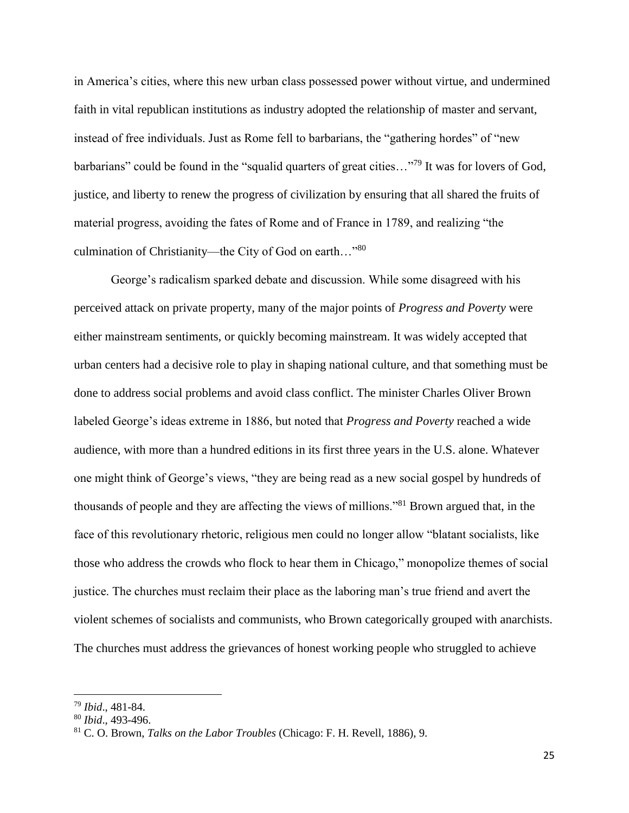in America's cities, where this new urban class possessed power without virtue, and undermined faith in vital republican institutions as industry adopted the relationship of master and servant, instead of free individuals. Just as Rome fell to barbarians, the "gathering hordes" of "new barbarians" could be found in the "squalid quarters of great cities..."<sup>79</sup> It was for lovers of God, justice, and liberty to renew the progress of civilization by ensuring that all shared the fruits of material progress, avoiding the fates of Rome and of France in 1789, and realizing "the culmination of Christianity—the City of God on earth..."80

George's radicalism sparked debate and discussion. While some disagreed with his perceived attack on private property, many of the major points of *Progress and Poverty* were either mainstream sentiments, or quickly becoming mainstream. It was widely accepted that urban centers had a decisive role to play in shaping national culture, and that something must be done to address social problems and avoid class conflict. The minister Charles Oliver Brown labeled George's ideas extreme in 1886, but noted that *Progress and Poverty* reached a wide audience, with more than a hundred editions in its first three years in the U.S. alone. Whatever one might think of George's views, "they are being read as a new social gospel by hundreds of thousands of people and they are affecting the views of millions."<sup>81</sup> Brown argued that, in the face of this revolutionary rhetoric, religious men could no longer allow "blatant socialists, like those who address the crowds who flock to hear them in Chicago," monopolize themes of social justice. The churches must reclaim their place as the laboring man's true friend and avert the violent schemes of socialists and communists, who Brown categorically grouped with anarchists. The churches must address the grievances of honest working people who struggled to achieve

<sup>79</sup> *Ibid*., 481-84.

<sup>80</sup> *Ibid*., 493-496.

<sup>81</sup> C. O. Brown, *Talks on the Labor Troubles* (Chicago: F. H. Revell, 1886), 9.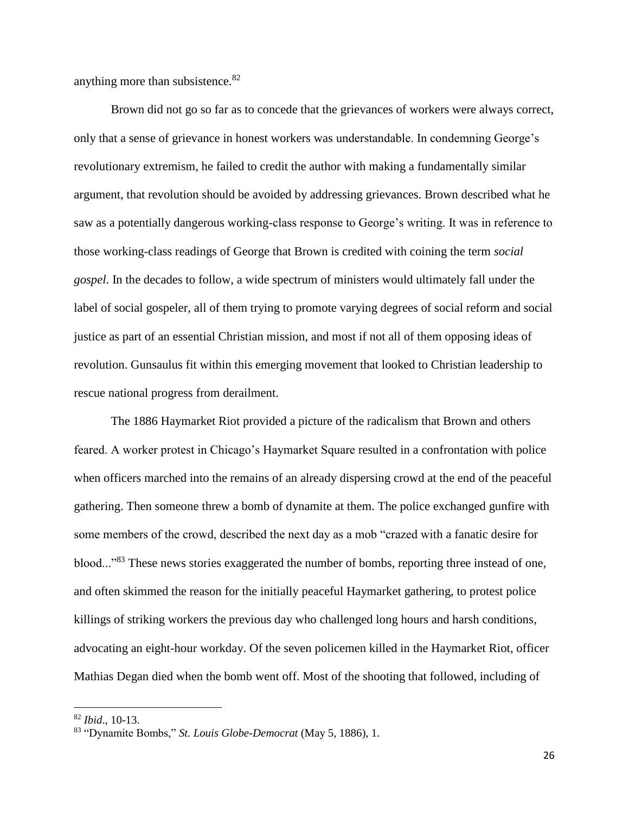anything more than subsistence.<sup>82</sup>

Brown did not go so far as to concede that the grievances of workers were always correct, only that a sense of grievance in honest workers was understandable. In condemning George's revolutionary extremism, he failed to credit the author with making a fundamentally similar argument, that revolution should be avoided by addressing grievances. Brown described what he saw as a potentially dangerous working-class response to George's writing. It was in reference to those working-class readings of George that Brown is credited with coining the term *social gospel*. In the decades to follow, a wide spectrum of ministers would ultimately fall under the label of social gospeler, all of them trying to promote varying degrees of social reform and social justice as part of an essential Christian mission, and most if not all of them opposing ideas of revolution. Gunsaulus fit within this emerging movement that looked to Christian leadership to rescue national progress from derailment.

The 1886 Haymarket Riot provided a picture of the radicalism that Brown and others feared. A worker protest in Chicago's Haymarket Square resulted in a confrontation with police when officers marched into the remains of an already dispersing crowd at the end of the peaceful gathering. Then someone threw a bomb of dynamite at them. The police exchanged gunfire with some members of the crowd, described the next day as a mob "crazed with a fanatic desire for blood..."<sup>83</sup> These news stories exaggerated the number of bombs, reporting three instead of one, and often skimmed the reason for the initially peaceful Haymarket gathering, to protest police killings of striking workers the previous day who challenged long hours and harsh conditions, advocating an eight-hour workday. Of the seven policemen killed in the Haymarket Riot, officer Mathias Degan died when the bomb went off. Most of the shooting that followed, including of

 $\overline{a}$ 

<sup>82</sup> *Ibid*., 10-13.

<sup>83</sup> "Dynamite Bombs," *St. Louis Globe-Democrat* (May 5, 1886), 1.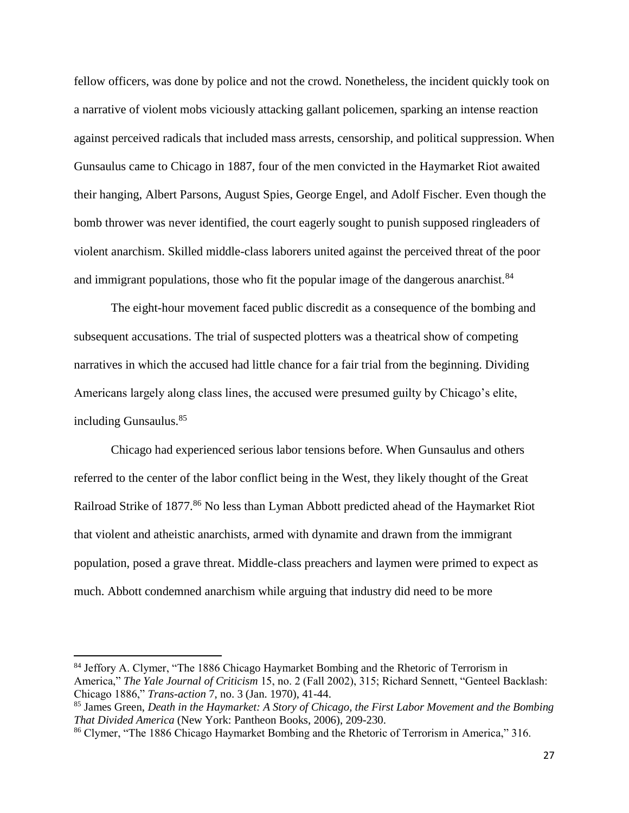fellow officers, was done by police and not the crowd. Nonetheless, the incident quickly took on a narrative of violent mobs viciously attacking gallant policemen, sparking an intense reaction against perceived radicals that included mass arrests, censorship, and political suppression. When Gunsaulus came to Chicago in 1887, four of the men convicted in the Haymarket Riot awaited their hanging, Albert Parsons, August Spies, George Engel, and Adolf Fischer. Even though the bomb thrower was never identified, the court eagerly sought to punish supposed ringleaders of violent anarchism. Skilled middle-class laborers united against the perceived threat of the poor and immigrant populations, those who fit the popular image of the dangerous anarchist.<sup>84</sup>

The eight-hour movement faced public discredit as a consequence of the bombing and subsequent accusations. The trial of suspected plotters was a theatrical show of competing narratives in which the accused had little chance for a fair trial from the beginning. Dividing Americans largely along class lines, the accused were presumed guilty by Chicago's elite, including Gunsaulus.<sup>85</sup>

Chicago had experienced serious labor tensions before. When Gunsaulus and others referred to the center of the labor conflict being in the West, they likely thought of the Great Railroad Strike of 1877.<sup>86</sup> No less than Lyman Abbott predicted ahead of the Haymarket Riot that violent and atheistic anarchists, armed with dynamite and drawn from the immigrant population, posed a grave threat. Middle-class preachers and laymen were primed to expect as much. Abbott condemned anarchism while arguing that industry did need to be more

l

<sup>&</sup>lt;sup>84</sup> Jeffory A. Clymer, "The 1886 Chicago Haymarket Bombing and the Rhetoric of Terrorism in America," *The Yale Journal of Criticism* 15, no. 2 (Fall 2002), 315; Richard Sennett, "Genteel Backlash: Chicago 1886," *Trans-action* 7, no. 3 (Jan. 1970), 41-44.

<sup>85</sup> James Green, *Death in the Haymarket: A Story of Chicago, the First Labor Movement and the Bombing That Divided America* (New York: Pantheon Books, 2006), 209-230.

<sup>&</sup>lt;sup>86</sup> Clymer, "The 1886 Chicago Haymarket Bombing and the Rhetoric of Terrorism in America," 316.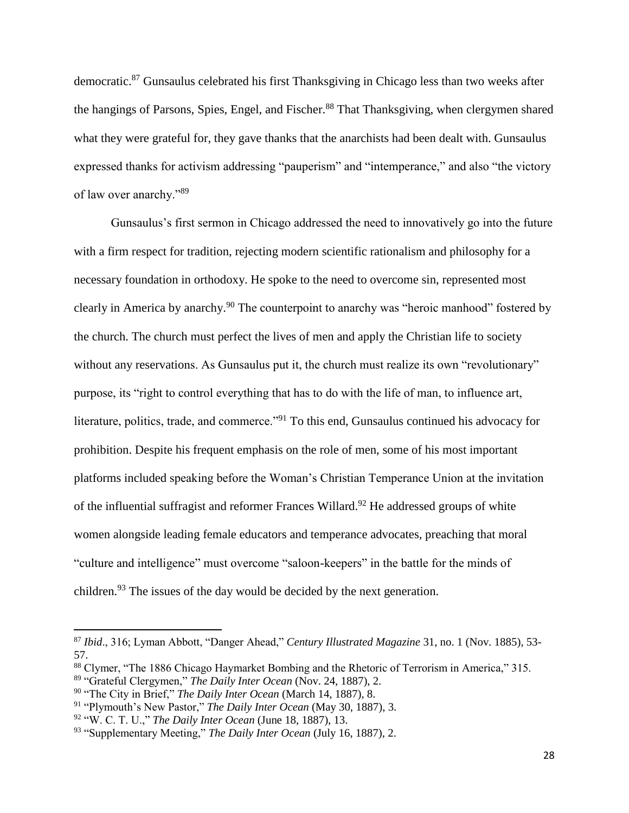democratic.<sup>87</sup> Gunsaulus celebrated his first Thanksgiving in Chicago less than two weeks after the hangings of Parsons, Spies, Engel, and Fischer.<sup>88</sup> That Thanksgiving, when clergymen shared what they were grateful for, they gave thanks that the anarchists had been dealt with. Gunsaulus expressed thanks for activism addressing "pauperism" and "intemperance," and also "the victory of law over anarchy."<sup>89</sup>

Gunsaulus's first sermon in Chicago addressed the need to innovatively go into the future with a firm respect for tradition, rejecting modern scientific rationalism and philosophy for a necessary foundation in orthodoxy. He spoke to the need to overcome sin, represented most clearly in America by anarchy.<sup>90</sup> The counterpoint to anarchy was "heroic manhood" fostered by the church. The church must perfect the lives of men and apply the Christian life to society without any reservations. As Gunsaulus put it, the church must realize its own "revolutionary" purpose, its "right to control everything that has to do with the life of man, to influence art, literature, politics, trade, and commerce."<sup>91</sup> To this end, Gunsaulus continued his advocacy for prohibition. Despite his frequent emphasis on the role of men, some of his most important platforms included speaking before the Woman's Christian Temperance Union at the invitation of the influential suffragist and reformer Frances Willard.<sup>92</sup> He addressed groups of white women alongside leading female educators and temperance advocates, preaching that moral "culture and intelligence" must overcome "saloon-keepers" in the battle for the minds of children.<sup>93</sup> The issues of the day would be decided by the next generation.

<sup>87</sup> *Ibid*., 316; Lyman Abbott, "Danger Ahead," *Century Illustrated Magazine* 31, no. 1 (Nov. 1885), 53- 57.

<sup>88</sup> Clymer, "The 1886 Chicago Haymarket Bombing and the Rhetoric of Terrorism in America," 315. <sup>89</sup> "Grateful Clergymen," *The Daily Inter Ocean* (Nov. 24, 1887), 2.

<sup>90</sup> "The City in Brief," *The Daily Inter Ocean* (March 14, 1887), 8.

<sup>91</sup> "Plymouth's New Pastor," *The Daily Inter Ocean* (May 30, 1887), 3.

<sup>92</sup> "W. C. T. U.," *The Daily Inter Ocean* (June 18, 1887), 13.

<sup>93</sup> "Supplementary Meeting," *The Daily Inter Ocean* (July 16, 1887), 2.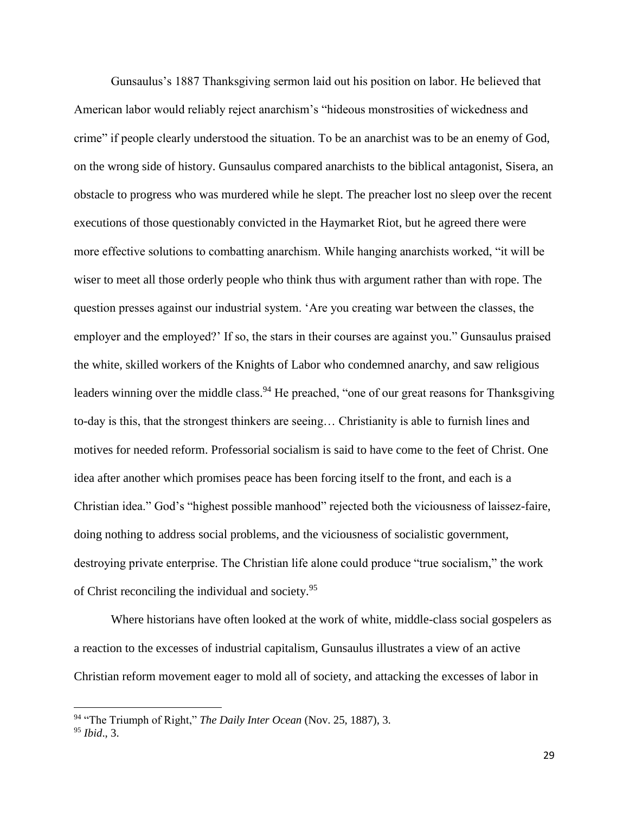Gunsaulus's 1887 Thanksgiving sermon laid out his position on labor. He believed that American labor would reliably reject anarchism's "hideous monstrosities of wickedness and crime" if people clearly understood the situation. To be an anarchist was to be an enemy of God, on the wrong side of history. Gunsaulus compared anarchists to the biblical antagonist, Sisera, an obstacle to progress who was murdered while he slept. The preacher lost no sleep over the recent executions of those questionably convicted in the Haymarket Riot, but he agreed there were more effective solutions to combatting anarchism. While hanging anarchists worked, "it will be wiser to meet all those orderly people who think thus with argument rather than with rope. The question presses against our industrial system. 'Are you creating war between the classes, the employer and the employed?' If so, the stars in their courses are against you." Gunsaulus praised the white, skilled workers of the Knights of Labor who condemned anarchy, and saw religious leaders winning over the middle class.<sup>94</sup> He preached, "one of our great reasons for Thanksgiving to-day is this, that the strongest thinkers are seeing… Christianity is able to furnish lines and motives for needed reform. Professorial socialism is said to have come to the feet of Christ. One idea after another which promises peace has been forcing itself to the front, and each is a Christian idea." God's "highest possible manhood" rejected both the viciousness of laissez-faire, doing nothing to address social problems, and the viciousness of socialistic government, destroying private enterprise. The Christian life alone could produce "true socialism," the work of Christ reconciling the individual and society.<sup>95</sup>

Where historians have often looked at the work of white, middle-class social gospelers as a reaction to the excesses of industrial capitalism, Gunsaulus illustrates a view of an active Christian reform movement eager to mold all of society, and attacking the excesses of labor in

 $\overline{a}$ 

<sup>94</sup> "The Triumph of Right," *The Daily Inter Ocean* (Nov. 25, 1887), 3. <sup>95</sup> *Ibid*., 3.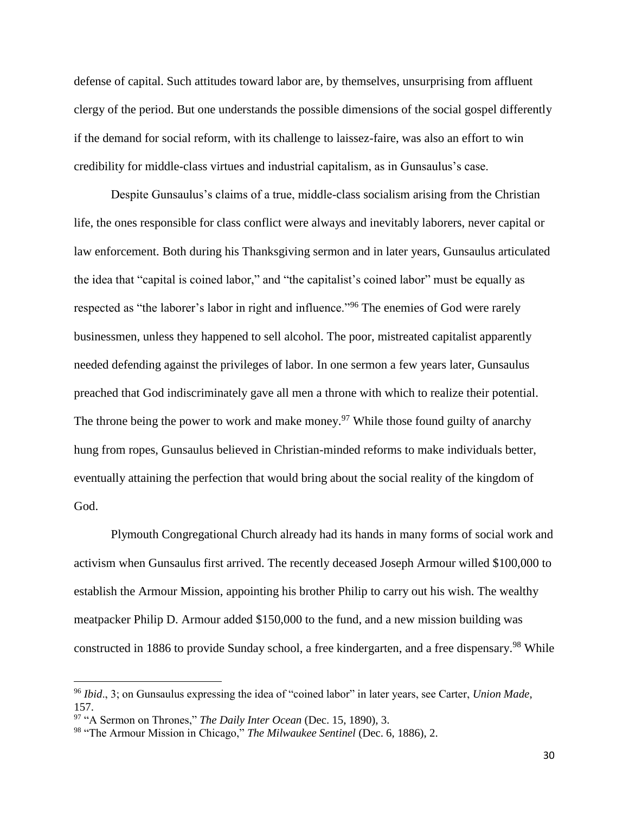defense of capital. Such attitudes toward labor are, by themselves, unsurprising from affluent clergy of the period. But one understands the possible dimensions of the social gospel differently if the demand for social reform, with its challenge to laissez-faire, was also an effort to win credibility for middle-class virtues and industrial capitalism, as in Gunsaulus's case.

Despite Gunsaulus's claims of a true, middle-class socialism arising from the Christian life, the ones responsible for class conflict were always and inevitably laborers, never capital or law enforcement. Both during his Thanksgiving sermon and in later years, Gunsaulus articulated the idea that "capital is coined labor," and "the capitalist's coined labor" must be equally as respected as "the laborer's labor in right and influence."<sup>96</sup> The enemies of God were rarely businessmen, unless they happened to sell alcohol. The poor, mistreated capitalist apparently needed defending against the privileges of labor. In one sermon a few years later, Gunsaulus preached that God indiscriminately gave all men a throne with which to realize their potential. The throne being the power to work and make money.<sup>97</sup> While those found guilty of anarchy hung from ropes, Gunsaulus believed in Christian-minded reforms to make individuals better, eventually attaining the perfection that would bring about the social reality of the kingdom of God.

Plymouth Congregational Church already had its hands in many forms of social work and activism when Gunsaulus first arrived. The recently deceased Joseph Armour willed \$100,000 to establish the Armour Mission, appointing his brother Philip to carry out his wish. The wealthy meatpacker Philip D. Armour added \$150,000 to the fund, and a new mission building was constructed in 1886 to provide Sunday school, a free kindergarten, and a free dispensary.<sup>98</sup> While

<sup>96</sup> *Ibid*., 3; on Gunsaulus expressing the idea of "coined labor" in later years, see Carter, *Union Made*, 157.

<sup>97</sup> "A Sermon on Thrones," *The Daily Inter Ocean* (Dec. 15, 1890), 3.

<sup>98</sup> "The Armour Mission in Chicago," *The Milwaukee Sentinel* (Dec. 6, 1886), 2.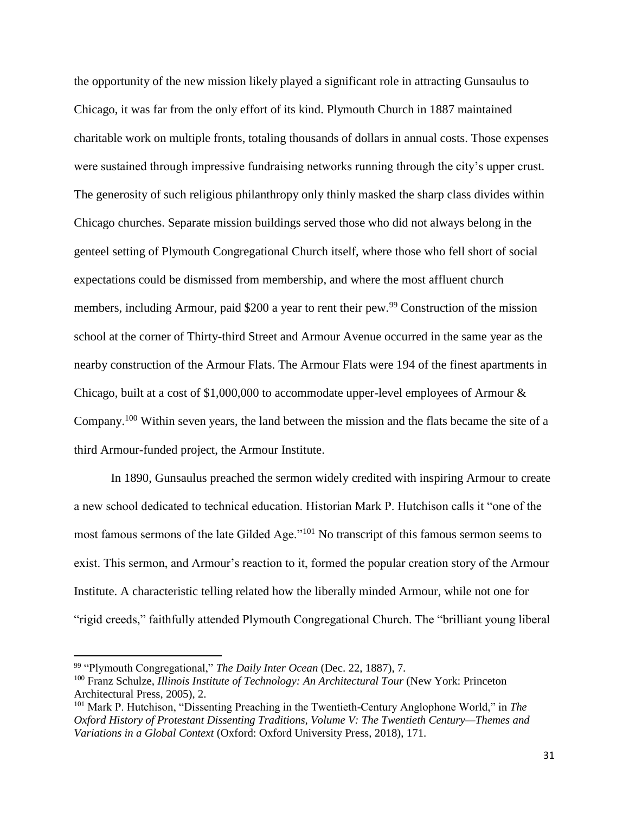the opportunity of the new mission likely played a significant role in attracting Gunsaulus to Chicago, it was far from the only effort of its kind. Plymouth Church in 1887 maintained charitable work on multiple fronts, totaling thousands of dollars in annual costs. Those expenses were sustained through impressive fundraising networks running through the city's upper crust. The generosity of such religious philanthropy only thinly masked the sharp class divides within Chicago churches. Separate mission buildings served those who did not always belong in the genteel setting of Plymouth Congregational Church itself, where those who fell short of social expectations could be dismissed from membership, and where the most affluent church members, including Armour, paid \$200 a year to rent their pew.<sup>99</sup> Construction of the mission school at the corner of Thirty-third Street and Armour Avenue occurred in the same year as the nearby construction of the Armour Flats. The Armour Flats were 194 of the finest apartments in Chicago, built at a cost of \$1,000,000 to accommodate upper-level employees of Armour & Company.<sup>100</sup> Within seven years, the land between the mission and the flats became the site of a third Armour-funded project, the Armour Institute.

In 1890, Gunsaulus preached the sermon widely credited with inspiring Armour to create a new school dedicated to technical education. Historian Mark P. Hutchison calls it "one of the most famous sermons of the late Gilded Age."<sup>101</sup> No transcript of this famous sermon seems to exist. This sermon, and Armour's reaction to it, formed the popular creation story of the Armour Institute. A characteristic telling related how the liberally minded Armour, while not one for "rigid creeds," faithfully attended Plymouth Congregational Church. The "brilliant young liberal

l

<sup>99</sup> "Plymouth Congregational," *The Daily Inter Ocean* (Dec. 22, 1887), 7.

<sup>100</sup> Franz Schulze, *Illinois Institute of Technology: An Architectural Tour* (New York: Princeton Architectural Press, 2005), 2.

<sup>101</sup> Mark P. Hutchison, "Dissenting Preaching in the Twentieth-Century Anglophone World," in *The Oxford History of Protestant Dissenting Traditions, Volume V: The Twentieth Century—Themes and Variations in a Global Context* (Oxford: Oxford University Press, 2018), 171.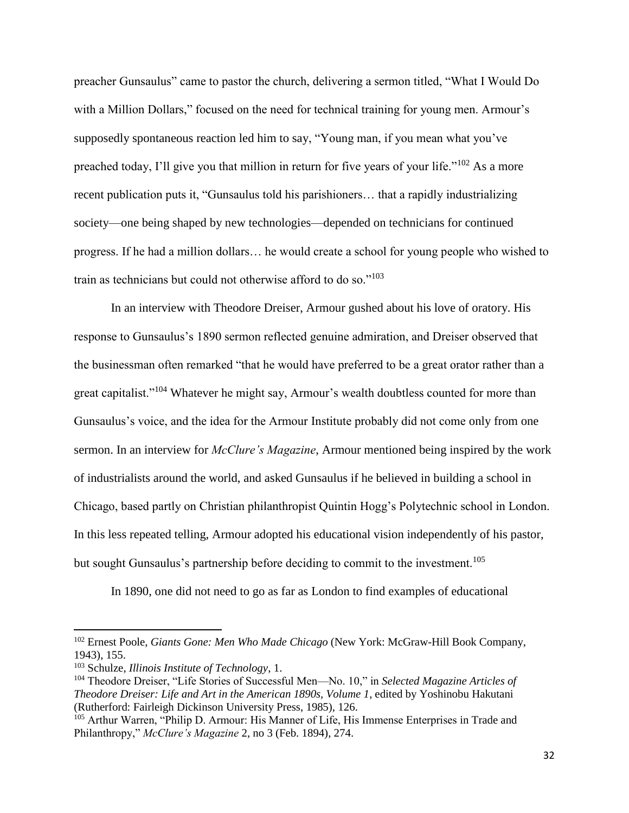preacher Gunsaulus" came to pastor the church, delivering a sermon titled, "What I Would Do with a Million Dollars," focused on the need for technical training for young men. Armour's supposedly spontaneous reaction led him to say, "Young man, if you mean what you've preached today, I'll give you that million in return for five years of your life."<sup>102</sup> As a more recent publication puts it, "Gunsaulus told his parishioners… that a rapidly industrializing society—one being shaped by new technologies—depended on technicians for continued progress. If he had a million dollars… he would create a school for young people who wished to train as technicians but could not otherwise afford to do so."<sup>103</sup>

In an interview with Theodore Dreiser, Armour gushed about his love of oratory. His response to Gunsaulus's 1890 sermon reflected genuine admiration, and Dreiser observed that the businessman often remarked "that he would have preferred to be a great orator rather than a great capitalist."<sup>104</sup> Whatever he might say, Armour's wealth doubtless counted for more than Gunsaulus's voice, and the idea for the Armour Institute probably did not come only from one sermon. In an interview for *McClure's Magazine*, Armour mentioned being inspired by the work of industrialists around the world, and asked Gunsaulus if he believed in building a school in Chicago, based partly on Christian philanthropist Quintin Hogg's Polytechnic school in London. In this less repeated telling, Armour adopted his educational vision independently of his pastor, but sought Gunsaulus's partnership before deciding to commit to the investment.<sup>105</sup>

In 1890, one did not need to go as far as London to find examples of educational

<sup>102</sup> Ernest Poole, *Giants Gone: Men Who Made Chicago* (New York: McGraw-Hill Book Company, 1943), 155.

<sup>103</sup> Schulze, *Illinois Institute of Technology*, 1.

<sup>104</sup> Theodore Dreiser, "Life Stories of Successful Men—No. 10," in *Selected Magazine Articles of Theodore Dreiser: Life and Art in the American 1890s, Volume 1*, edited by Yoshinobu Hakutani (Rutherford: Fairleigh Dickinson University Press, 1985), 126.

<sup>105</sup> Arthur Warren, "Philip D. Armour: His Manner of Life, His Immense Enterprises in Trade and Philanthropy," *McClure's Magazine* 2, no 3 (Feb. 1894), 274.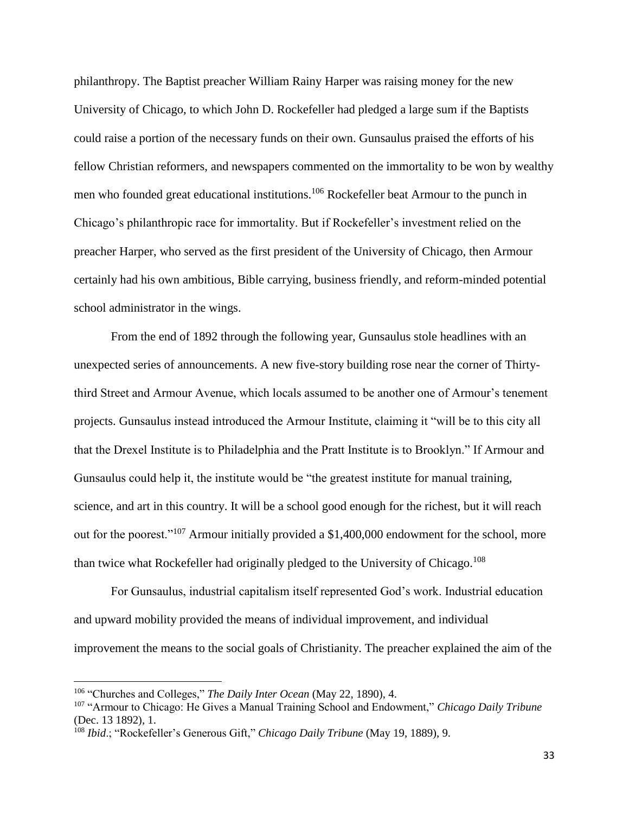philanthropy. The Baptist preacher William Rainy Harper was raising money for the new University of Chicago, to which John D. Rockefeller had pledged a large sum if the Baptists could raise a portion of the necessary funds on their own. Gunsaulus praised the efforts of his fellow Christian reformers, and newspapers commented on the immortality to be won by wealthy men who founded great educational institutions.<sup>106</sup> Rockefeller beat Armour to the punch in Chicago's philanthropic race for immortality. But if Rockefeller's investment relied on the preacher Harper, who served as the first president of the University of Chicago, then Armour certainly had his own ambitious, Bible carrying, business friendly, and reform-minded potential school administrator in the wings.

From the end of 1892 through the following year, Gunsaulus stole headlines with an unexpected series of announcements. A new five-story building rose near the corner of Thirtythird Street and Armour Avenue, which locals assumed to be another one of Armour's tenement projects. Gunsaulus instead introduced the Armour Institute, claiming it "will be to this city all that the Drexel Institute is to Philadelphia and the Pratt Institute is to Brooklyn." If Armour and Gunsaulus could help it, the institute would be "the greatest institute for manual training, science, and art in this country. It will be a school good enough for the richest, but it will reach out for the poorest."<sup>107</sup> Armour initially provided a \$1,400,000 endowment for the school, more than twice what Rockefeller had originally pledged to the University of Chicago.<sup>108</sup>

For Gunsaulus, industrial capitalism itself represented God's work. Industrial education and upward mobility provided the means of individual improvement, and individual improvement the means to the social goals of Christianity. The preacher explained the aim of the

<sup>106</sup> "Churches and Colleges," *The Daily Inter Ocean* (May 22, 1890), 4.

<sup>107</sup> "Armour to Chicago: He Gives a Manual Training School and Endowment," *Chicago Daily Tribune* (Dec. 13 1892), 1.

<sup>108</sup> *Ibid*.; "Rockefeller's Generous Gift," *Chicago Daily Tribune* (May 19, 1889), 9.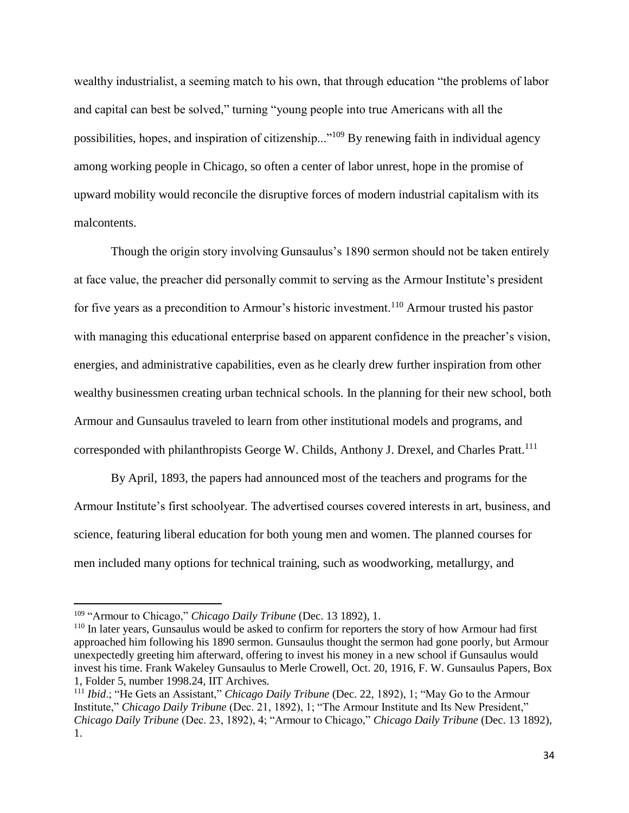wealthy industrialist, a seeming match to his own, that through education "the problems of labor and capital can best be solved," turning "young people into true Americans with all the possibilities, hopes, and inspiration of citizenship..."<sup>109</sup> By renewing faith in individual agency among working people in Chicago, so often a center of labor unrest, hope in the promise of upward mobility would reconcile the disruptive forces of modern industrial capitalism with its malcontents.

Though the origin story involving Gunsaulus's 1890 sermon should not be taken entirely at face value, the preacher did personally commit to serving as the Armour Institute's president for five years as a precondition to Armour's historic investment.<sup>110</sup> Armour trusted his pastor with managing this educational enterprise based on apparent confidence in the preacher's vision, energies, and administrative capabilities, even as he clearly drew further inspiration from other wealthy businessmen creating urban technical schools. In the planning for their new school, both Armour and Gunsaulus traveled to learn from other institutional models and programs, and corresponded with philanthropists George W. Childs, Anthony J. Drexel, and Charles Pratt.<sup>111</sup>

By April, 1893, the papers had announced most of the teachers and programs for the Armour Institute's first schoolyear. The advertised courses covered interests in art, business, and science, featuring liberal education for both young men and women. The planned courses for men included many options for technical training, such as woodworking, metallurgy, and

l

<sup>109</sup> "Armour to Chicago," *Chicago Daily Tribune* (Dec. 13 1892), 1.

<sup>110</sup> In later years, Gunsaulus would be asked to confirm for reporters the story of how Armour had first approached him following his 1890 sermon. Gunsaulus thought the sermon had gone poorly, but Armour unexpectedly greeting him afterward, offering to invest his money in a new school if Gunsaulus would invest his time. Frank Wakeley Gunsaulus to Merle Crowell, Oct. 20, 1916, F. W. Gunsaulus Papers, Box 1, Folder 5, number 1998.24, IIT Archives.

<sup>111</sup> *Ibid*.; "He Gets an Assistant," *Chicago Daily Tribune* (Dec. 22, 1892), 1; "May Go to the Armour Institute," *Chicago Daily Tribune* (Dec. 21, 1892), 1; "The Armour Institute and Its New President," *Chicago Daily Tribune* (Dec. 23, 1892), 4; "Armour to Chicago," *Chicago Daily Tribune* (Dec. 13 1892), 1.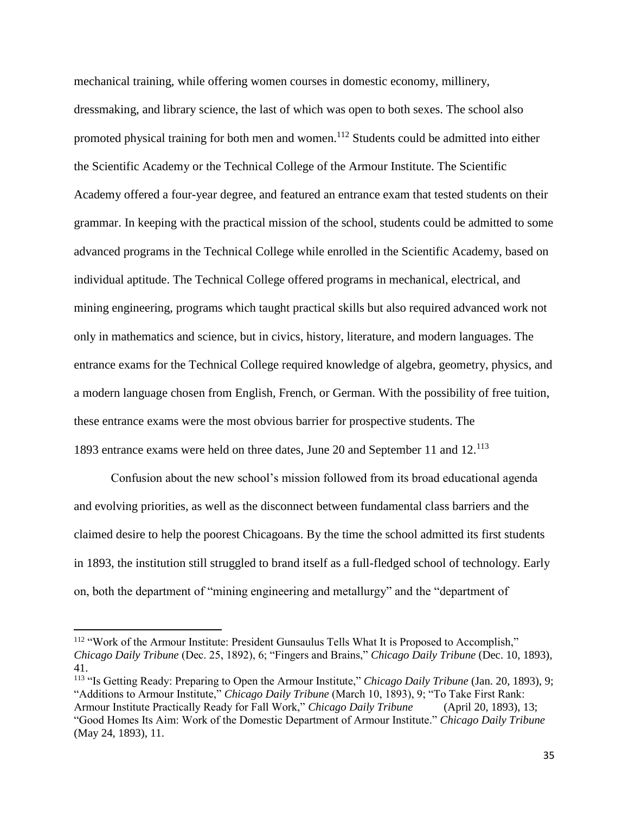mechanical training, while offering women courses in domestic economy, millinery, dressmaking, and library science, the last of which was open to both sexes. The school also promoted physical training for both men and women.<sup>112</sup> Students could be admitted into either the Scientific Academy or the Technical College of the Armour Institute. The Scientific Academy offered a four-year degree, and featured an entrance exam that tested students on their grammar. In keeping with the practical mission of the school, students could be admitted to some advanced programs in the Technical College while enrolled in the Scientific Academy, based on individual aptitude. The Technical College offered programs in mechanical, electrical, and mining engineering, programs which taught practical skills but also required advanced work not only in mathematics and science, but in civics, history, literature, and modern languages. The entrance exams for the Technical College required knowledge of algebra, geometry, physics, and a modern language chosen from English, French, or German. With the possibility of free tuition, these entrance exams were the most obvious barrier for prospective students. The 1893 entrance exams were held on three dates, June 20 and September 11 and 12.<sup>113</sup>

Confusion about the new school's mission followed from its broad educational agenda and evolving priorities, as well as the disconnect between fundamental class barriers and the claimed desire to help the poorest Chicagoans. By the time the school admitted its first students in 1893, the institution still struggled to brand itself as a full-fledged school of technology. Early on, both the department of "mining engineering and metallurgy" and the "department of

<sup>&</sup>lt;sup>112</sup> "Work of the Armour Institute: President Gunsaulus Tells What It is Proposed to Accomplish," *Chicago Daily Tribune* (Dec. 25, 1892), 6; "Fingers and Brains," *Chicago Daily Tribune* (Dec. 10, 1893), 41.

<sup>&</sup>lt;sup>113</sup> "Is Getting Ready: Preparing to Open the Armour Institute," *Chicago Daily Tribune* (Jan. 20, 1893), 9; "Additions to Armour Institute," *Chicago Daily Tribune* (March 10, 1893), 9; "To Take First Rank: Armour Institute Practically Ready for Fall Work," *Chicago Daily Tribune* (April 20, 1893), 13; "Good Homes Its Aim: Work of the Domestic Department of Armour Institute." *Chicago Daily Tribune* (May 24, 1893), 11.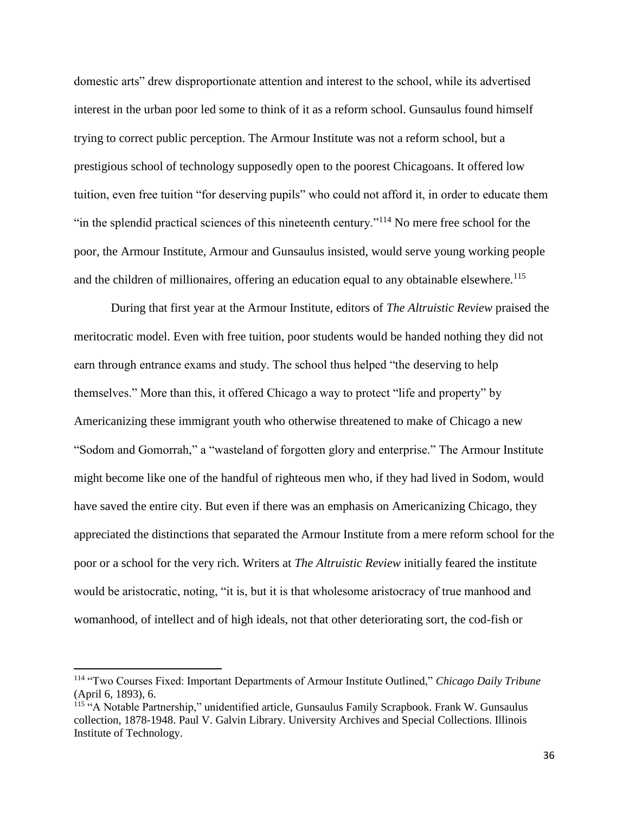domestic arts" drew disproportionate attention and interest to the school, while its advertised interest in the urban poor led some to think of it as a reform school. Gunsaulus found himself trying to correct public perception. The Armour Institute was not a reform school, but a prestigious school of technology supposedly open to the poorest Chicagoans. It offered low tuition, even free tuition "for deserving pupils" who could not afford it, in order to educate them "in the splendid practical sciences of this nineteenth century."<sup>114</sup> No mere free school for the poor, the Armour Institute, Armour and Gunsaulus insisted, would serve young working people and the children of millionaires, offering an education equal to any obtainable elsewhere.<sup>115</sup>

During that first year at the Armour Institute, editors of *The Altruistic Review* praised the meritocratic model. Even with free tuition, poor students would be handed nothing they did not earn through entrance exams and study. The school thus helped "the deserving to help themselves." More than this, it offered Chicago a way to protect "life and property" by Americanizing these immigrant youth who otherwise threatened to make of Chicago a new "Sodom and Gomorrah," a "wasteland of forgotten glory and enterprise." The Armour Institute might become like one of the handful of righteous men who, if they had lived in Sodom, would have saved the entire city. But even if there was an emphasis on Americanizing Chicago, they appreciated the distinctions that separated the Armour Institute from a mere reform school for the poor or a school for the very rich. Writers at *The Altruistic Review* initially feared the institute would be aristocratic, noting, "it is, but it is that wholesome aristocracy of true manhood and womanhood, of intellect and of high ideals, not that other deteriorating sort, the cod-fish or

<sup>114</sup> "Two Courses Fixed: Important Departments of Armour Institute Outlined," *Chicago Daily Tribune* (April 6, 1893), 6.

<sup>115</sup> "A Notable Partnership," unidentified article, Gunsaulus Family Scrapbook. Frank W. Gunsaulus collection, 1878-1948. Paul V. Galvin Library. University Archives and Special Collections. Illinois Institute of Technology.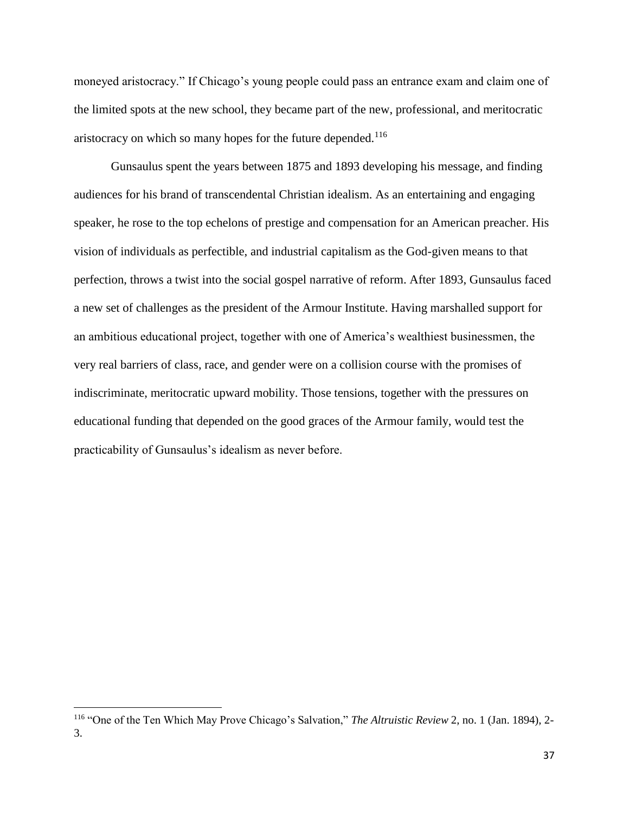moneyed aristocracy." If Chicago's young people could pass an entrance exam and claim one of the limited spots at the new school, they became part of the new, professional, and meritocratic aristocracy on which so many hopes for the future depended.<sup>116</sup>

Gunsaulus spent the years between 1875 and 1893 developing his message, and finding audiences for his brand of transcendental Christian idealism. As an entertaining and engaging speaker, he rose to the top echelons of prestige and compensation for an American preacher. His vision of individuals as perfectible, and industrial capitalism as the God-given means to that perfection, throws a twist into the social gospel narrative of reform. After 1893, Gunsaulus faced a new set of challenges as the president of the Armour Institute. Having marshalled support for an ambitious educational project, together with one of America's wealthiest businessmen, the very real barriers of class, race, and gender were on a collision course with the promises of indiscriminate, meritocratic upward mobility. Those tensions, together with the pressures on educational funding that depended on the good graces of the Armour family, would test the practicability of Gunsaulus's idealism as never before.

 $\overline{a}$ 

<sup>116</sup> "One of the Ten Which May Prove Chicago's Salvation," *The Altruistic Review* 2, no. 1 (Jan. 1894), 2- 3.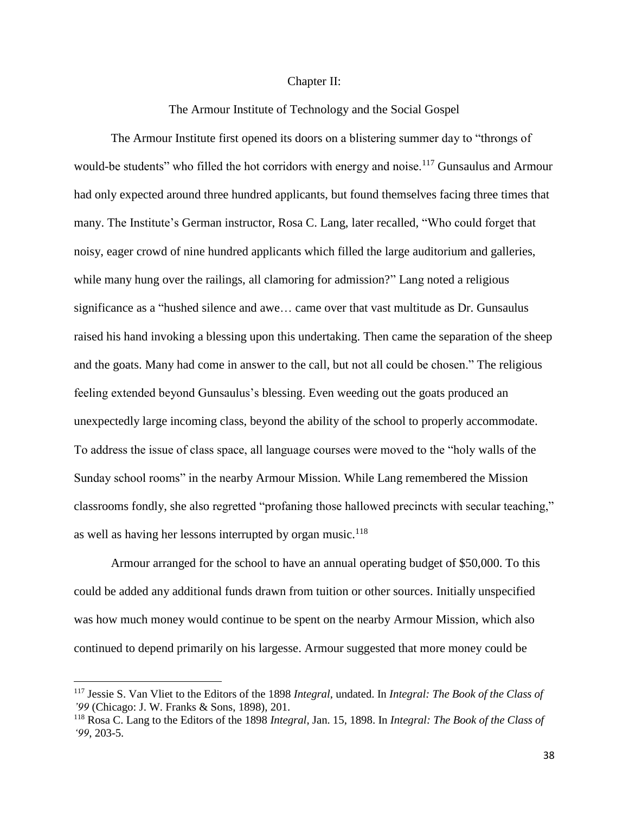## Chapter II:

The Armour Institute of Technology and the Social Gospel

The Armour Institute first opened its doors on a blistering summer day to "throngs of would-be students" who filled the hot corridors with energy and noise.<sup>117</sup> Gunsaulus and Armour had only expected around three hundred applicants, but found themselves facing three times that many. The Institute's German instructor, Rosa C. Lang, later recalled, "Who could forget that noisy, eager crowd of nine hundred applicants which filled the large auditorium and galleries, while many hung over the railings, all clamoring for admission?" Lang noted a religious significance as a "hushed silence and awe… came over that vast multitude as Dr. Gunsaulus raised his hand invoking a blessing upon this undertaking. Then came the separation of the sheep and the goats. Many had come in answer to the call, but not all could be chosen." The religious feeling extended beyond Gunsaulus's blessing. Even weeding out the goats produced an unexpectedly large incoming class, beyond the ability of the school to properly accommodate. To address the issue of class space, all language courses were moved to the "holy walls of the Sunday school rooms" in the nearby Armour Mission. While Lang remembered the Mission classrooms fondly, she also regretted "profaning those hallowed precincts with secular teaching," as well as having her lessons interrupted by organ music.<sup>118</sup>

Armour arranged for the school to have an annual operating budget of \$50,000. To this could be added any additional funds drawn from tuition or other sources. Initially unspecified was how much money would continue to be spent on the nearby Armour Mission, which also continued to depend primarily on his largesse. Armour suggested that more money could be

<sup>117</sup> Jessie S. Van Vliet to the Editors of the 1898 *Integral*, undated. In *Integral: The Book of the Class of '99* (Chicago: J. W. Franks & Sons, 1898), 201.

<sup>118</sup> Rosa C. Lang to the Editors of the 1898 *Integral*, Jan. 15, 1898. In *Integral: The Book of the Class of '99*, 203-5.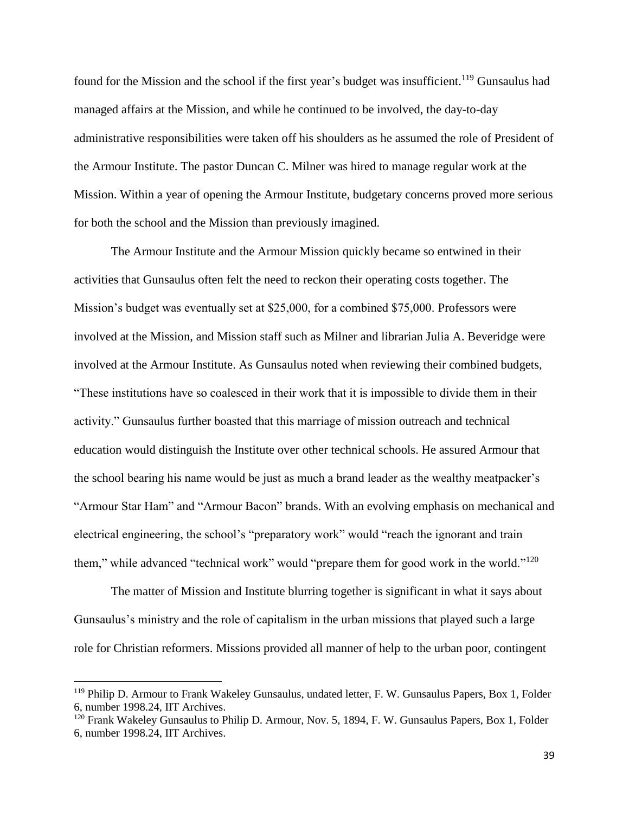found for the Mission and the school if the first year's budget was insufficient.<sup>119</sup> Gunsaulus had managed affairs at the Mission, and while he continued to be involved, the day-to-day administrative responsibilities were taken off his shoulders as he assumed the role of President of the Armour Institute. The pastor Duncan C. Milner was hired to manage regular work at the Mission. Within a year of opening the Armour Institute, budgetary concerns proved more serious for both the school and the Mission than previously imagined.

The Armour Institute and the Armour Mission quickly became so entwined in their activities that Gunsaulus often felt the need to reckon their operating costs together. The Mission's budget was eventually set at \$25,000, for a combined \$75,000. Professors were involved at the Mission, and Mission staff such as Milner and librarian Julia A. Beveridge were involved at the Armour Institute. As Gunsaulus noted when reviewing their combined budgets, "These institutions have so coalesced in their work that it is impossible to divide them in their activity." Gunsaulus further boasted that this marriage of mission outreach and technical education would distinguish the Institute over other technical schools. He assured Armour that the school bearing his name would be just as much a brand leader as the wealthy meatpacker's "Armour Star Ham" and "Armour Bacon" brands. With an evolving emphasis on mechanical and electrical engineering, the school's "preparatory work" would "reach the ignorant and train them," while advanced "technical work" would "prepare them for good work in the world."<sup>120</sup>

The matter of Mission and Institute blurring together is significant in what it says about Gunsaulus's ministry and the role of capitalism in the urban missions that played such a large role for Christian reformers. Missions provided all manner of help to the urban poor, contingent

<sup>119</sup> Philip D. Armour to Frank Wakeley Gunsaulus, undated letter, F. W. Gunsaulus Papers, Box 1, Folder 6, number 1998.24, IIT Archives.

<sup>&</sup>lt;sup>120</sup> Frank Wakeley Gunsaulus to Philip D. Armour, Nov. 5, 1894, F. W. Gunsaulus Papers, Box 1, Folder 6, number 1998.24, IIT Archives.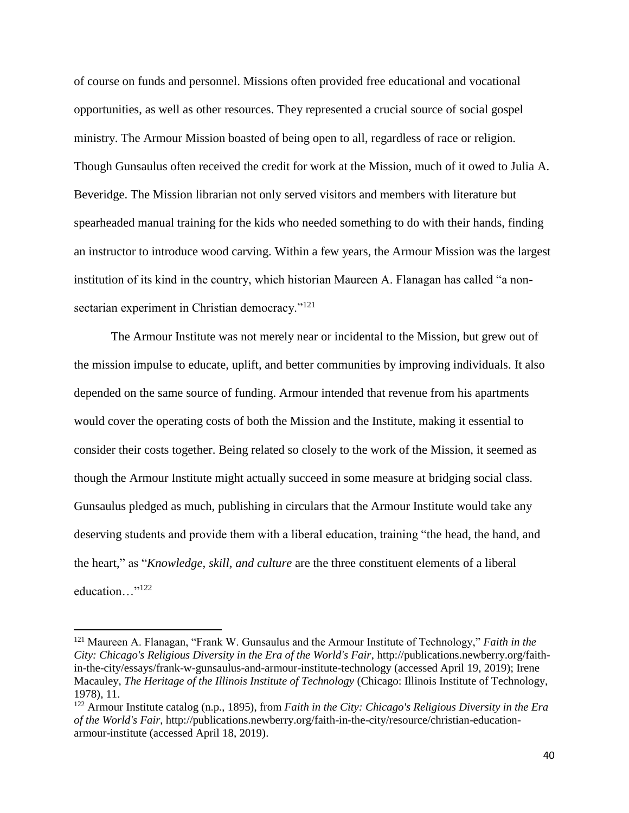of course on funds and personnel. Missions often provided free educational and vocational opportunities, as well as other resources. They represented a crucial source of social gospel ministry. The Armour Mission boasted of being open to all, regardless of race or religion. Though Gunsaulus often received the credit for work at the Mission, much of it owed to Julia A. Beveridge. The Mission librarian not only served visitors and members with literature but spearheaded manual training for the kids who needed something to do with their hands, finding an instructor to introduce wood carving. Within a few years, the Armour Mission was the largest institution of its kind in the country, which historian Maureen A. Flanagan has called "a nonsectarian experiment in Christian democracy."<sup>121</sup>

The Armour Institute was not merely near or incidental to the Mission, but grew out of the mission impulse to educate, uplift, and better communities by improving individuals. It also depended on the same source of funding. Armour intended that revenue from his apartments would cover the operating costs of both the Mission and the Institute, making it essential to consider their costs together. Being related so closely to the work of the Mission, it seemed as though the Armour Institute might actually succeed in some measure at bridging social class. Gunsaulus pledged as much, publishing in circulars that the Armour Institute would take any deserving students and provide them with a liberal education, training "the head, the hand, and the heart," as "*Knowledge, skill, and culture* are the three constituent elements of a liberal education…"<sup>122</sup>

<sup>121</sup> Maureen A. Flanagan, "Frank W. Gunsaulus and the Armour Institute of Technology," *Faith in the City: Chicago's Religious Diversity in the Era of the World's Fair*, http://publications.newberry.org/faithin-the-city/essays/frank-w-gunsaulus-and-armour-institute-technology (accessed April 19, 2019); Irene Macauley, *The Heritage of the Illinois Institute of Technology* (Chicago: Illinois Institute of Technology, 1978), 11.

<sup>122</sup> Armour Institute catalog (n.p., 1895), from *Faith in the City: Chicago's Religious Diversity in the Era of the World's Fair*, http://publications.newberry.org/faith-in-the-city/resource/christian-educationarmour-institute (accessed April 18, 2019).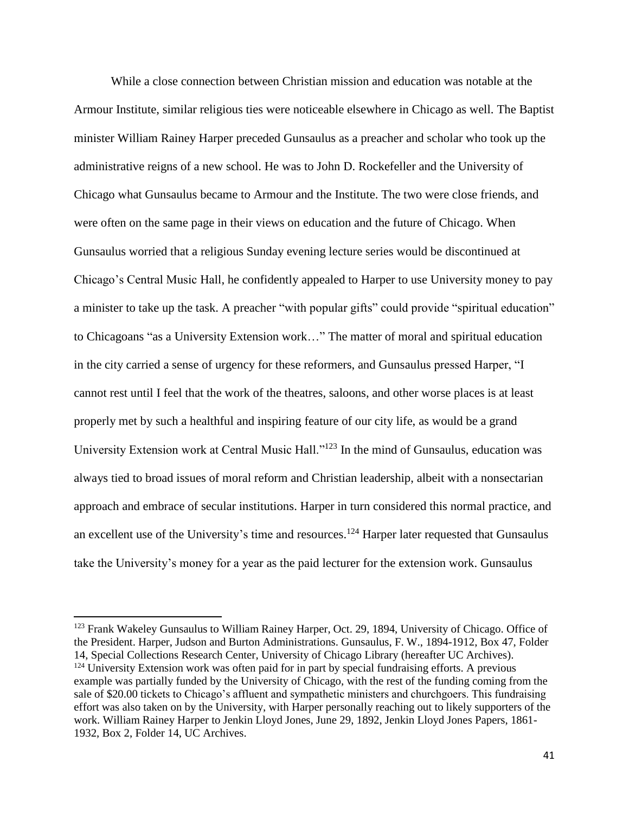While a close connection between Christian mission and education was notable at the Armour Institute, similar religious ties were noticeable elsewhere in Chicago as well. The Baptist minister William Rainey Harper preceded Gunsaulus as a preacher and scholar who took up the administrative reigns of a new school. He was to John D. Rockefeller and the University of Chicago what Gunsaulus became to Armour and the Institute. The two were close friends, and were often on the same page in their views on education and the future of Chicago. When Gunsaulus worried that a religious Sunday evening lecture series would be discontinued at Chicago's Central Music Hall, he confidently appealed to Harper to use University money to pay a minister to take up the task. A preacher "with popular gifts" could provide "spiritual education" to Chicagoans "as a University Extension work…" The matter of moral and spiritual education in the city carried a sense of urgency for these reformers, and Gunsaulus pressed Harper, "I cannot rest until I feel that the work of the theatres, saloons, and other worse places is at least properly met by such a healthful and inspiring feature of our city life, as would be a grand University Extension work at Central Music Hall."<sup>123</sup> In the mind of Gunsaulus, education was always tied to broad issues of moral reform and Christian leadership, albeit with a nonsectarian approach and embrace of secular institutions. Harper in turn considered this normal practice, and an excellent use of the University's time and resources.<sup>124</sup> Harper later requested that Gunsaulus take the University's money for a year as the paid lecturer for the extension work. Gunsaulus

<sup>&</sup>lt;sup>123</sup> Frank Wakeley Gunsaulus to William Rainey Harper, Oct. 29, 1894, University of Chicago. Office of the President. Harper, Judson and Burton Administrations. Gunsaulus, F. W., 1894-1912, Box 47, Folder 14, Special Collections Research Center, University of Chicago Library (hereafter UC Archives).

<sup>&</sup>lt;sup>124</sup> University Extension work was often paid for in part by special fundraising efforts. A previous example was partially funded by the University of Chicago, with the rest of the funding coming from the sale of \$20.00 tickets to Chicago's affluent and sympathetic ministers and churchgoers. This fundraising effort was also taken on by the University, with Harper personally reaching out to likely supporters of the work. William Rainey Harper to Jenkin Lloyd Jones, June 29, 1892, Jenkin Lloyd Jones Papers, 1861- 1932, Box 2, Folder 14, UC Archives.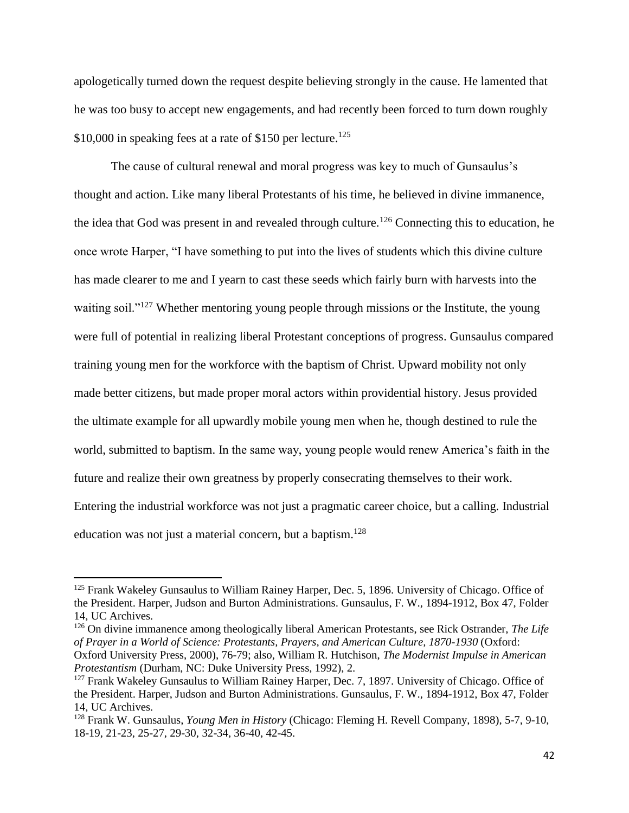apologetically turned down the request despite believing strongly in the cause. He lamented that he was too busy to accept new engagements, and had recently been forced to turn down roughly \$10,000 in speaking fees at a rate of \$150 per lecture.<sup>125</sup>

The cause of cultural renewal and moral progress was key to much of Gunsaulus's thought and action. Like many liberal Protestants of his time, he believed in divine immanence, the idea that God was present in and revealed through culture.<sup>126</sup> Connecting this to education, he once wrote Harper, "I have something to put into the lives of students which this divine culture has made clearer to me and I yearn to cast these seeds which fairly burn with harvests into the waiting soil."<sup>127</sup> Whether mentoring young people through missions or the Institute, the young were full of potential in realizing liberal Protestant conceptions of progress. Gunsaulus compared training young men for the workforce with the baptism of Christ. Upward mobility not only made better citizens, but made proper moral actors within providential history. Jesus provided the ultimate example for all upwardly mobile young men when he, though destined to rule the world, submitted to baptism. In the same way, young people would renew America's faith in the future and realize their own greatness by properly consecrating themselves to their work. Entering the industrial workforce was not just a pragmatic career choice, but a calling. Industrial education was not just a material concern, but a baptism.<sup>128</sup>

 $\overline{\phantom{a}}$ 

<sup>126</sup> On divine immanence among theologically liberal American Protestants, see Rick Ostrander, *The Life of Prayer in a World of Science: Protestants, Prayers, and American Culture, 1870-1930* (Oxford: Oxford University Press, 2000), 76-79; also, William R. Hutchison, *The Modernist Impulse in American Protestantism* (Durham, NC: Duke University Press, 1992), 2.

<sup>&</sup>lt;sup>125</sup> Frank Wakeley Gunsaulus to William Rainey Harper, Dec. 5, 1896. University of Chicago. Office of the President. Harper, Judson and Burton Administrations. Gunsaulus, F. W., 1894-1912, Box 47, Folder 14, UC Archives.

<sup>&</sup>lt;sup>127</sup> Frank Wakeley Gunsaulus to William Rainey Harper, Dec. 7, 1897. University of Chicago. Office of the President. Harper, Judson and Burton Administrations. Gunsaulus, F. W., 1894-1912, Box 47, Folder 14, UC Archives.

<sup>128</sup> Frank W. Gunsaulus, *Young Men in History* (Chicago: Fleming H. Revell Company, 1898), 5-7, 9-10, 18-19, 21-23, 25-27, 29-30, 32-34, 36-40, 42-45.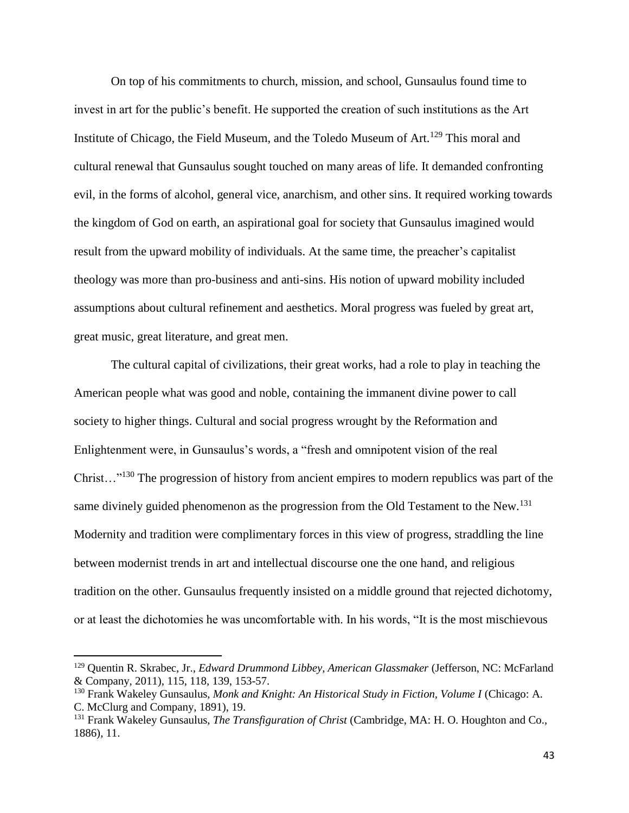On top of his commitments to church, mission, and school, Gunsaulus found time to invest in art for the public's benefit. He supported the creation of such institutions as the Art Institute of Chicago, the Field Museum, and the Toledo Museum of Art.<sup>129</sup> This moral and cultural renewal that Gunsaulus sought touched on many areas of life. It demanded confronting evil, in the forms of alcohol, general vice, anarchism, and other sins. It required working towards the kingdom of God on earth, an aspirational goal for society that Gunsaulus imagined would result from the upward mobility of individuals. At the same time, the preacher's capitalist theology was more than pro-business and anti-sins. His notion of upward mobility included assumptions about cultural refinement and aesthetics. Moral progress was fueled by great art, great music, great literature, and great men.

The cultural capital of civilizations, their great works, had a role to play in teaching the American people what was good and noble, containing the immanent divine power to call society to higher things. Cultural and social progress wrought by the Reformation and Enlightenment were, in Gunsaulus's words, a "fresh and omnipotent vision of the real Christ…"<sup>130</sup> The progression of history from ancient empires to modern republics was part of the same divinely guided phenomenon as the progression from the Old Testament to the New.<sup>131</sup> Modernity and tradition were complimentary forces in this view of progress, straddling the line between modernist trends in art and intellectual discourse one the one hand, and religious tradition on the other. Gunsaulus frequently insisted on a middle ground that rejected dichotomy, or at least the dichotomies he was uncomfortable with. In his words, "It is the most mischievous

l

<sup>129</sup> Quentin R. Skrabec, Jr., *Edward Drummond Libbey, American Glassmaker* (Jefferson, NC: McFarland & Company, 2011), 115, 118, 139, 153-57.

<sup>&</sup>lt;sup>130</sup> Frank Wakeley Gunsaulus, Monk and Knight: An Historical Study in Fiction, Volume I (Chicago: A. C. McClurg and Company, 1891), 19.

<sup>131</sup> Frank Wakeley Gunsaulus, *The Transfiguration of Christ* (Cambridge, MA: H. O. Houghton and Co., 1886), 11.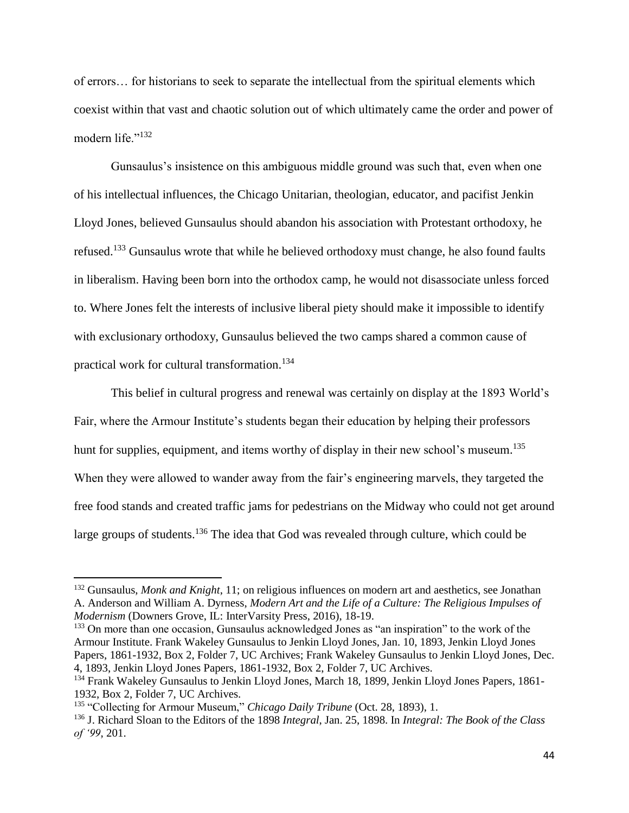of errors… for historians to seek to separate the intellectual from the spiritual elements which coexist within that vast and chaotic solution out of which ultimately came the order and power of modern life."<sup>132</sup>

Gunsaulus's insistence on this ambiguous middle ground was such that, even when one of his intellectual influences, the Chicago Unitarian, theologian, educator, and pacifist Jenkin Lloyd Jones, believed Gunsaulus should abandon his association with Protestant orthodoxy, he refused.<sup>133</sup> Gunsaulus wrote that while he believed orthodoxy must change, he also found faults in liberalism. Having been born into the orthodox camp, he would not disassociate unless forced to. Where Jones felt the interests of inclusive liberal piety should make it impossible to identify with exclusionary orthodoxy, Gunsaulus believed the two camps shared a common cause of practical work for cultural transformation.<sup>134</sup>

This belief in cultural progress and renewal was certainly on display at the 1893 World's Fair, where the Armour Institute's students began their education by helping their professors hunt for supplies, equipment, and items worthy of display in their new school's museum.<sup>135</sup> When they were allowed to wander away from the fair's engineering marvels, they targeted the free food stands and created traffic jams for pedestrians on the Midway who could not get around large groups of students.<sup>136</sup> The idea that God was revealed through culture, which could be

<sup>133</sup> On more than one occasion, Gunsaulus acknowledged Jones as "an inspiration" to the work of the Armour Institute. Frank Wakeley Gunsaulus to Jenkin Lloyd Jones, Jan. 10, 1893, Jenkin Lloyd Jones Papers, 1861-1932, Box 2, Folder 7, UC Archives; Frank Wakeley Gunsaulus to Jenkin Lloyd Jones, Dec. 4, 1893, Jenkin Lloyd Jones Papers, 1861-1932, Box 2, Folder 7, UC Archives.

<sup>132</sup> Gunsaulus, *Monk and Knight*, 11; on religious influences on modern art and aesthetics, see Jonathan A. Anderson and William A. Dyrness, *Modern Art and the Life of a Culture: The Religious Impulses of Modernism* (Downers Grove, IL: InterVarsity Press, 2016), 18-19.

<sup>134</sup> Frank Wakeley Gunsaulus to Jenkin Lloyd Jones, March 18, 1899, Jenkin Lloyd Jones Papers, 1861- 1932, Box 2, Folder 7, UC Archives.

<sup>&</sup>lt;sup>135</sup> "Collecting for Armour Museum," *Chicago Daily Tribune* (Oct. 28, 1893), 1.

<sup>136</sup> J. Richard Sloan to the Editors of the 1898 *Integral*, Jan. 25, 1898. In *Integral: The Book of the Class of '99*, 201.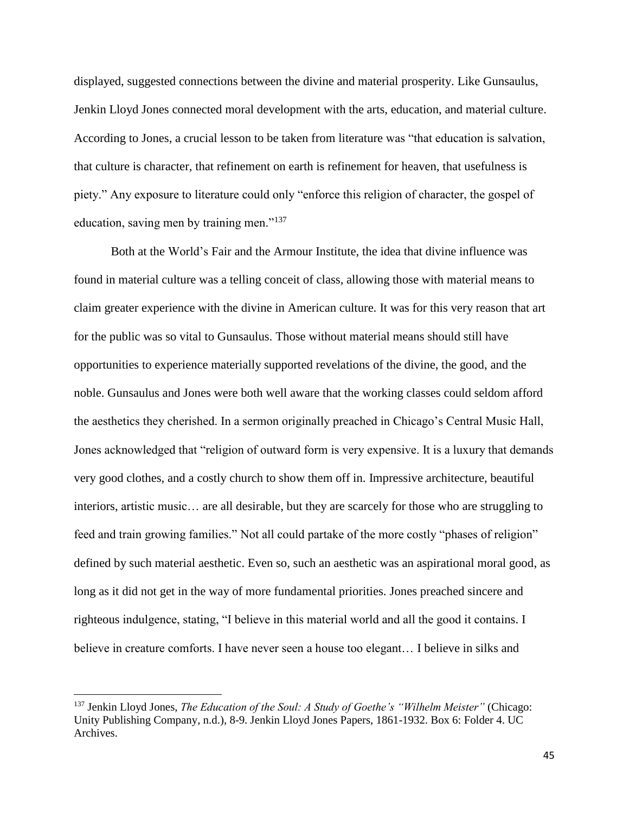displayed, suggested connections between the divine and material prosperity. Like Gunsaulus, Jenkin Lloyd Jones connected moral development with the arts, education, and material culture. According to Jones, a crucial lesson to be taken from literature was "that education is salvation, that culture is character, that refinement on earth is refinement for heaven, that usefulness is piety." Any exposure to literature could only "enforce this religion of character, the gospel of education, saving men by training men."<sup>137</sup>

Both at the World's Fair and the Armour Institute, the idea that divine influence was found in material culture was a telling conceit of class, allowing those with material means to claim greater experience with the divine in American culture. It was for this very reason that art for the public was so vital to Gunsaulus. Those without material means should still have opportunities to experience materially supported revelations of the divine, the good, and the noble. Gunsaulus and Jones were both well aware that the working classes could seldom afford the aesthetics they cherished. In a sermon originally preached in Chicago's Central Music Hall, Jones acknowledged that "religion of outward form is very expensive. It is a luxury that demands very good clothes, and a costly church to show them off in. Impressive architecture, beautiful interiors, artistic music… are all desirable, but they are scarcely for those who are struggling to feed and train growing families." Not all could partake of the more costly "phases of religion" defined by such material aesthetic. Even so, such an aesthetic was an aspirational moral good, as long as it did not get in the way of more fundamental priorities. Jones preached sincere and righteous indulgence, stating, "I believe in this material world and all the good it contains. I believe in creature comforts. I have never seen a house too elegant… I believe in silks and

<sup>137</sup> Jenkin Lloyd Jones, *The Education of the Soul: A Study of Goethe's "Wilhelm Meister"* (Chicago: Unity Publishing Company, n.d.), 8-9. Jenkin Lloyd Jones Papers, 1861-1932. Box 6: Folder 4. UC Archives.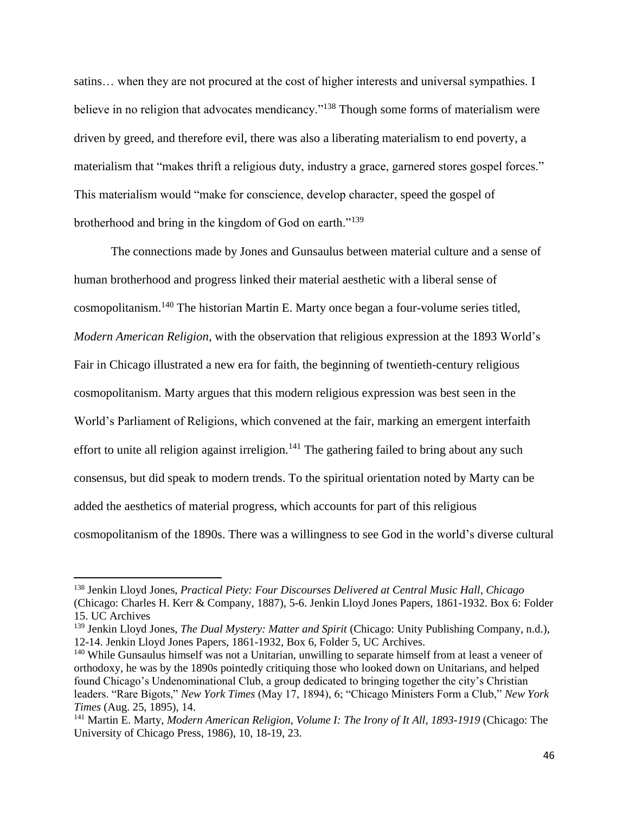satins… when they are not procured at the cost of higher interests and universal sympathies. I believe in no religion that advocates mendicancy."<sup>138</sup> Though some forms of materialism were driven by greed, and therefore evil, there was also a liberating materialism to end poverty, a materialism that "makes thrift a religious duty, industry a grace, garnered stores gospel forces." This materialism would "make for conscience, develop character, speed the gospel of brotherhood and bring in the kingdom of God on earth."<sup>139</sup>

The connections made by Jones and Gunsaulus between material culture and a sense of human brotherhood and progress linked their material aesthetic with a liberal sense of cosmopolitanism.<sup>140</sup> The historian Martin E. Marty once began a four-volume series titled, *Modern American Religion*, with the observation that religious expression at the 1893 World's Fair in Chicago illustrated a new era for faith, the beginning of twentieth-century religious cosmopolitanism. Marty argues that this modern religious expression was best seen in the World's Parliament of Religions, which convened at the fair, marking an emergent interfaith effort to unite all religion against irreligion.<sup>141</sup> The gathering failed to bring about any such consensus, but did speak to modern trends. To the spiritual orientation noted by Marty can be added the aesthetics of material progress, which accounts for part of this religious cosmopolitanism of the 1890s. There was a willingness to see God in the world's diverse cultural

<sup>138</sup> Jenkin Lloyd Jones, *Practical Piety: Four Discourses Delivered at Central Music Hall, Chicago* (Chicago: Charles H. Kerr & Company, 1887), 5-6. Jenkin Lloyd Jones Papers, 1861-1932. Box 6: Folder 15. UC Archives

<sup>139</sup> Jenkin Lloyd Jones, *The Dual Mystery: Matter and Spirit* (Chicago: Unity Publishing Company, n.d.), 12-14. Jenkin Lloyd Jones Papers, 1861-1932, Box 6, Folder 5, UC Archives.

<sup>&</sup>lt;sup>140</sup> While Gunsaulus himself was not a Unitarian, unwilling to separate himself from at least a veneer of orthodoxy, he was by the 1890s pointedly critiquing those who looked down on Unitarians, and helped found Chicago's Undenominational Club, a group dedicated to bringing together the city's Christian leaders. "Rare Bigots," *New York Times* (May 17, 1894), 6; "Chicago Ministers Form a Club," *New York Times* (Aug. 25, 1895), 14.

<sup>141</sup> Martin E. Marty, *Modern American Religion, Volume I: The Irony of It All, 1893-1919* (Chicago: The University of Chicago Press, 1986), 10, 18-19, 23.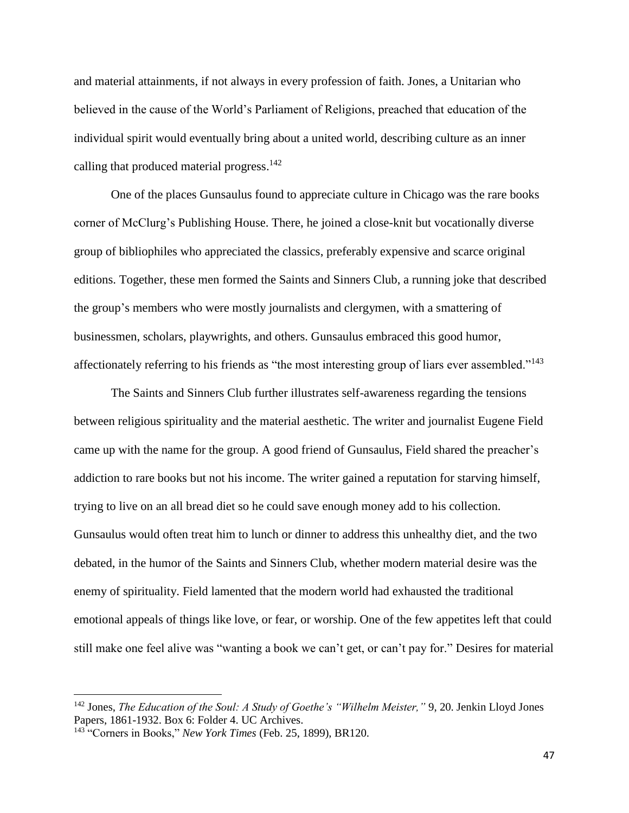and material attainments, if not always in every profession of faith. Jones, a Unitarian who believed in the cause of the World's Parliament of Religions, preached that education of the individual spirit would eventually bring about a united world, describing culture as an inner calling that produced material progress.<sup>142</sup>

One of the places Gunsaulus found to appreciate culture in Chicago was the rare books corner of McClurg's Publishing House. There, he joined a close-knit but vocationally diverse group of bibliophiles who appreciated the classics, preferably expensive and scarce original editions. Together, these men formed the Saints and Sinners Club, a running joke that described the group's members who were mostly journalists and clergymen, with a smattering of businessmen, scholars, playwrights, and others. Gunsaulus embraced this good humor, affectionately referring to his friends as "the most interesting group of liars ever assembled."<sup>143</sup>

The Saints and Sinners Club further illustrates self-awareness regarding the tensions between religious spirituality and the material aesthetic. The writer and journalist Eugene Field came up with the name for the group. A good friend of Gunsaulus, Field shared the preacher's addiction to rare books but not his income. The writer gained a reputation for starving himself, trying to live on an all bread diet so he could save enough money add to his collection. Gunsaulus would often treat him to lunch or dinner to address this unhealthy diet, and the two debated, in the humor of the Saints and Sinners Club, whether modern material desire was the enemy of spirituality. Field lamented that the modern world had exhausted the traditional emotional appeals of things like love, or fear, or worship. One of the few appetites left that could still make one feel alive was "wanting a book we can't get, or can't pay for." Desires for material

<sup>142</sup> Jones, *The Education of the Soul: A Study of Goethe's "Wilhelm Meister,"* 9, 20. Jenkin Lloyd Jones Papers, 1861-1932. Box 6: Folder 4. UC Archives.

<sup>143</sup> "Corners in Books," *New York Times* (Feb. 25, 1899), BR120.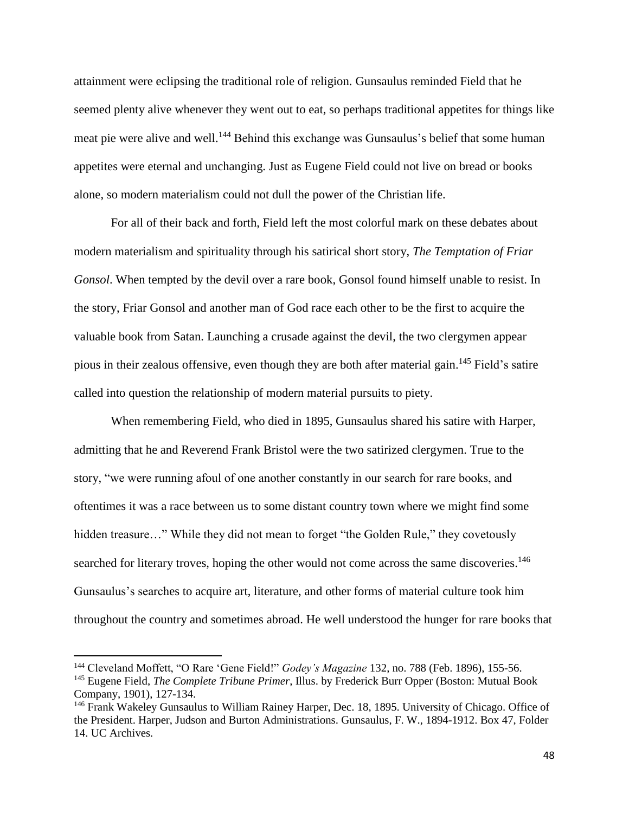attainment were eclipsing the traditional role of religion. Gunsaulus reminded Field that he seemed plenty alive whenever they went out to eat, so perhaps traditional appetites for things like meat pie were alive and well.<sup>144</sup> Behind this exchange was Gunsaulus's belief that some human appetites were eternal and unchanging. Just as Eugene Field could not live on bread or books alone, so modern materialism could not dull the power of the Christian life.

For all of their back and forth, Field left the most colorful mark on these debates about modern materialism and spirituality through his satirical short story, *The Temptation of Friar Gonsol*. When tempted by the devil over a rare book, Gonsol found himself unable to resist. In the story, Friar Gonsol and another man of God race each other to be the first to acquire the valuable book from Satan. Launching a crusade against the devil, the two clergymen appear pious in their zealous offensive, even though they are both after material gain.<sup>145</sup> Field's satire called into question the relationship of modern material pursuits to piety.

When remembering Field, who died in 1895, Gunsaulus shared his satire with Harper, admitting that he and Reverend Frank Bristol were the two satirized clergymen. True to the story, "we were running afoul of one another constantly in our search for rare books, and oftentimes it was a race between us to some distant country town where we might find some hidden treasure..." While they did not mean to forget "the Golden Rule," they covetously searched for literary troves, hoping the other would not come across the same discoveries.<sup>146</sup> Gunsaulus's searches to acquire art, literature, and other forms of material culture took him throughout the country and sometimes abroad. He well understood the hunger for rare books that

l

<sup>144</sup> Cleveland Moffett, "O Rare 'Gene Field!" *Godey's Magazine* 132, no. 788 (Feb. 1896), 155-56.

<sup>145</sup> Eugene Field, *The Complete Tribune Primer*, Illus. by Frederick Burr Opper (Boston: Mutual Book Company, 1901), 127-134.

<sup>146</sup> Frank Wakeley Gunsaulus to William Rainey Harper, Dec. 18, 1895. University of Chicago. Office of the President. Harper, Judson and Burton Administrations. Gunsaulus, F. W., 1894-1912. Box 47, Folder 14. UC Archives.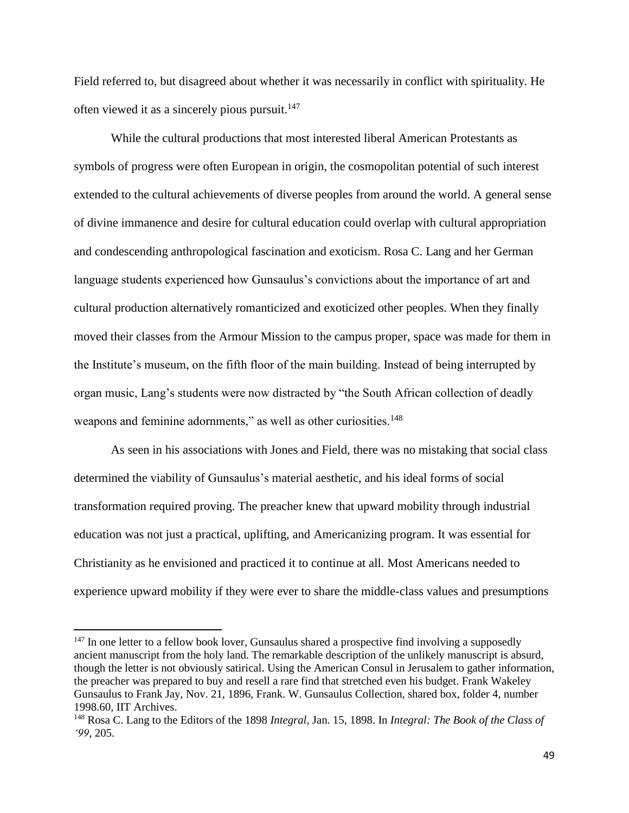Field referred to, but disagreed about whether it was necessarily in conflict with spirituality. He often viewed it as a sincerely pious pursuit.<sup>147</sup>

While the cultural productions that most interested liberal American Protestants as symbols of progress were often European in origin, the cosmopolitan potential of such interest extended to the cultural achievements of diverse peoples from around the world. A general sense of divine immanence and desire for cultural education could overlap with cultural appropriation and condescending anthropological fascination and exoticism. Rosa C. Lang and her German language students experienced how Gunsaulus's convictions about the importance of art and cultural production alternatively romanticized and exoticized other peoples. When they finally moved their classes from the Armour Mission to the campus proper, space was made for them in the Institute's museum, on the fifth floor of the main building. Instead of being interrupted by organ music, Lang's students were now distracted by "the South African collection of deadly weapons and feminine adornments," as well as other curiosities.<sup>148</sup>

As seen in his associations with Jones and Field, there was no mistaking that social class determined the viability of Gunsaulus's material aesthetic, and his ideal forms of social transformation required proving. The preacher knew that upward mobility through industrial education was not just a practical, uplifting, and Americanizing program. It was essential for Christianity as he envisioned and practiced it to continue at all. Most Americans needed to experience upward mobility if they were ever to share the middle-class values and presumptions

 $147$  In one letter to a fellow book lover, Gunsaulus shared a prospective find involving a supposedly ancient manuscript from the holy land. The remarkable description of the unlikely manuscript is absurd, though the letter is not obviously satirical. Using the American Consul in Jerusalem to gather information, the preacher was prepared to buy and resell a rare find that stretched even his budget. Frank Wakeley Gunsaulus to Frank Jay, Nov. 21, 1896, Frank. W. Gunsaulus Collection, shared box, folder 4, number 1998.60, IIT Archives.

<sup>148</sup> Rosa C. Lang to the Editors of the 1898 *Integral*, Jan. 15, 1898. In *Integral: The Book of the Class of '99*, 205.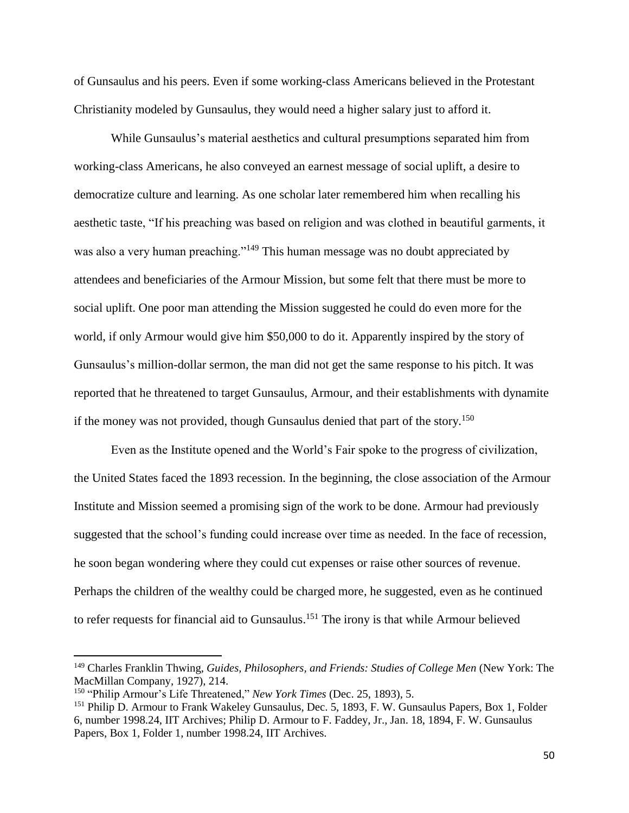of Gunsaulus and his peers. Even if some working-class Americans believed in the Protestant Christianity modeled by Gunsaulus, they would need a higher salary just to afford it.

While Gunsaulus's material aesthetics and cultural presumptions separated him from working-class Americans, he also conveyed an earnest message of social uplift, a desire to democratize culture and learning. As one scholar later remembered him when recalling his aesthetic taste, "If his preaching was based on religion and was clothed in beautiful garments, it was also a very human preaching."<sup>149</sup> This human message was no doubt appreciated by attendees and beneficiaries of the Armour Mission, but some felt that there must be more to social uplift. One poor man attending the Mission suggested he could do even more for the world, if only Armour would give him \$50,000 to do it. Apparently inspired by the story of Gunsaulus's million-dollar sermon, the man did not get the same response to his pitch. It was reported that he threatened to target Gunsaulus, Armour, and their establishments with dynamite if the money was not provided, though Gunsaulus denied that part of the story.<sup>150</sup>

Even as the Institute opened and the World's Fair spoke to the progress of civilization, the United States faced the 1893 recession. In the beginning, the close association of the Armour Institute and Mission seemed a promising sign of the work to be done. Armour had previously suggested that the school's funding could increase over time as needed. In the face of recession, he soon began wondering where they could cut expenses or raise other sources of revenue. Perhaps the children of the wealthy could be charged more, he suggested, even as he continued to refer requests for financial aid to Gunsaulus.<sup>151</sup> The irony is that while Armour believed

l

<sup>149</sup> Charles Franklin Thwing, *Guides, Philosophers, and Friends: Studies of College Men* (New York: The MacMillan Company, 1927), 214.

<sup>150</sup> "Philip Armour's Life Threatened," *New York Times* (Dec. 25, 1893), 5.

<sup>&</sup>lt;sup>151</sup> Philip D. Armour to Frank Wakeley Gunsaulus, Dec. 5, 1893, F. W. Gunsaulus Papers, Box 1, Folder 6, number 1998.24, IIT Archives; Philip D. Armour to F. Faddey, Jr., Jan. 18, 1894, F. W. Gunsaulus Papers, Box 1, Folder 1, number 1998.24, IIT Archives.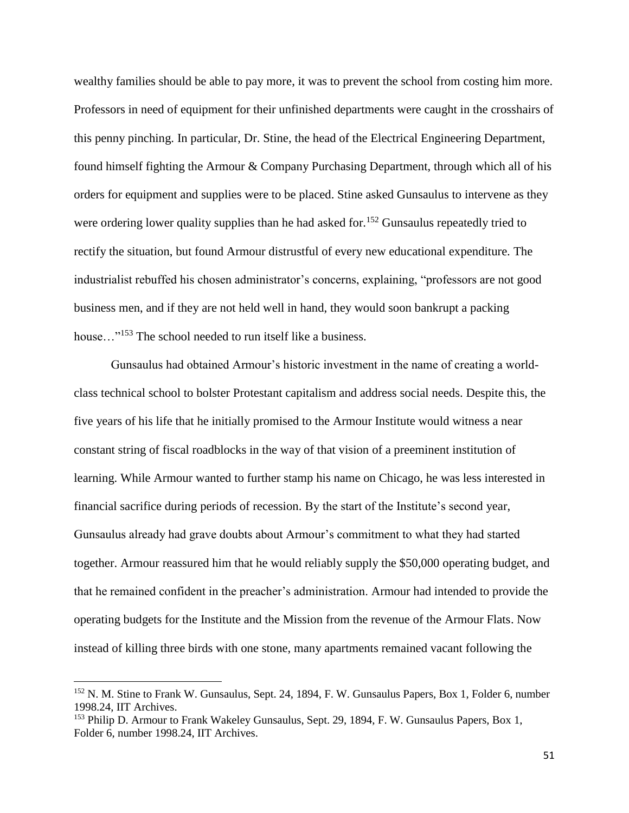wealthy families should be able to pay more, it was to prevent the school from costing him more. Professors in need of equipment for their unfinished departments were caught in the crosshairs of this penny pinching. In particular, Dr. Stine, the head of the Electrical Engineering Department, found himself fighting the Armour & Company Purchasing Department, through which all of his orders for equipment and supplies were to be placed. Stine asked Gunsaulus to intervene as they were ordering lower quality supplies than he had asked for.<sup>152</sup> Gunsaulus repeatedly tried to rectify the situation, but found Armour distrustful of every new educational expenditure. The industrialist rebuffed his chosen administrator's concerns, explaining, "professors are not good business men, and if they are not held well in hand, they would soon bankrupt a packing house..."<sup>153</sup> The school needed to run itself like a business.

Gunsaulus had obtained Armour's historic investment in the name of creating a worldclass technical school to bolster Protestant capitalism and address social needs. Despite this, the five years of his life that he initially promised to the Armour Institute would witness a near constant string of fiscal roadblocks in the way of that vision of a preeminent institution of learning. While Armour wanted to further stamp his name on Chicago, he was less interested in financial sacrifice during periods of recession. By the start of the Institute's second year, Gunsaulus already had grave doubts about Armour's commitment to what they had started together. Armour reassured him that he would reliably supply the \$50,000 operating budget, and that he remained confident in the preacher's administration. Armour had intended to provide the operating budgets for the Institute and the Mission from the revenue of the Armour Flats. Now instead of killing three birds with one stone, many apartments remained vacant following the

<sup>152</sup> N. M. Stine to Frank W. Gunsaulus, Sept. 24, 1894, F. W. Gunsaulus Papers, Box 1, Folder 6, number 1998.24, IIT Archives.

<sup>153</sup> Philip D. Armour to Frank Wakeley Gunsaulus, Sept. 29, 1894, F. W. Gunsaulus Papers, Box 1, Folder 6, number 1998.24, IIT Archives.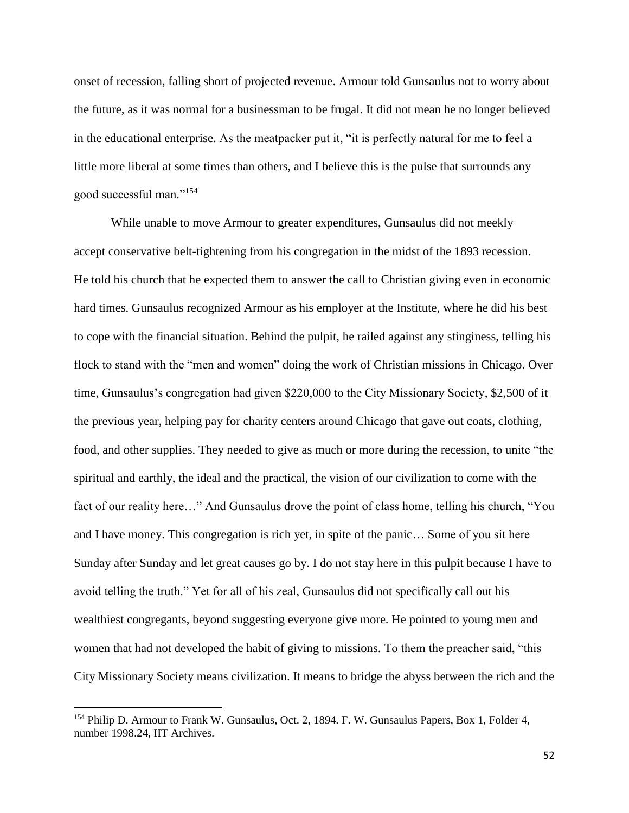onset of recession, falling short of projected revenue. Armour told Gunsaulus not to worry about the future, as it was normal for a businessman to be frugal. It did not mean he no longer believed in the educational enterprise. As the meatpacker put it, "it is perfectly natural for me to feel a little more liberal at some times than others, and I believe this is the pulse that surrounds any good successful man."<sup>154</sup>

While unable to move Armour to greater expenditures, Gunsaulus did not meekly accept conservative belt-tightening from his congregation in the midst of the 1893 recession. He told his church that he expected them to answer the call to Christian giving even in economic hard times. Gunsaulus recognized Armour as his employer at the Institute, where he did his best to cope with the financial situation. Behind the pulpit, he railed against any stinginess, telling his flock to stand with the "men and women" doing the work of Christian missions in Chicago. Over time, Gunsaulus's congregation had given \$220,000 to the City Missionary Society, \$2,500 of it the previous year, helping pay for charity centers around Chicago that gave out coats, clothing, food, and other supplies. They needed to give as much or more during the recession, to unite "the spiritual and earthly, the ideal and the practical, the vision of our civilization to come with the fact of our reality here…" And Gunsaulus drove the point of class home, telling his church, "You and I have money. This congregation is rich yet, in spite of the panic… Some of you sit here Sunday after Sunday and let great causes go by. I do not stay here in this pulpit because I have to avoid telling the truth." Yet for all of his zeal, Gunsaulus did not specifically call out his wealthiest congregants, beyond suggesting everyone give more. He pointed to young men and women that had not developed the habit of giving to missions. To them the preacher said, "this City Missionary Society means civilization. It means to bridge the abyss between the rich and the

 $\overline{a}$ 

<sup>&</sup>lt;sup>154</sup> Philip D. Armour to Frank W. Gunsaulus, Oct. 2, 1894. F. W. Gunsaulus Papers, Box 1, Folder 4, number 1998.24, IIT Archives.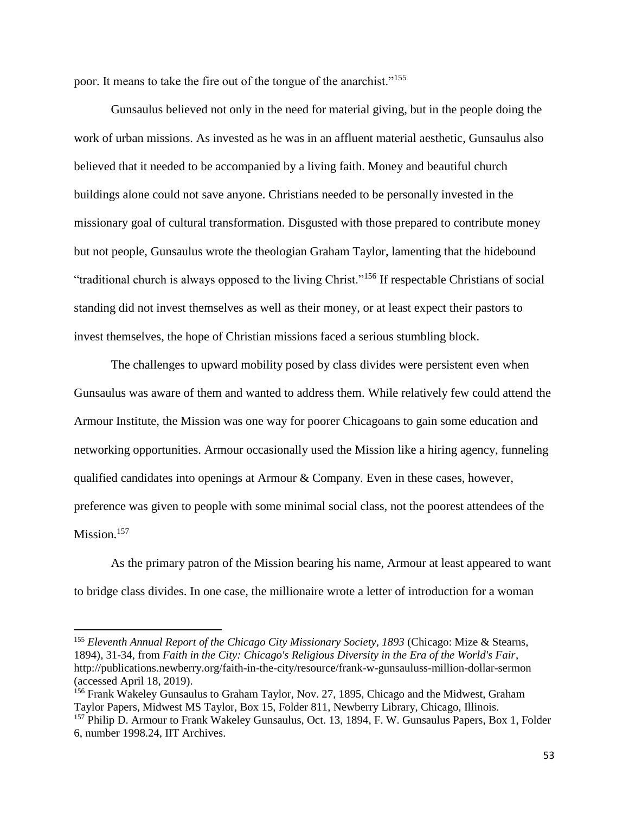poor. It means to take the fire out of the tongue of the anarchist."<sup>155</sup>

Gunsaulus believed not only in the need for material giving, but in the people doing the work of urban missions. As invested as he was in an affluent material aesthetic, Gunsaulus also believed that it needed to be accompanied by a living faith. Money and beautiful church buildings alone could not save anyone. Christians needed to be personally invested in the missionary goal of cultural transformation. Disgusted with those prepared to contribute money but not people, Gunsaulus wrote the theologian Graham Taylor, lamenting that the hidebound "traditional church is always opposed to the living Christ."<sup>156</sup> If respectable Christians of social standing did not invest themselves as well as their money, or at least expect their pastors to invest themselves, the hope of Christian missions faced a serious stumbling block.

The challenges to upward mobility posed by class divides were persistent even when Gunsaulus was aware of them and wanted to address them. While relatively few could attend the Armour Institute, the Mission was one way for poorer Chicagoans to gain some education and networking opportunities. Armour occasionally used the Mission like a hiring agency, funneling qualified candidates into openings at Armour & Company. Even in these cases, however, preference was given to people with some minimal social class, not the poorest attendees of the Mission.<sup>157</sup>

As the primary patron of the Mission bearing his name, Armour at least appeared to want to bridge class divides. In one case, the millionaire wrote a letter of introduction for a woman

<sup>155</sup> *Eleventh Annual Report of the Chicago City Missionary Society, 1893* (Chicago: Mize & Stearns, 1894), 31-34, from *Faith in the City: Chicago's Religious Diversity in the Era of the World's Fair*, http://publications.newberry.org/faith-in-the-city/resource/frank-w-gunsauluss-million-dollar-sermon (accessed April 18, 2019).

<sup>156</sup> Frank Wakeley Gunsaulus to Graham Taylor, Nov. 27, 1895, Chicago and the Midwest, Graham Taylor Papers, Midwest MS Taylor, Box 15, Folder 811, Newberry Library, Chicago, Illinois.

<sup>&</sup>lt;sup>157</sup> Philip D. Armour to Frank Wakeley Gunsaulus, Oct. 13, 1894, F. W. Gunsaulus Papers, Box 1, Folder 6, number 1998.24, IIT Archives.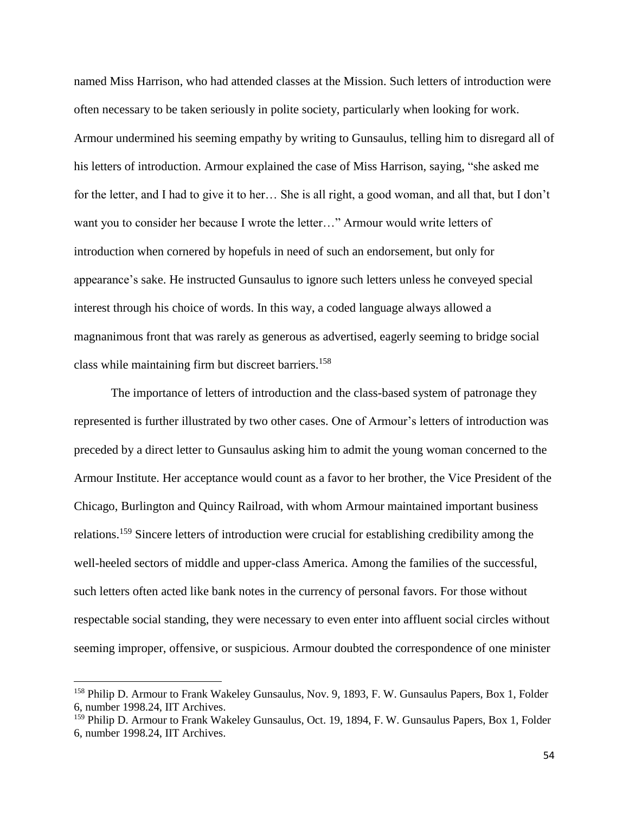named Miss Harrison, who had attended classes at the Mission. Such letters of introduction were often necessary to be taken seriously in polite society, particularly when looking for work. Armour undermined his seeming empathy by writing to Gunsaulus, telling him to disregard all of his letters of introduction. Armour explained the case of Miss Harrison, saying, "she asked me for the letter, and I had to give it to her… She is all right, a good woman, and all that, but I don't want you to consider her because I wrote the letter…" Armour would write letters of introduction when cornered by hopefuls in need of such an endorsement, but only for appearance's sake. He instructed Gunsaulus to ignore such letters unless he conveyed special interest through his choice of words. In this way, a coded language always allowed a magnanimous front that was rarely as generous as advertised, eagerly seeming to bridge social class while maintaining firm but discreet barriers. 158

The importance of letters of introduction and the class-based system of patronage they represented is further illustrated by two other cases. One of Armour's letters of introduction was preceded by a direct letter to Gunsaulus asking him to admit the young woman concerned to the Armour Institute. Her acceptance would count as a favor to her brother, the Vice President of the Chicago, Burlington and Quincy Railroad, with whom Armour maintained important business relations.<sup>159</sup> Sincere letters of introduction were crucial for establishing credibility among the well-heeled sectors of middle and upper-class America. Among the families of the successful, such letters often acted like bank notes in the currency of personal favors. For those without respectable social standing, they were necessary to even enter into affluent social circles without seeming improper, offensive, or suspicious. Armour doubted the correspondence of one minister

<sup>&</sup>lt;sup>158</sup> Philip D. Armour to Frank Wakeley Gunsaulus, Nov. 9, 1893, F. W. Gunsaulus Papers, Box 1, Folder 6, number 1998.24, IIT Archives.

<sup>&</sup>lt;sup>159</sup> Philip D. Armour to Frank Wakeley Gunsaulus, Oct. 19, 1894, F. W. Gunsaulus Papers, Box 1, Folder 6, number 1998.24, IIT Archives.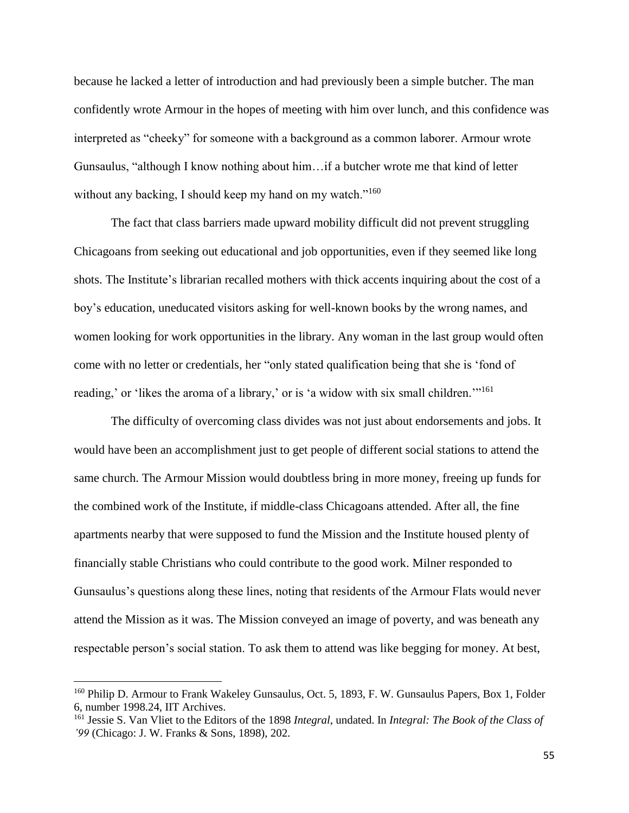because he lacked a letter of introduction and had previously been a simple butcher. The man confidently wrote Armour in the hopes of meeting with him over lunch, and this confidence was interpreted as "cheeky" for someone with a background as a common laborer. Armour wrote Gunsaulus, "although I know nothing about him…if a butcher wrote me that kind of letter without any backing, I should keep my hand on my watch."<sup>160</sup>

The fact that class barriers made upward mobility difficult did not prevent struggling Chicagoans from seeking out educational and job opportunities, even if they seemed like long shots. The Institute's librarian recalled mothers with thick accents inquiring about the cost of a boy's education, uneducated visitors asking for well-known books by the wrong names, and women looking for work opportunities in the library. Any woman in the last group would often come with no letter or credentials, her "only stated qualification being that she is 'fond of reading,' or 'likes the aroma of a library,' or is 'a widow with six small children.'"<sup>161</sup>

The difficulty of overcoming class divides was not just about endorsements and jobs. It would have been an accomplishment just to get people of different social stations to attend the same church. The Armour Mission would doubtless bring in more money, freeing up funds for the combined work of the Institute, if middle-class Chicagoans attended. After all, the fine apartments nearby that were supposed to fund the Mission and the Institute housed plenty of financially stable Christians who could contribute to the good work. Milner responded to Gunsaulus's questions along these lines, noting that residents of the Armour Flats would never attend the Mission as it was. The Mission conveyed an image of poverty, and was beneath any respectable person's social station. To ask them to attend was like begging for money. At best,

<sup>&</sup>lt;sup>160</sup> Philip D. Armour to Frank Wakeley Gunsaulus, Oct. 5, 1893, F. W. Gunsaulus Papers, Box 1, Folder 6, number 1998.24, IIT Archives.

<sup>161</sup> Jessie S. Van Vliet to the Editors of the 1898 *Integral*, undated. In *Integral: The Book of the Class of '99* (Chicago: J. W. Franks & Sons, 1898), 202.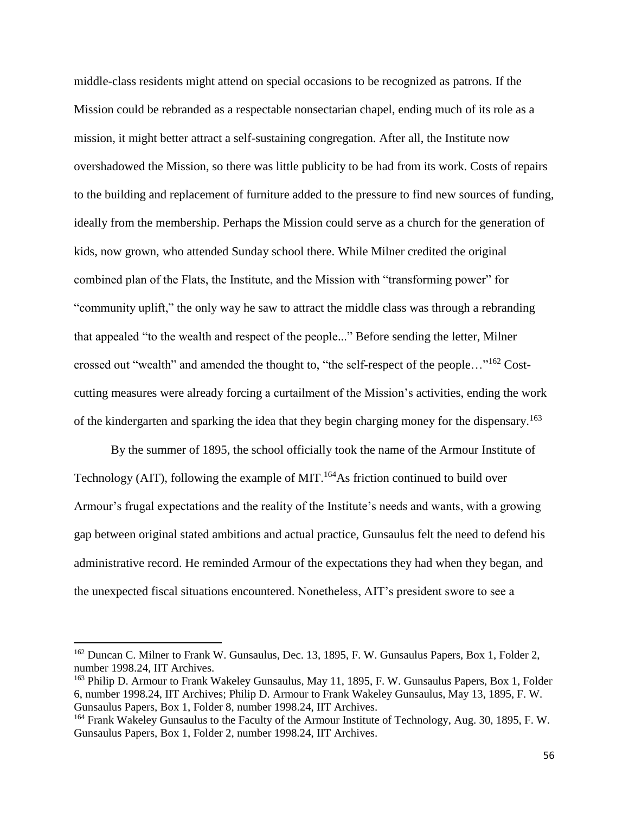middle-class residents might attend on special occasions to be recognized as patrons. If the Mission could be rebranded as a respectable nonsectarian chapel, ending much of its role as a mission, it might better attract a self-sustaining congregation. After all, the Institute now overshadowed the Mission, so there was little publicity to be had from its work. Costs of repairs to the building and replacement of furniture added to the pressure to find new sources of funding, ideally from the membership. Perhaps the Mission could serve as a church for the generation of kids, now grown, who attended Sunday school there. While Milner credited the original combined plan of the Flats, the Institute, and the Mission with "transforming power" for "community uplift," the only way he saw to attract the middle class was through a rebranding that appealed "to the wealth and respect of the people..." Before sending the letter, Milner crossed out "wealth" and amended the thought to, "the self-respect of the people..."<sup>162</sup> Costcutting measures were already forcing a curtailment of the Mission's activities, ending the work of the kindergarten and sparking the idea that they begin charging money for the dispensary.<sup>163</sup>

By the summer of 1895, the school officially took the name of the Armour Institute of Technology (AIT), following the example of MIT.<sup>164</sup>As friction continued to build over Armour's frugal expectations and the reality of the Institute's needs and wants, with a growing gap between original stated ambitions and actual practice, Gunsaulus felt the need to defend his administrative record. He reminded Armour of the expectations they had when they began, and the unexpected fiscal situations encountered. Nonetheless, AIT's president swore to see a

<sup>&</sup>lt;sup>162</sup> Duncan C. Milner to Frank W. Gunsaulus, Dec. 13, 1895, F. W. Gunsaulus Papers, Box 1, Folder 2, number 1998.24, IIT Archives.

<sup>&</sup>lt;sup>163</sup> Philip D. Armour to Frank Wakeley Gunsaulus, May 11, 1895, F. W. Gunsaulus Papers, Box 1, Folder 6, number 1998.24, IIT Archives; Philip D. Armour to Frank Wakeley Gunsaulus, May 13, 1895, F. W. Gunsaulus Papers, Box 1, Folder 8, number 1998.24, IIT Archives.

<sup>164</sup> Frank Wakeley Gunsaulus to the Faculty of the Armour Institute of Technology, Aug. 30, 1895, F. W. Gunsaulus Papers, Box 1, Folder 2, number 1998.24, IIT Archives.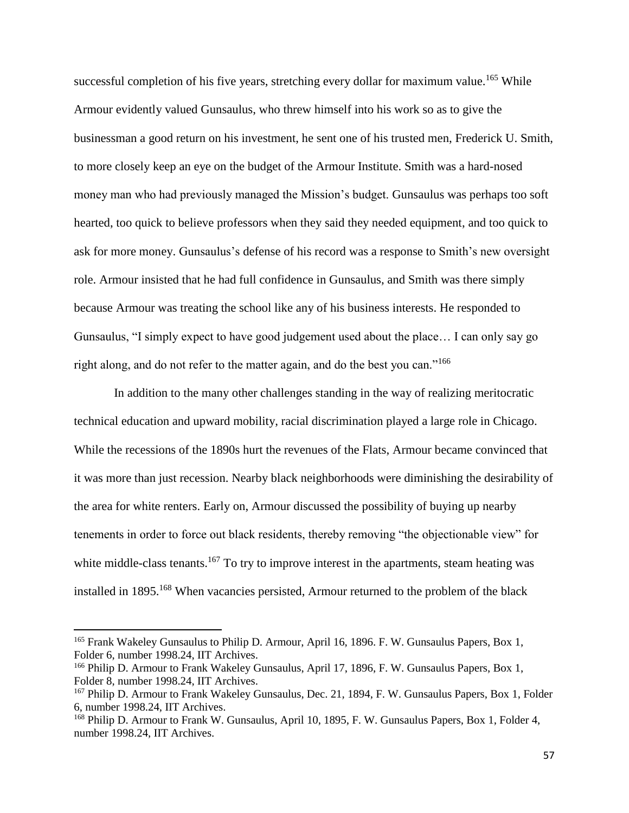successful completion of his five years, stretching every dollar for maximum value.<sup>165</sup> While Armour evidently valued Gunsaulus, who threw himself into his work so as to give the businessman a good return on his investment, he sent one of his trusted men, Frederick U. Smith, to more closely keep an eye on the budget of the Armour Institute. Smith was a hard-nosed money man who had previously managed the Mission's budget. Gunsaulus was perhaps too soft hearted, too quick to believe professors when they said they needed equipment, and too quick to ask for more money. Gunsaulus's defense of his record was a response to Smith's new oversight role. Armour insisted that he had full confidence in Gunsaulus, and Smith was there simply because Armour was treating the school like any of his business interests. He responded to Gunsaulus, "I simply expect to have good judgement used about the place… I can only say go right along, and do not refer to the matter again, and do the best you can."<sup>166</sup>

In addition to the many other challenges standing in the way of realizing meritocratic technical education and upward mobility, racial discrimination played a large role in Chicago. While the recessions of the 1890s hurt the revenues of the Flats, Armour became convinced that it was more than just recession. Nearby black neighborhoods were diminishing the desirability of the area for white renters. Early on, Armour discussed the possibility of buying up nearby tenements in order to force out black residents, thereby removing "the objectionable view" for white middle-class tenants.<sup>167</sup> To try to improve interest in the apartments, steam heating was installed in 1895.<sup>168</sup> When vacancies persisted, Armour returned to the problem of the black

<sup>&</sup>lt;sup>165</sup> Frank Wakeley Gunsaulus to Philip D. Armour, April 16, 1896. F. W. Gunsaulus Papers, Box 1, Folder 6, number 1998.24, IIT Archives.

<sup>&</sup>lt;sup>166</sup> Philip D. Armour to Frank Wakeley Gunsaulus, April 17, 1896, F. W. Gunsaulus Papers, Box 1, Folder 8, number 1998.24, IIT Archives.

<sup>&</sup>lt;sup>167</sup> Philip D. Armour to Frank Wakeley Gunsaulus, Dec. 21, 1894, F. W. Gunsaulus Papers, Box 1, Folder 6, number 1998.24, IIT Archives.

<sup>&</sup>lt;sup>168</sup> Philip D. Armour to Frank W. Gunsaulus, April 10, 1895, F. W. Gunsaulus Papers, Box 1, Folder 4, number 1998.24, IIT Archives.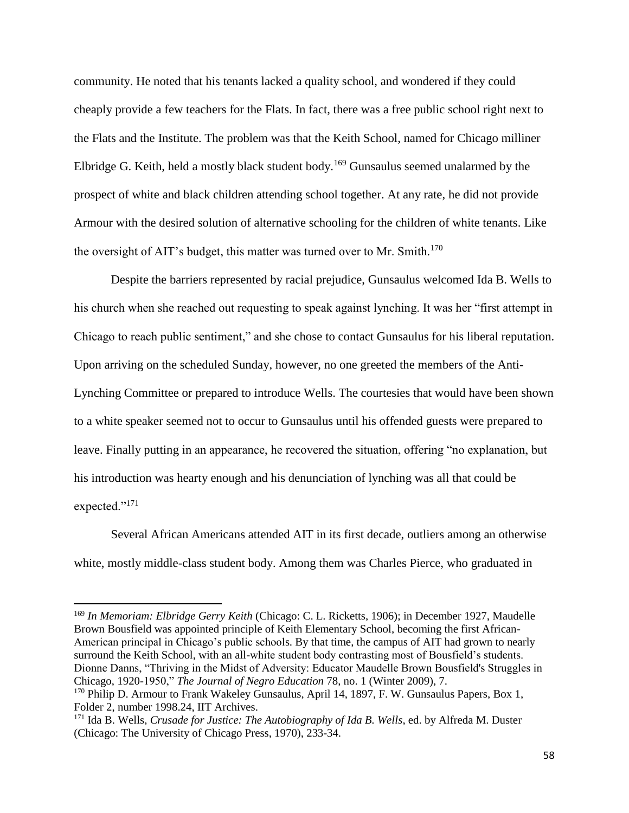community. He noted that his tenants lacked a quality school, and wondered if they could cheaply provide a few teachers for the Flats. In fact, there was a free public school right next to the Flats and the Institute. The problem was that the Keith School, named for Chicago milliner Elbridge G. Keith, held a mostly black student body.<sup>169</sup> Gunsaulus seemed unalarmed by the prospect of white and black children attending school together. At any rate, he did not provide Armour with the desired solution of alternative schooling for the children of white tenants. Like the oversight of AIT's budget, this matter was turned over to Mr. Smith.<sup>170</sup>

Despite the barriers represented by racial prejudice, Gunsaulus welcomed Ida B. Wells to his church when she reached out requesting to speak against lynching. It was her "first attempt in Chicago to reach public sentiment," and she chose to contact Gunsaulus for his liberal reputation. Upon arriving on the scheduled Sunday, however, no one greeted the members of the Anti-Lynching Committee or prepared to introduce Wells. The courtesies that would have been shown to a white speaker seemed not to occur to Gunsaulus until his offended guests were prepared to leave. Finally putting in an appearance, he recovered the situation, offering "no explanation, but his introduction was hearty enough and his denunciation of lynching was all that could be expected."<sup>171</sup>

Several African Americans attended AIT in its first decade, outliers among an otherwise white, mostly middle-class student body. Among them was Charles Pierce, who graduated in

<sup>169</sup> *In Memoriam: Elbridge Gerry Keith* (Chicago: C. L. Ricketts, 1906); in December 1927, Maudelle Brown Bousfield was appointed principle of Keith Elementary School, becoming the first African-American principal in Chicago's public schools. By that time, the campus of AIT had grown to nearly surround the Keith School, with an all-white student body contrasting most of Bousfield's students. Dionne Danns, "Thriving in the Midst of Adversity: Educator Maudelle Brown Bousfield's Struggles in Chicago, 1920-1950," *The Journal of Negro Education* 78, no. 1 (Winter 2009), 7.

l

<sup>&</sup>lt;sup>170</sup> Philip D. Armour to Frank Wakeley Gunsaulus, April 14, 1897, F. W. Gunsaulus Papers, Box 1, Folder 2, number 1998.24, IIT Archives.

<sup>&</sup>lt;sup>171</sup> Ida B. Wells, *Crusade for Justice: The Autobiography of Ida B. Wells*, ed. by Alfreda M. Duster (Chicago: The University of Chicago Press, 1970), 233-34.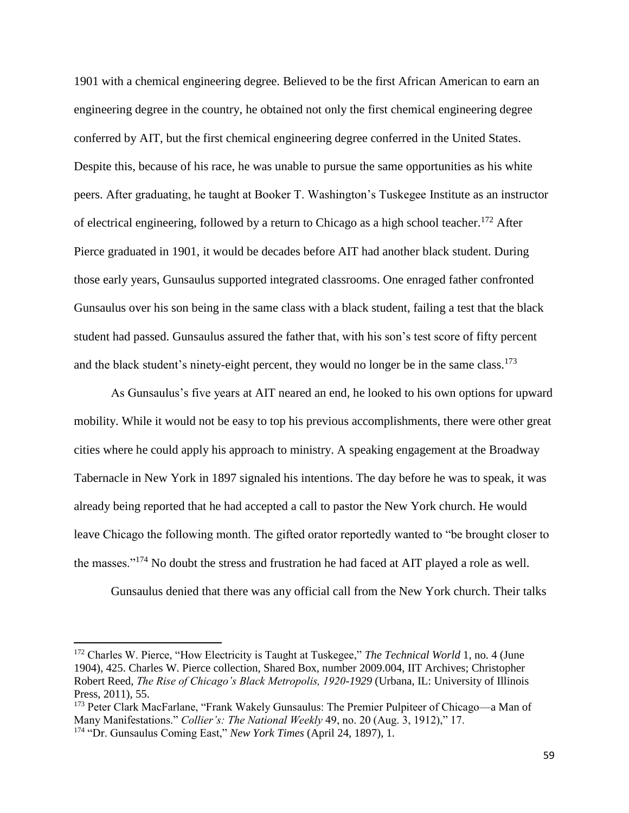1901 with a chemical engineering degree. Believed to be the first African American to earn an engineering degree in the country, he obtained not only the first chemical engineering degree conferred by AIT, but the first chemical engineering degree conferred in the United States. Despite this, because of his race, he was unable to pursue the same opportunities as his white peers. After graduating, he taught at Booker T. Washington's Tuskegee Institute as an instructor of electrical engineering, followed by a return to Chicago as a high school teacher.<sup>172</sup> After Pierce graduated in 1901, it would be decades before AIT had another black student. During those early years, Gunsaulus supported integrated classrooms. One enraged father confronted Gunsaulus over his son being in the same class with a black student, failing a test that the black student had passed. Gunsaulus assured the father that, with his son's test score of fifty percent and the black student's ninety-eight percent, they would no longer be in the same class.<sup>173</sup>

As Gunsaulus's five years at AIT neared an end, he looked to his own options for upward mobility. While it would not be easy to top his previous accomplishments, there were other great cities where he could apply his approach to ministry. A speaking engagement at the Broadway Tabernacle in New York in 1897 signaled his intentions. The day before he was to speak, it was already being reported that he had accepted a call to pastor the New York church. He would leave Chicago the following month. The gifted orator reportedly wanted to "be brought closer to the masses."<sup>174</sup> No doubt the stress and frustration he had faced at AIT played a role as well.

Gunsaulus denied that there was any official call from the New York church. Their talks

<sup>&</sup>lt;sup>172</sup> Charles W. Pierce, "How Electricity is Taught at Tuskegee," *The Technical World* 1, no. 4 (June 1904), 425. Charles W. Pierce collection, Shared Box, number 2009.004, IIT Archives; Christopher Robert Reed, *The Rise of Chicago's Black Metropolis, 1920-1929* (Urbana, IL: University of Illinois Press, 2011), 55.

<sup>&</sup>lt;sup>173</sup> Peter Clark MacFarlane, "Frank Wakely Gunsaulus: The Premier Pulpiteer of Chicago—a Man of Many Manifestations." *Collier's: The National Weekly* 49, no. 20 (Aug. 3, 1912)," 17.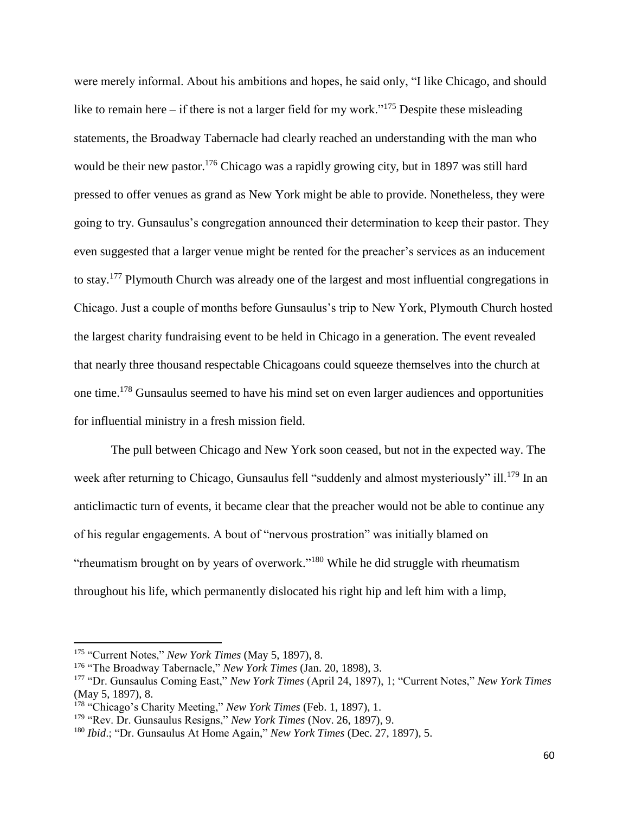were merely informal. About his ambitions and hopes, he said only, "I like Chicago, and should like to remain here – if there is not a larger field for my work."<sup>175</sup> Despite these misleading statements, the Broadway Tabernacle had clearly reached an understanding with the man who would be their new pastor.<sup>176</sup> Chicago was a rapidly growing city, but in 1897 was still hard pressed to offer venues as grand as New York might be able to provide. Nonetheless, they were going to try. Gunsaulus's congregation announced their determination to keep their pastor. They even suggested that a larger venue might be rented for the preacher's services as an inducement to stay.<sup>177</sup> Plymouth Church was already one of the largest and most influential congregations in Chicago. Just a couple of months before Gunsaulus's trip to New York, Plymouth Church hosted the largest charity fundraising event to be held in Chicago in a generation. The event revealed that nearly three thousand respectable Chicagoans could squeeze themselves into the church at one time.<sup>178</sup> Gunsaulus seemed to have his mind set on even larger audiences and opportunities for influential ministry in a fresh mission field.

The pull between Chicago and New York soon ceased, but not in the expected way. The week after returning to Chicago, Gunsaulus fell "suddenly and almost mysteriously" ill.<sup>179</sup> In an anticlimactic turn of events, it became clear that the preacher would not be able to continue any of his regular engagements. A bout of "nervous prostration" was initially blamed on "rheumatism brought on by years of overwork."<sup>180</sup> While he did struggle with rheumatism throughout his life, which permanently dislocated his right hip and left him with a limp,

<sup>175</sup> "Current Notes," *New York Times* (May 5, 1897), 8.

<sup>176</sup> "The Broadway Tabernacle," *New York Times* (Jan. 20, 1898), 3.

<sup>177</sup> "Dr. Gunsaulus Coming East," *New York Times* (April 24, 1897), 1; "Current Notes," *New York Times* (May 5, 1897), 8.

<sup>178</sup> "Chicago's Charity Meeting," *New York Times* (Feb. 1, 1897), 1.

<sup>179</sup> "Rev. Dr. Gunsaulus Resigns," *New York Times* (Nov. 26, 1897), 9.

<sup>180</sup> *Ibid*.; "Dr. Gunsaulus At Home Again," *New York Times* (Dec. 27, 1897), 5.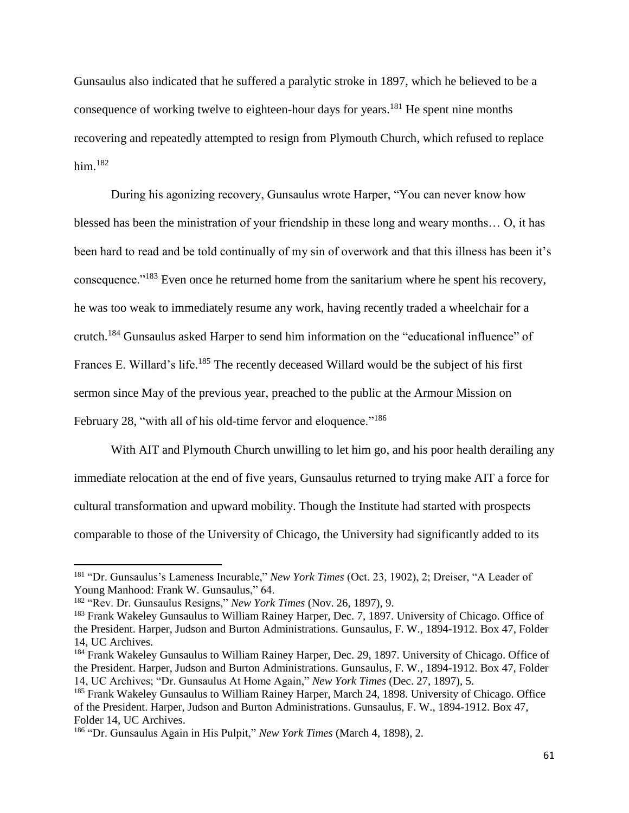Gunsaulus also indicated that he suffered a paralytic stroke in 1897, which he believed to be a consequence of working twelve to eighteen-hour days for years. <sup>181</sup> He spent nine months recovering and repeatedly attempted to resign from Plymouth Church, which refused to replace him. 182

During his agonizing recovery, Gunsaulus wrote Harper, "You can never know how blessed has been the ministration of your friendship in these long and weary months… O, it has been hard to read and be told continually of my sin of overwork and that this illness has been it's consequence."<sup>183</sup> Even once he returned home from the sanitarium where he spent his recovery, he was too weak to immediately resume any work, having recently traded a wheelchair for a crutch.<sup>184</sup> Gunsaulus asked Harper to send him information on the "educational influence" of Frances E. Willard's life.<sup>185</sup> The recently deceased Willard would be the subject of his first sermon since May of the previous year, preached to the public at the Armour Mission on February 28, "with all of his old-time fervor and eloquence."<sup>186</sup>

With AIT and Plymouth Church unwilling to let him go, and his poor health derailing any immediate relocation at the end of five years, Gunsaulus returned to trying make AIT a force for cultural transformation and upward mobility. Though the Institute had started with prospects comparable to those of the University of Chicago, the University had significantly added to its

 $\overline{a}$ 

<sup>181</sup> "Dr. Gunsaulus's Lameness Incurable," *New York Times* (Oct. 23, 1902), 2; Dreiser, "A Leader of Young Manhood: Frank W. Gunsaulus," 64.

<sup>182</sup> "Rev. Dr. Gunsaulus Resigns," *New York Times* (Nov. 26, 1897), 9.

<sup>&</sup>lt;sup>183</sup> Frank Wakeley Gunsaulus to William Rainey Harper, Dec. 7, 1897. University of Chicago. Office of the President. Harper, Judson and Burton Administrations. Gunsaulus, F. W., 1894-1912. Box 47, Folder 14, UC Archives.

<sup>184</sup> Frank Wakeley Gunsaulus to William Rainey Harper, Dec. 29, 1897. University of Chicago. Office of the President. Harper, Judson and Burton Administrations. Gunsaulus, F. W., 1894-1912. Box 47, Folder 14, UC Archives; "Dr. Gunsaulus At Home Again," *New York Times* (Dec. 27, 1897), 5.

<sup>&</sup>lt;sup>185</sup> Frank Wakeley Gunsaulus to William Rainey Harper, March 24, 1898. University of Chicago. Office of the President. Harper, Judson and Burton Administrations. Gunsaulus, F. W., 1894-1912. Box 47, Folder 14, UC Archives.

<sup>186</sup> "Dr. Gunsaulus Again in His Pulpit," *New York Times* (March 4, 1898), 2.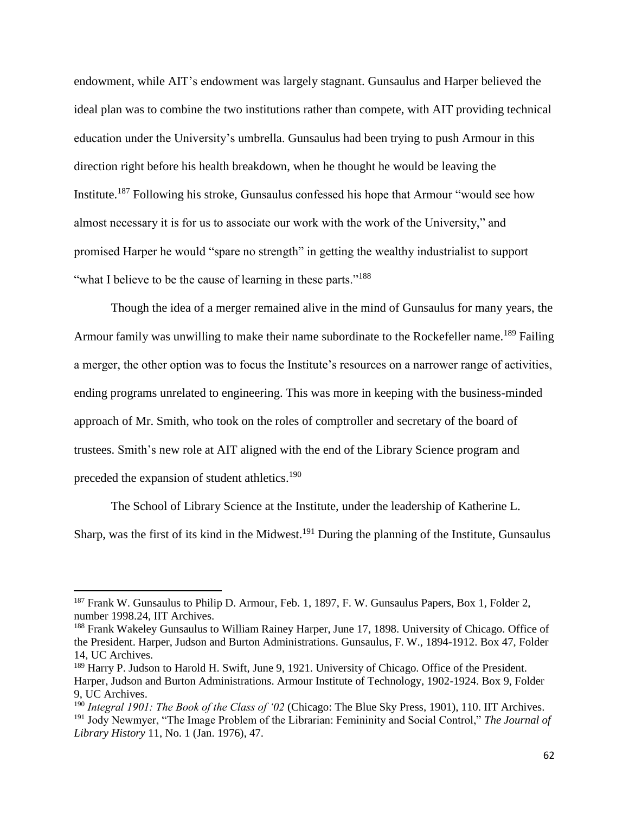endowment, while AIT's endowment was largely stagnant. Gunsaulus and Harper believed the ideal plan was to combine the two institutions rather than compete, with AIT providing technical education under the University's umbrella. Gunsaulus had been trying to push Armour in this direction right before his health breakdown, when he thought he would be leaving the Institute.<sup>187</sup> Following his stroke, Gunsaulus confessed his hope that Armour "would see how almost necessary it is for us to associate our work with the work of the University," and promised Harper he would "spare no strength" in getting the wealthy industrialist to support "what I believe to be the cause of learning in these parts."<sup>188</sup>

Though the idea of a merger remained alive in the mind of Gunsaulus for many years, the Armour family was unwilling to make their name subordinate to the Rockefeller name.<sup>189</sup> Failing a merger, the other option was to focus the Institute's resources on a narrower range of activities, ending programs unrelated to engineering. This was more in keeping with the business-minded approach of Mr. Smith, who took on the roles of comptroller and secretary of the board of trustees. Smith's new role at AIT aligned with the end of the Library Science program and preceded the expansion of student athletics.<sup>190</sup>

The School of Library Science at the Institute, under the leadership of Katherine L. Sharp, was the first of its kind in the Midwest.<sup>191</sup> During the planning of the Institute, Gunsaulus

<sup>&</sup>lt;sup>187</sup> Frank W. Gunsaulus to Philip D. Armour, Feb. 1, 1897, F. W. Gunsaulus Papers, Box 1, Folder 2, number 1998.24, IIT Archives.

<sup>188</sup> Frank Wakeley Gunsaulus to William Rainey Harper, June 17, 1898. University of Chicago. Office of the President. Harper, Judson and Burton Administrations. Gunsaulus, F. W., 1894-1912. Box 47, Folder 14, UC Archives.

<sup>&</sup>lt;sup>189</sup> Harry P. Judson to Harold H. Swift, June 9, 1921. University of Chicago. Office of the President. Harper, Judson and Burton Administrations. Armour Institute of Technology, 1902-1924. Box 9, Folder 9, UC Archives.

<sup>190</sup> *Integral 1901: The Book of the Class of '02* (Chicago: The Blue Sky Press, 1901), 110. IIT Archives. <sup>191</sup> Jody Newmyer, "The Image Problem of the Librarian: Femininity and Social Control," *The Journal of Library History* 11, No. 1 (Jan. 1976), 47.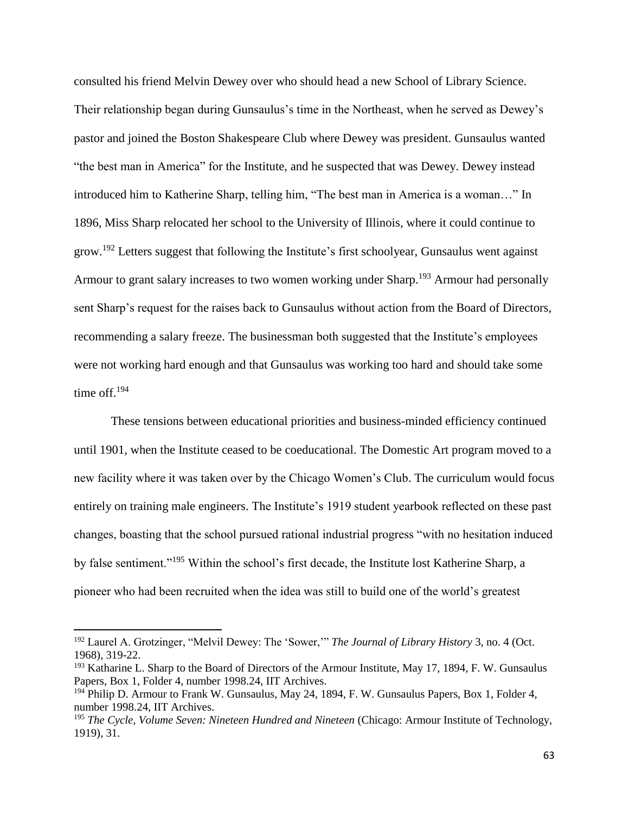consulted his friend Melvin Dewey over who should head a new School of Library Science. Their relationship began during Gunsaulus's time in the Northeast, when he served as Dewey's pastor and joined the Boston Shakespeare Club where Dewey was president. Gunsaulus wanted "the best man in America" for the Institute, and he suspected that was Dewey. Dewey instead introduced him to Katherine Sharp, telling him, "The best man in America is a woman…" In 1896, Miss Sharp relocated her school to the University of Illinois, where it could continue to grow.<sup>192</sup> Letters suggest that following the Institute's first schoolyear, Gunsaulus went against Armour to grant salary increases to two women working under Sharp.<sup>193</sup> Armour had personally sent Sharp's request for the raises back to Gunsaulus without action from the Board of Directors, recommending a salary freeze. The businessman both suggested that the Institute's employees were not working hard enough and that Gunsaulus was working too hard and should take some time off. 194

These tensions between educational priorities and business-minded efficiency continued until 1901, when the Institute ceased to be coeducational. The Domestic Art program moved to a new facility where it was taken over by the Chicago Women's Club. The curriculum would focus entirely on training male engineers. The Institute's 1919 student yearbook reflected on these past changes, boasting that the school pursued rational industrial progress "with no hesitation induced by false sentiment."<sup>195</sup> Within the school's first decade, the Institute lost Katherine Sharp, a pioneer who had been recruited when the idea was still to build one of the world's greatest

<sup>192</sup> Laurel A. Grotzinger, "Melvil Dewey: The 'Sower,'" *The Journal of Library History* 3, no. 4 (Oct. 1968), 319-22.

<sup>&</sup>lt;sup>193</sup> Katharine L. Sharp to the Board of Directors of the Armour Institute, May 17, 1894, F. W. Gunsaulus Papers, Box 1, Folder 4, number 1998.24, IIT Archives.

<sup>&</sup>lt;sup>194</sup> Philip D. Armour to Frank W. Gunsaulus, May 24, 1894, F. W. Gunsaulus Papers, Box 1, Folder 4, number 1998.24, IIT Archives.

<sup>195</sup> *The Cycle, Volume Seven: Nineteen Hundred and Nineteen* (Chicago: Armour Institute of Technology, 1919), 31.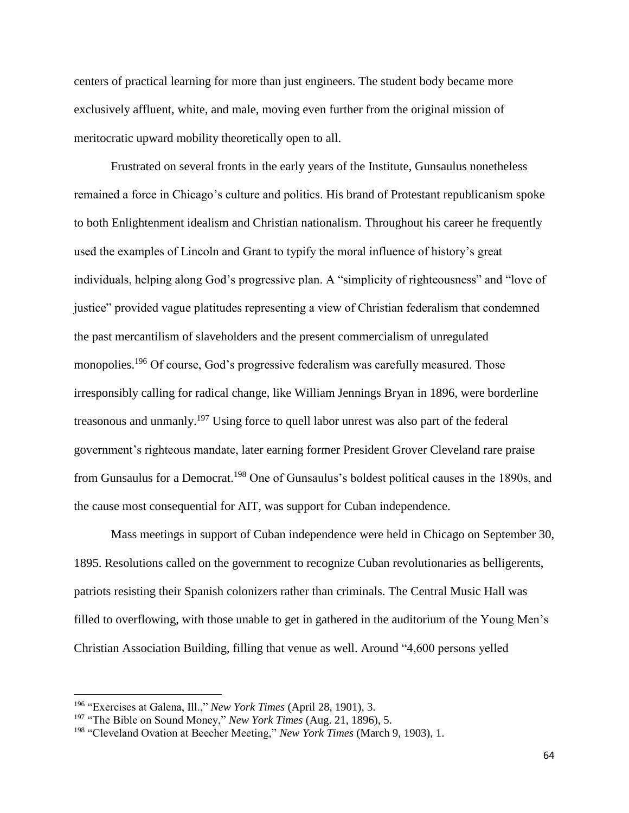centers of practical learning for more than just engineers. The student body became more exclusively affluent, white, and male, moving even further from the original mission of meritocratic upward mobility theoretically open to all.

Frustrated on several fronts in the early years of the Institute, Gunsaulus nonetheless remained a force in Chicago's culture and politics. His brand of Protestant republicanism spoke to both Enlightenment idealism and Christian nationalism. Throughout his career he frequently used the examples of Lincoln and Grant to typify the moral influence of history's great individuals, helping along God's progressive plan. A "simplicity of righteousness" and "love of justice" provided vague platitudes representing a view of Christian federalism that condemned the past mercantilism of slaveholders and the present commercialism of unregulated monopolies.<sup>196</sup> Of course, God's progressive federalism was carefully measured. Those irresponsibly calling for radical change, like William Jennings Bryan in 1896, were borderline treasonous and unmanly.<sup>197</sup> Using force to quell labor unrest was also part of the federal government's righteous mandate, later earning former President Grover Cleveland rare praise from Gunsaulus for a Democrat. <sup>198</sup> One of Gunsaulus's boldest political causes in the 1890s, and the cause most consequential for AIT, was support for Cuban independence.

Mass meetings in support of Cuban independence were held in Chicago on September 30, 1895. Resolutions called on the government to recognize Cuban revolutionaries as belligerents, patriots resisting their Spanish colonizers rather than criminals. The Central Music Hall was filled to overflowing, with those unable to get in gathered in the auditorium of the Young Men's Christian Association Building, filling that venue as well. Around "4,600 persons yelled

 $\overline{\phantom{a}}$ 

64

<sup>196</sup> "Exercises at Galena, Ill.," *New York Times* (April 28, 1901), 3.

<sup>197</sup> "The Bible on Sound Money," *New York Times* (Aug. 21, 1896), 5.

<sup>198</sup> "Cleveland Ovation at Beecher Meeting," *New York Times* (March 9, 1903), 1.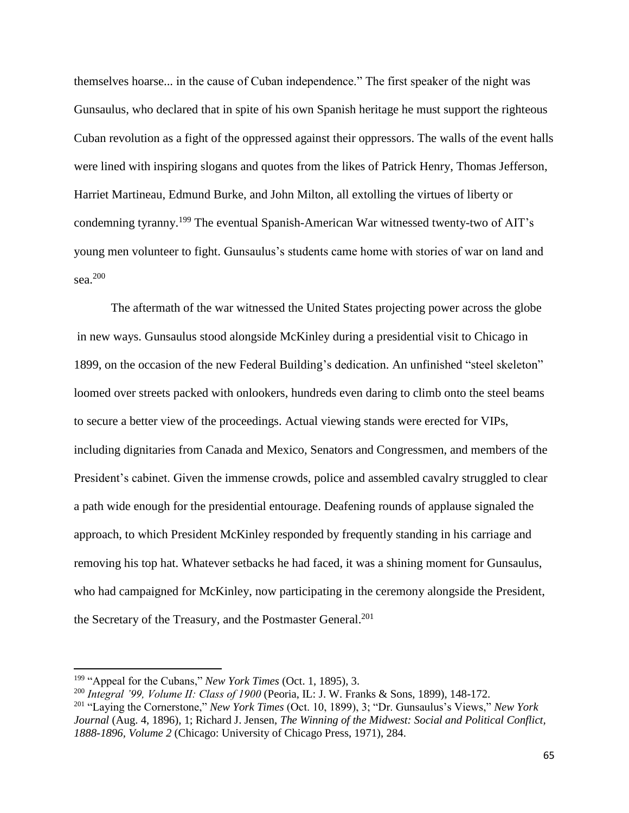themselves hoarse... in the cause of Cuban independence." The first speaker of the night was Gunsaulus, who declared that in spite of his own Spanish heritage he must support the righteous Cuban revolution as a fight of the oppressed against their oppressors. The walls of the event halls were lined with inspiring slogans and quotes from the likes of Patrick Henry, Thomas Jefferson, Harriet Martineau, Edmund Burke, and John Milton, all extolling the virtues of liberty or condemning tyranny.<sup>199</sup> The eventual Spanish-American War witnessed twenty-two of AIT's young men volunteer to fight. Gunsaulus's students came home with stories of war on land and sea. 200

The aftermath of the war witnessed the United States projecting power across the globe in new ways. Gunsaulus stood alongside McKinley during a presidential visit to Chicago in 1899, on the occasion of the new Federal Building's dedication. An unfinished "steel skeleton" loomed over streets packed with onlookers, hundreds even daring to climb onto the steel beams to secure a better view of the proceedings. Actual viewing stands were erected for VIPs, including dignitaries from Canada and Mexico, Senators and Congressmen, and members of the President's cabinet. Given the immense crowds, police and assembled cavalry struggled to clear a path wide enough for the presidential entourage. Deafening rounds of applause signaled the approach, to which President McKinley responded by frequently standing in his carriage and removing his top hat. Whatever setbacks he had faced, it was a shining moment for Gunsaulus, who had campaigned for McKinley, now participating in the ceremony alongside the President, the Secretary of the Treasury, and the Postmaster General.<sup>201</sup>

<sup>199</sup> "Appeal for the Cubans," *New York Times* (Oct. 1, 1895), 3.

<sup>200</sup> *Integral '99, Volume II: Class of 1900* (Peoria, IL: J. W. Franks & Sons, 1899), 148-172. <sup>201</sup> "Laying the Cornerstone," *New York Times* (Oct. 10, 1899), 3; "Dr. Gunsaulus's Views," *New York Journal* (Aug. 4, 1896), 1; Richard J. Jensen, *The Winning of the Midwest: Social and Political Conflict, 1888-1896, Volume 2* (Chicago: University of Chicago Press, 1971), 284.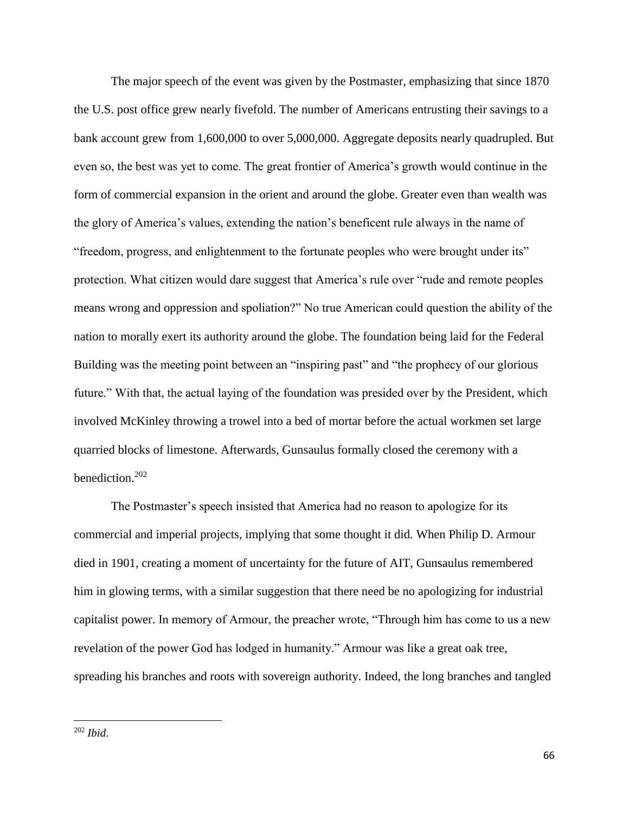The major speech of the event was given by the Postmaster, emphasizing that since 1870 the U.S. post office grew nearly fivefold. The number of Americans entrusting their savings to a bank account grew from 1,600,000 to over 5,000,000. Aggregate deposits nearly quadrupled. But even so, the best was yet to come. The great frontier of America's growth would continue in the form of commercial expansion in the orient and around the globe. Greater even than wealth was the glory of America's values, extending the nation's beneficent rule always in the name of "freedom, progress, and enlightenment to the fortunate peoples who were brought under its" protection. What citizen would dare suggest that America's rule over "rude and remote peoples means wrong and oppression and spoliation?" No true American could question the ability of the nation to morally exert its authority around the globe. The foundation being laid for the Federal Building was the meeting point between an "inspiring past" and "the prophecy of our glorious future." With that, the actual laying of the foundation was presided over by the President, which involved McKinley throwing a trowel into a bed of mortar before the actual workmen set large quarried blocks of limestone. Afterwards, Gunsaulus formally closed the ceremony with a benediction.<sup>202</sup>

The Postmaster's speech insisted that America had no reason to apologize for its commercial and imperial projects, implying that some thought it did. When Philip D. Armour died in 1901, creating a moment of uncertainty for the future of AIT, Gunsaulus remembered him in glowing terms, with a similar suggestion that there need be no apologizing for industrial capitalist power. In memory of Armour, the preacher wrote, "Through him has come to us a new revelation of the power God has lodged in humanity." Armour was like a great oak tree, spreading his branches and roots with sovereign authority. Indeed, the long branches and tangled

 $\overline{a}$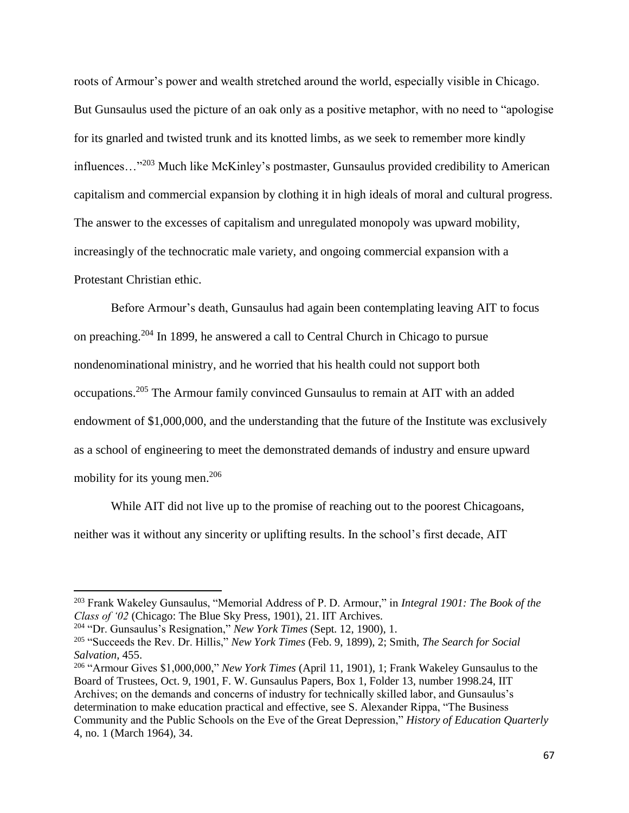roots of Armour's power and wealth stretched around the world, especially visible in Chicago. But Gunsaulus used the picture of an oak only as a positive metaphor, with no need to "apologise for its gnarled and twisted trunk and its knotted limbs, as we seek to remember more kindly influences…"<sup>203</sup> Much like McKinley's postmaster, Gunsaulus provided credibility to American capitalism and commercial expansion by clothing it in high ideals of moral and cultural progress. The answer to the excesses of capitalism and unregulated monopoly was upward mobility, increasingly of the technocratic male variety, and ongoing commercial expansion with a Protestant Christian ethic.

Before Armour's death, Gunsaulus had again been contemplating leaving AIT to focus on preaching.<sup>204</sup> In 1899, he answered a call to Central Church in Chicago to pursue nondenominational ministry, and he worried that his health could not support both occupations.<sup>205</sup> The Armour family convinced Gunsaulus to remain at AIT with an added endowment of \$1,000,000, and the understanding that the future of the Institute was exclusively as a school of engineering to meet the demonstrated demands of industry and ensure upward mobility for its young men.<sup>206</sup>

While AIT did not live up to the promise of reaching out to the poorest Chicagoans, neither was it without any sincerity or uplifting results. In the school's first decade, AIT

<sup>203</sup> Frank Wakeley Gunsaulus, "Memorial Address of P. D. Armour," in *Integral 1901: The Book of the Class of '02* (Chicago: The Blue Sky Press, 1901), 21. IIT Archives.

<sup>204</sup> "Dr. Gunsaulus's Resignation," *New York Times* (Sept. 12, 1900), 1.

<sup>205</sup> "Succeeds the Rev. Dr. Hillis," *New York Times* (Feb. 9, 1899), 2; Smith, *The Search for Social Salvation*, 455.

<sup>206</sup> "Armour Gives \$1,000,000," *New York Times* (April 11, 1901), 1; Frank Wakeley Gunsaulus to the Board of Trustees, Oct. 9, 1901, F. W. Gunsaulus Papers, Box 1, Folder 13, number 1998.24, IIT Archives; on the demands and concerns of industry for technically skilled labor, and Gunsaulus's determination to make education practical and effective, see S. Alexander Rippa, "The Business Community and the Public Schools on the Eve of the Great Depression," *History of Education Quarterly* 4, no. 1 (March 1964), 34.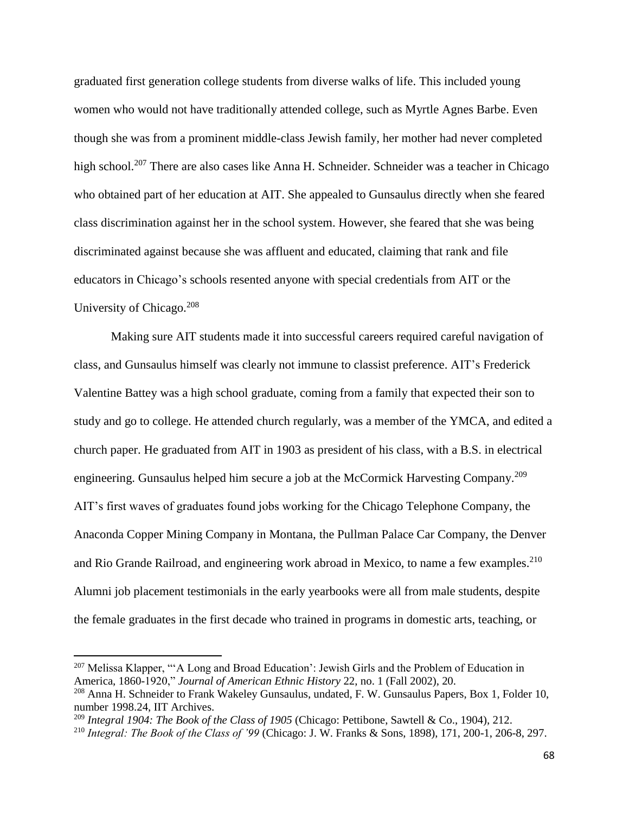graduated first generation college students from diverse walks of life. This included young women who would not have traditionally attended college, such as Myrtle Agnes Barbe. Even though she was from a prominent middle-class Jewish family, her mother had never completed high school.<sup>207</sup> There are also cases like Anna H. Schneider. Schneider was a teacher in Chicago who obtained part of her education at AIT. She appealed to Gunsaulus directly when she feared class discrimination against her in the school system. However, she feared that she was being discriminated against because she was affluent and educated, claiming that rank and file educators in Chicago's schools resented anyone with special credentials from AIT or the University of Chicago.<sup>208</sup>

Making sure AIT students made it into successful careers required careful navigation of class, and Gunsaulus himself was clearly not immune to classist preference. AIT's Frederick Valentine Battey was a high school graduate, coming from a family that expected their son to study and go to college. He attended church regularly, was a member of the YMCA, and edited a church paper. He graduated from AIT in 1903 as president of his class, with a B.S. in electrical engineering. Gunsaulus helped him secure a job at the McCormick Harvesting Company.<sup>209</sup> AIT's first waves of graduates found jobs working for the Chicago Telephone Company, the Anaconda Copper Mining Company in Montana, the Pullman Palace Car Company, the Denver and Rio Grande Railroad, and engineering work abroad in Mexico, to name a few examples.<sup>210</sup> Alumni job placement testimonials in the early yearbooks were all from male students, despite the female graduates in the first decade who trained in programs in domestic arts, teaching, or

l

<sup>&</sup>lt;sup>207</sup> Melissa Klapper, "'A Long and Broad Education': Jewish Girls and the Problem of Education in America, 1860-1920," *Journal of American Ethnic History* 22, no. 1 (Fall 2002), 20.

<sup>208</sup> Anna H. Schneider to Frank Wakeley Gunsaulus, undated, F. W. Gunsaulus Papers, Box 1, Folder 10, number 1998.24, IIT Archives.

<sup>209</sup> *Integral 1904: The Book of the Class of 1905* (Chicago: Pettibone, Sawtell & Co., 1904), 212.

<sup>210</sup> *Integral: The Book of the Class of '99* (Chicago: J. W. Franks & Sons, 1898), 171, 200-1, 206-8, 297.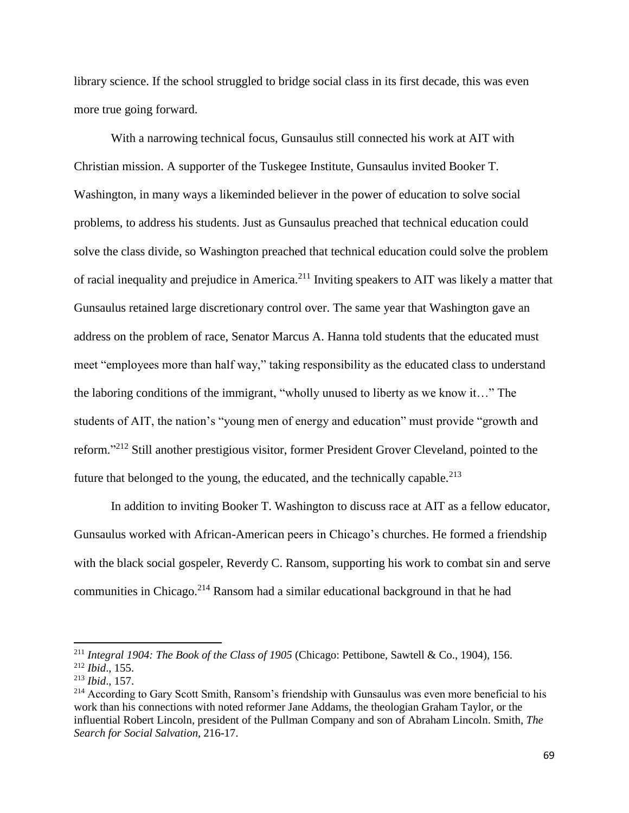library science. If the school struggled to bridge social class in its first decade, this was even more true going forward.

With a narrowing technical focus, Gunsaulus still connected his work at AIT with Christian mission. A supporter of the Tuskegee Institute, Gunsaulus invited Booker T. Washington, in many ways a likeminded believer in the power of education to solve social problems, to address his students. Just as Gunsaulus preached that technical education could solve the class divide, so Washington preached that technical education could solve the problem of racial inequality and prejudice in America.<sup>211</sup> Inviting speakers to AIT was likely a matter that Gunsaulus retained large discretionary control over. The same year that Washington gave an address on the problem of race, Senator Marcus A. Hanna told students that the educated must meet "employees more than half way," taking responsibility as the educated class to understand the laboring conditions of the immigrant, "wholly unused to liberty as we know it…" The students of AIT, the nation's "young men of energy and education" must provide "growth and reform."<sup>212</sup> Still another prestigious visitor, former President Grover Cleveland, pointed to the future that belonged to the young, the educated, and the technically capable.<sup>213</sup>

In addition to inviting Booker T. Washington to discuss race at AIT as a fellow educator, Gunsaulus worked with African-American peers in Chicago's churches. He formed a friendship with the black social gospeler, Reverdy C. Ransom, supporting his work to combat sin and serve communities in Chicago.<sup>214</sup> Ransom had a similar educational background in that he had

<sup>211</sup> *Integral 1904: The Book of the Class of 1905* (Chicago: Pettibone, Sawtell & Co., 1904), 156.

<sup>212</sup> *Ibid*., 155.

<sup>213</sup> *Ibid*., 157.

<sup>&</sup>lt;sup>214</sup> According to Gary Scott Smith, Ransom's friendship with Gunsaulus was even more beneficial to his work than his connections with noted reformer Jane Addams, the theologian Graham Taylor, or the influential Robert Lincoln, president of the Pullman Company and son of Abraham Lincoln. Smith, *The Search for Social Salvation*, 216-17.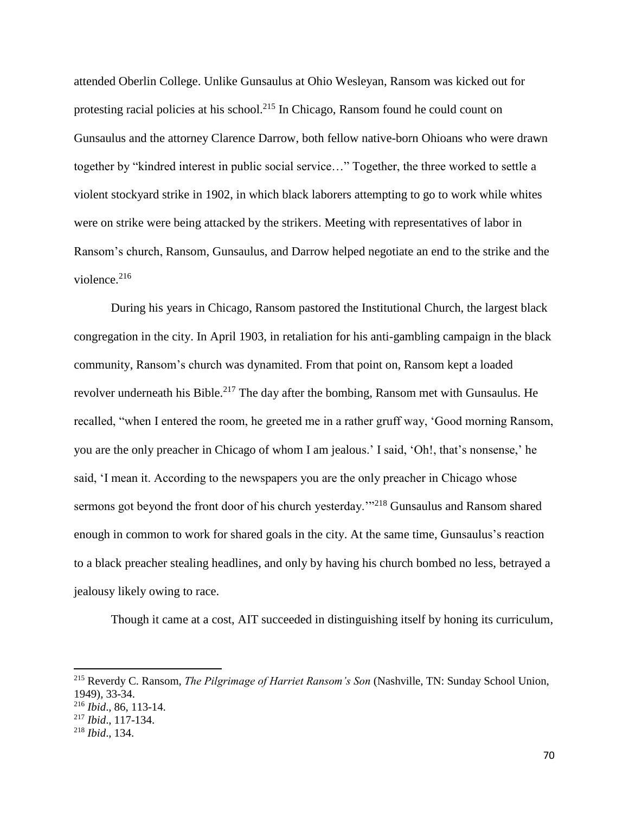attended Oberlin College. Unlike Gunsaulus at Ohio Wesleyan, Ransom was kicked out for protesting racial policies at his school.<sup>215</sup> In Chicago, Ransom found he could count on Gunsaulus and the attorney Clarence Darrow, both fellow native-born Ohioans who were drawn together by "kindred interest in public social service…" Together, the three worked to settle a violent stockyard strike in 1902, in which black laborers attempting to go to work while whites were on strike were being attacked by the strikers. Meeting with representatives of labor in Ransom's church, Ransom, Gunsaulus, and Darrow helped negotiate an end to the strike and the violence. $216$ 

During his years in Chicago, Ransom pastored the Institutional Church, the largest black congregation in the city. In April 1903, in retaliation for his anti-gambling campaign in the black community, Ransom's church was dynamited. From that point on, Ransom kept a loaded revolver underneath his Bible.<sup>217</sup> The day after the bombing, Ransom met with Gunsaulus. He recalled, "when I entered the room, he greeted me in a rather gruff way, 'Good morning Ransom, you are the only preacher in Chicago of whom I am jealous.' I said, 'Oh!, that's nonsense,' he said, 'I mean it. According to the newspapers you are the only preacher in Chicago whose sermons got beyond the front door of his church yesterday.<sup>'"218</sup> Gunsaulus and Ransom shared enough in common to work for shared goals in the city. At the same time, Gunsaulus's reaction to a black preacher stealing headlines, and only by having his church bombed no less, betrayed a jealousy likely owing to race.

Though it came at a cost, AIT succeeded in distinguishing itself by honing its curriculum,

<sup>215</sup> Reverdy C. Ransom, *The Pilgrimage of Harriet Ransom's Son* (Nashville, TN: Sunday School Union, 1949), 33-34.

<sup>216</sup> *Ibid*., 86, 113-14.

<sup>217</sup> *Ibid*., 117-134.

<sup>218</sup> *Ibid*., 134.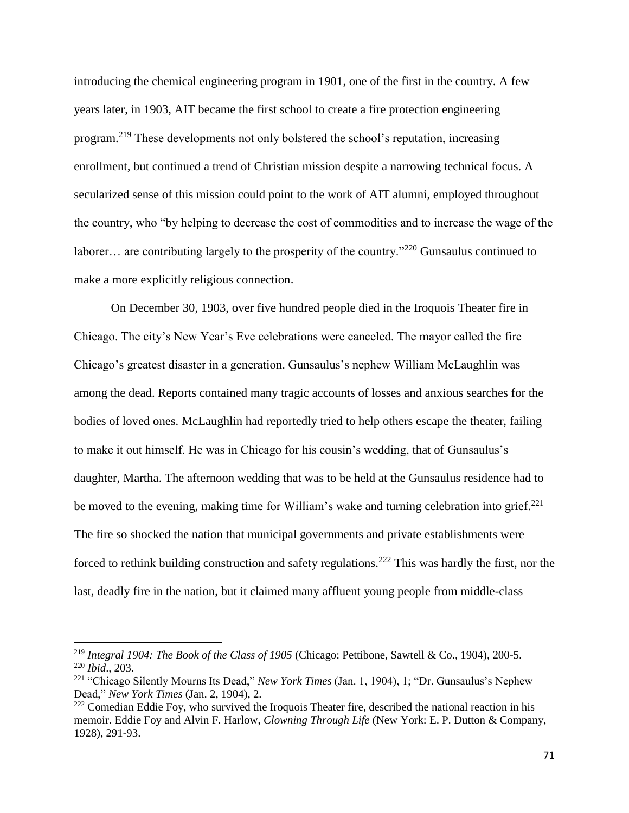introducing the chemical engineering program in 1901, one of the first in the country. A few years later, in 1903, AIT became the first school to create a fire protection engineering program.<sup>219</sup> These developments not only bolstered the school's reputation, increasing enrollment, but continued a trend of Christian mission despite a narrowing technical focus. A secularized sense of this mission could point to the work of AIT alumni, employed throughout the country, who "by helping to decrease the cost of commodities and to increase the wage of the laborer... are contributing largely to the prosperity of the country."<sup>220</sup> Gunsaulus continued to make a more explicitly religious connection.

On December 30, 1903, over five hundred people died in the Iroquois Theater fire in Chicago. The city's New Year's Eve celebrations were canceled. The mayor called the fire Chicago's greatest disaster in a generation. Gunsaulus's nephew William McLaughlin was among the dead. Reports contained many tragic accounts of losses and anxious searches for the bodies of loved ones. McLaughlin had reportedly tried to help others escape the theater, failing to make it out himself. He was in Chicago for his cousin's wedding, that of Gunsaulus's daughter, Martha. The afternoon wedding that was to be held at the Gunsaulus residence had to be moved to the evening, making time for William's wake and turning celebration into grief.<sup>221</sup> The fire so shocked the nation that municipal governments and private establishments were forced to rethink building construction and safety regulations.<sup>222</sup> This was hardly the first, nor the last, deadly fire in the nation, but it claimed many affluent young people from middle-class

<sup>219</sup> *Integral 1904: The Book of the Class of 1905* (Chicago: Pettibone, Sawtell & Co., 1904), 200-5. <sup>220</sup> *Ibid*., 203.

<sup>221</sup> "Chicago Silently Mourns Its Dead," *New York Times* (Jan. 1, 1904), 1; "Dr. Gunsaulus's Nephew Dead," *New York Times* (Jan. 2, 1904), 2.

<sup>&</sup>lt;sup>222</sup> Comedian Eddie Foy, who survived the Iroquois Theater fire, described the national reaction in his memoir. Eddie Foy and Alvin F. Harlow, *Clowning Through Life* (New York: E. P. Dutton & Company, 1928), 291-93.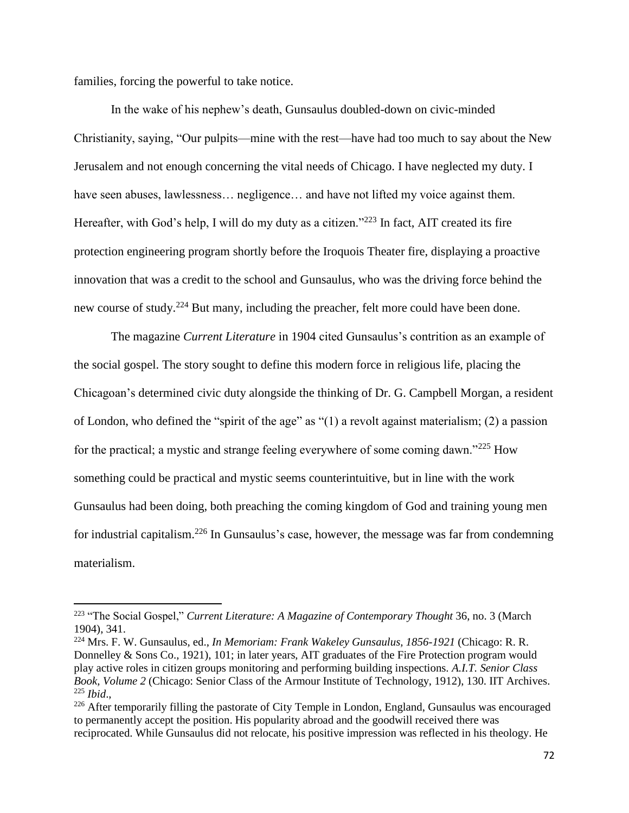families, forcing the powerful to take notice.

l

In the wake of his nephew's death, Gunsaulus doubled-down on civic-minded Christianity, saying, "Our pulpits—mine with the rest—have had too much to say about the New Jerusalem and not enough concerning the vital needs of Chicago. I have neglected my duty. I have seen abuses, lawlessness... negligence... and have not lifted my voice against them. Hereafter, with God's help, I will do my duty as a citizen."<sup>223</sup> In fact, AIT created its fire protection engineering program shortly before the Iroquois Theater fire, displaying a proactive innovation that was a credit to the school and Gunsaulus, who was the driving force behind the new course of study.<sup>224</sup> But many, including the preacher, felt more could have been done.

The magazine *Current Literature* in 1904 cited Gunsaulus's contrition as an example of the social gospel. The story sought to define this modern force in religious life, placing the Chicagoan's determined civic duty alongside the thinking of Dr. G. Campbell Morgan, a resident of London, who defined the "spirit of the age" as "(1) a revolt against materialism; (2) a passion for the practical; a mystic and strange feeling everywhere of some coming dawn."<sup>225</sup> How something could be practical and mystic seems counterintuitive, but in line with the work Gunsaulus had been doing, both preaching the coming kingdom of God and training young men for industrial capitalism.<sup>226</sup> In Gunsaulus's case, however, the message was far from condemning materialism.

<sup>223</sup> "The Social Gospel," *Current Literature: A Magazine of Contemporary Thought* 36, no. 3 (March 1904), 341.

<sup>224</sup> Mrs. F. W. Gunsaulus, ed., *In Memoriam: Frank Wakeley Gunsaulus, 1856-1921* (Chicago: R. R. Donnelley & Sons Co., 1921), 101; in later years, AIT graduates of the Fire Protection program would play active roles in citizen groups monitoring and performing building inspections. *A.I.T. Senior Class Book, Volume 2* (Chicago: Senior Class of the Armour Institute of Technology, 1912), 130. IIT Archives. <sup>225</sup> *Ibid*.,

<sup>&</sup>lt;sup>226</sup> After temporarily filling the pastorate of City Temple in London, England, Gunsaulus was encouraged to permanently accept the position. His popularity abroad and the goodwill received there was reciprocated. While Gunsaulus did not relocate, his positive impression was reflected in his theology. He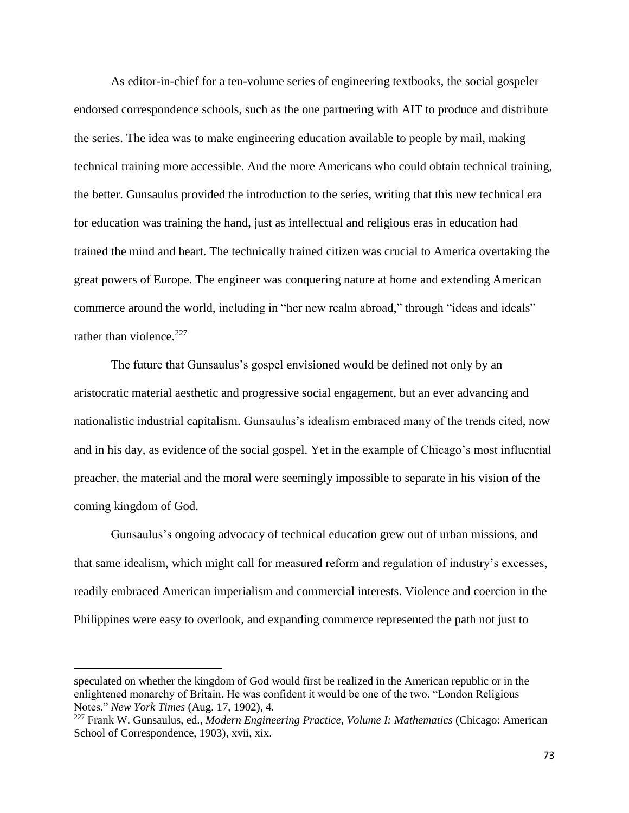As editor-in-chief for a ten-volume series of engineering textbooks, the social gospeler endorsed correspondence schools, such as the one partnering with AIT to produce and distribute the series. The idea was to make engineering education available to people by mail, making technical training more accessible. And the more Americans who could obtain technical training, the better. Gunsaulus provided the introduction to the series, writing that this new technical era for education was training the hand, just as intellectual and religious eras in education had trained the mind and heart. The technically trained citizen was crucial to America overtaking the great powers of Europe. The engineer was conquering nature at home and extending American commerce around the world, including in "her new realm abroad," through "ideas and ideals" rather than violence.<sup>227</sup>

The future that Gunsaulus's gospel envisioned would be defined not only by an aristocratic material aesthetic and progressive social engagement, but an ever advancing and nationalistic industrial capitalism. Gunsaulus's idealism embraced many of the trends cited, now and in his day, as evidence of the social gospel. Yet in the example of Chicago's most influential preacher, the material and the moral were seemingly impossible to separate in his vision of the coming kingdom of God.

Gunsaulus's ongoing advocacy of technical education grew out of urban missions, and that same idealism, which might call for measured reform and regulation of industry's excesses, readily embraced American imperialism and commercial interests. Violence and coercion in the Philippines were easy to overlook, and expanding commerce represented the path not just to

speculated on whether the kingdom of God would first be realized in the American republic or in the enlightened monarchy of Britain. He was confident it would be one of the two. "London Religious Notes," *New York Times* (Aug. 17, 1902), 4.

<sup>227</sup> Frank W. Gunsaulus, ed., *Modern Engineering Practice, Volume I: Mathematics* (Chicago: American School of Correspondence, 1903), xvii, xix.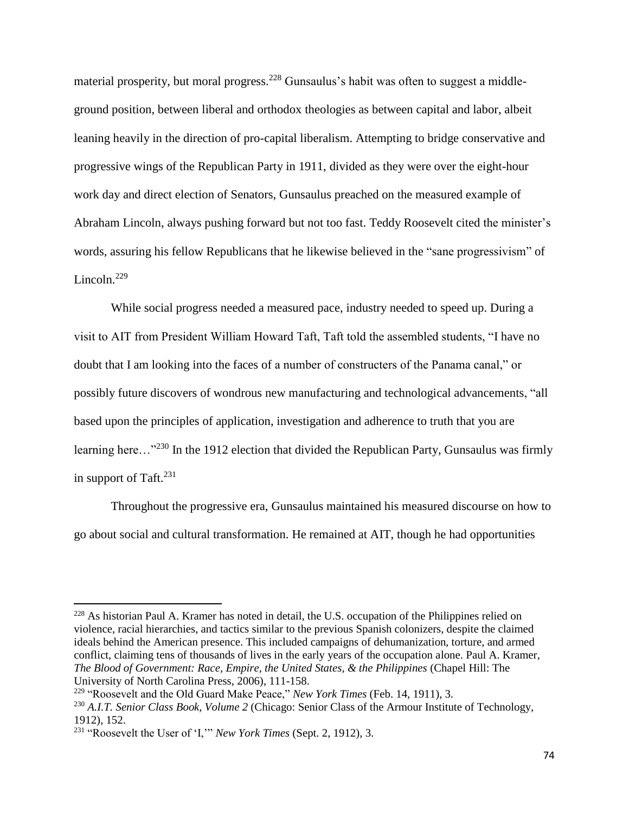material prosperity, but moral progress.<sup>228</sup> Gunsaulus's habit was often to suggest a middleground position, between liberal and orthodox theologies as between capital and labor, albeit leaning heavily in the direction of pro-capital liberalism. Attempting to bridge conservative and progressive wings of the Republican Party in 1911, divided as they were over the eight-hour work day and direct election of Senators, Gunsaulus preached on the measured example of Abraham Lincoln, always pushing forward but not too fast. Teddy Roosevelt cited the minister's words, assuring his fellow Republicans that he likewise believed in the "sane progressivism" of Lincoln. $229$ 

While social progress needed a measured pace, industry needed to speed up. During a visit to AIT from President William Howard Taft, Taft told the assembled students, "I have no doubt that I am looking into the faces of a number of constructers of the Panama canal," or possibly future discovers of wondrous new manufacturing and technological advancements, "all based upon the principles of application, investigation and adherence to truth that you are learning here…"<sup>230</sup> In the 1912 election that divided the Republican Party, Gunsaulus was firmly in support of Taft.<sup>231</sup>

Throughout the progressive era, Gunsaulus maintained his measured discourse on how to go about social and cultural transformation. He remained at AIT, though he had opportunities

l

<sup>228</sup> As historian Paul A. Kramer has noted in detail, the U.S. occupation of the Philippines relied on violence, racial hierarchies, and tactics similar to the previous Spanish colonizers, despite the claimed ideals behind the American presence. This included campaigns of dehumanization, torture, and armed conflict, claiming tens of thousands of lives in the early years of the occupation alone. Paul A. Kramer, *The Blood of Government: Race, Empire, the United States, & the Philippines* (Chapel Hill: The University of North Carolina Press, 2006), 111-158.

<sup>229</sup> "Roosevelt and the Old Guard Make Peace," *New York Times* (Feb. 14, 1911), 3. <sup>230</sup> *A.I.T. Senior Class Book, Volume 2* (Chicago: Senior Class of the Armour Institute of Technology,

<sup>1912), 152.</sup> 

<sup>231</sup> "Roosevelt the User of 'I,'" *New York Times* (Sept. 2, 1912), 3.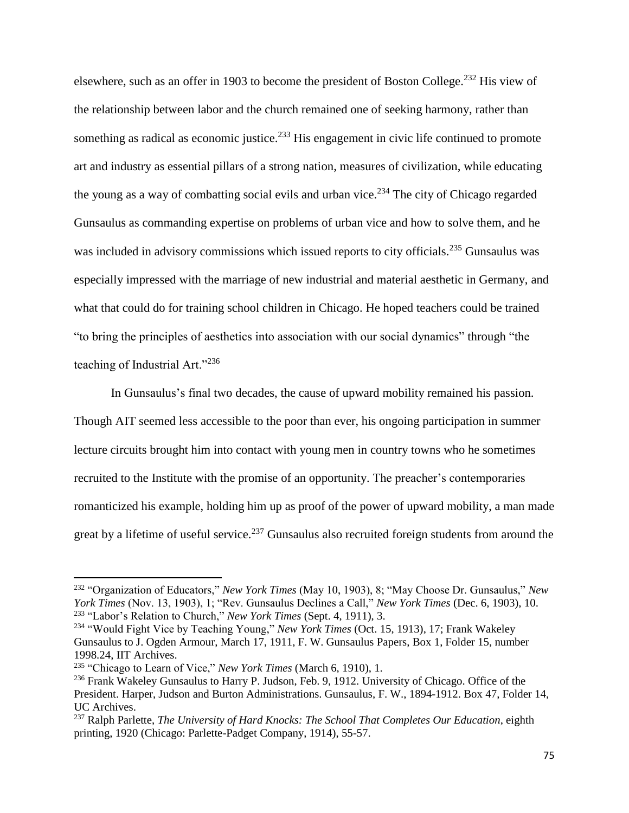elsewhere, such as an offer in 1903 to become the president of Boston College.<sup>232</sup> His view of the relationship between labor and the church remained one of seeking harmony, rather than something as radical as economic justice.<sup>233</sup> His engagement in civic life continued to promote art and industry as essential pillars of a strong nation, measures of civilization, while educating the young as a way of combatting social evils and urban vice.<sup>234</sup> The city of Chicago regarded Gunsaulus as commanding expertise on problems of urban vice and how to solve them, and he was included in advisory commissions which issued reports to city officials.<sup>235</sup> Gunsaulus was especially impressed with the marriage of new industrial and material aesthetic in Germany, and what that could do for training school children in Chicago. He hoped teachers could be trained "to bring the principles of aesthetics into association with our social dynamics" through "the teaching of Industrial Art."<sup>236</sup>

In Gunsaulus's final two decades, the cause of upward mobility remained his passion. Though AIT seemed less accessible to the poor than ever, his ongoing participation in summer lecture circuits brought him into contact with young men in country towns who he sometimes recruited to the Institute with the promise of an opportunity. The preacher's contemporaries romanticized his example, holding him up as proof of the power of upward mobility, a man made great by a lifetime of useful service.<sup>237</sup> Gunsaulus also recruited foreign students from around the

<sup>232</sup> "Organization of Educators," *New York Times* (May 10, 1903), 8; "May Choose Dr. Gunsaulus," *New York Times* (Nov. 13, 1903), 1; "Rev. Gunsaulus Declines a Call," *New York Times* (Dec. 6, 1903), 10. <sup>233</sup> "Labor's Relation to Church," *New York Times* (Sept. 4, 1911), 3.

<sup>234</sup> "Would Fight Vice by Teaching Young," *New York Times* (Oct. 15, 1913), 17; Frank Wakeley Gunsaulus to J. Ogden Armour, March 17, 1911, F. W. Gunsaulus Papers, Box 1, Folder 15, number 1998.24, IIT Archives.

<sup>235</sup> "Chicago to Learn of Vice," *New York Times* (March 6, 1910), 1.

<sup>&</sup>lt;sup>236</sup> Frank Wakeley Gunsaulus to Harry P. Judson, Feb. 9, 1912. University of Chicago. Office of the President. Harper, Judson and Burton Administrations. Gunsaulus, F. W., 1894-1912. Box 47, Folder 14, UC Archives.

<sup>237</sup> Ralph Parlette, *The University of Hard Knocks: The School That Completes Our Education*, eighth printing, 1920 (Chicago: Parlette-Padget Company, 1914), 55-57.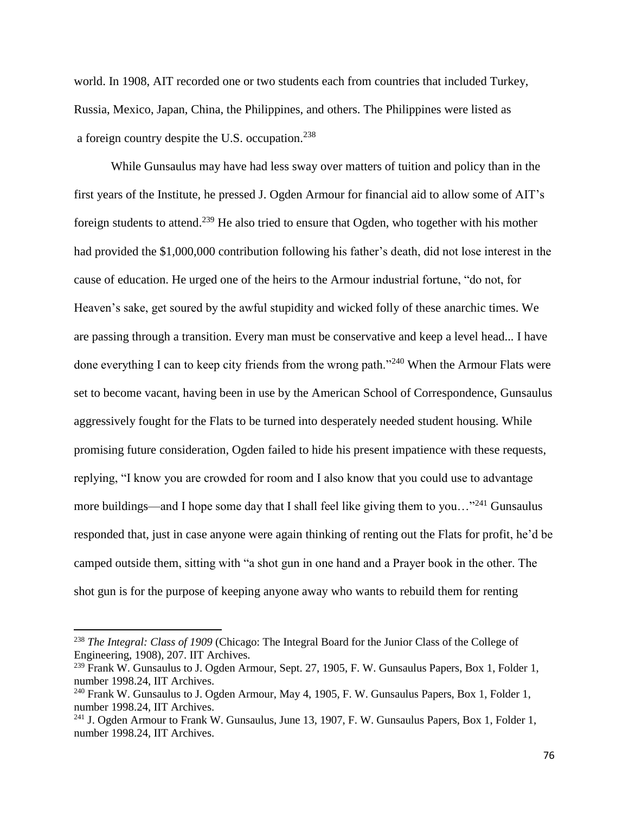world. In 1908, AIT recorded one or two students each from countries that included Turkey, Russia, Mexico, Japan, China, the Philippines, and others. The Philippines were listed as a foreign country despite the U.S. occupation.<sup>238</sup>

While Gunsaulus may have had less sway over matters of tuition and policy than in the first years of the Institute, he pressed J. Ogden Armour for financial aid to allow some of AIT's foreign students to attend.<sup>239</sup> He also tried to ensure that Ogden, who together with his mother had provided the \$1,000,000 contribution following his father's death, did not lose interest in the cause of education. He urged one of the heirs to the Armour industrial fortune, "do not, for Heaven's sake, get soured by the awful stupidity and wicked folly of these anarchic times. We are passing through a transition. Every man must be conservative and keep a level head... I have done everything I can to keep city friends from the wrong path."<sup>240</sup> When the Armour Flats were set to become vacant, having been in use by the American School of Correspondence, Gunsaulus aggressively fought for the Flats to be turned into desperately needed student housing. While promising future consideration, Ogden failed to hide his present impatience with these requests, replying, "I know you are crowded for room and I also know that you could use to advantage more buildings—and I hope some day that I shall feel like giving them to you... $"^{241}$  Gunsaulus responded that, just in case anyone were again thinking of renting out the Flats for profit, he'd be camped outside them, sitting with "a shot gun in one hand and a Prayer book in the other. The shot gun is for the purpose of keeping anyone away who wants to rebuild them for renting

<sup>238</sup> *The Integral: Class of 1909* (Chicago: The Integral Board for the Junior Class of the College of Engineering, 1908), 207. IIT Archives.

<sup>&</sup>lt;sup>239</sup> Frank W. Gunsaulus to J. Ogden Armour, Sept. 27, 1905, F. W. Gunsaulus Papers, Box 1, Folder 1, number 1998.24, IIT Archives.

<sup>&</sup>lt;sup>240</sup> Frank W. Gunsaulus to J. Ogden Armour, May 4, 1905, F. W. Gunsaulus Papers, Box 1, Folder 1, number 1998.24, IIT Archives.

<sup>&</sup>lt;sup>241</sup> J. Ogden Armour to Frank W. Gunsaulus, June 13, 1907, F. W. Gunsaulus Papers, Box 1, Folder 1, number 1998.24, IIT Archives.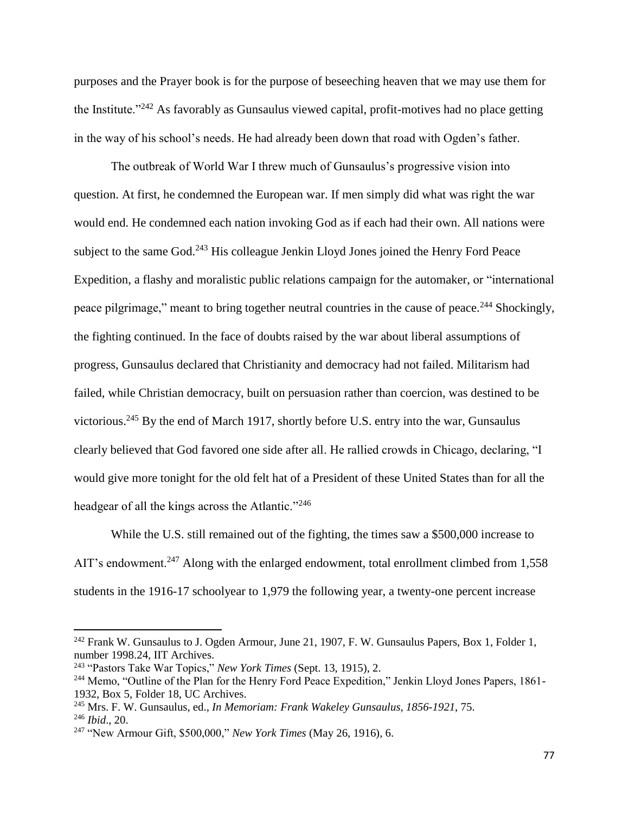purposes and the Prayer book is for the purpose of beseeching heaven that we may use them for the Institute."<sup>242</sup> As favorably as Gunsaulus viewed capital, profit-motives had no place getting in the way of his school's needs. He had already been down that road with Ogden's father.

The outbreak of World War I threw much of Gunsaulus's progressive vision into question. At first, he condemned the European war. If men simply did what was right the war would end. He condemned each nation invoking God as if each had their own. All nations were subject to the same God.<sup>243</sup> His colleague Jenkin Lloyd Jones joined the Henry Ford Peace Expedition, a flashy and moralistic public relations campaign for the automaker, or "international peace pilgrimage," meant to bring together neutral countries in the cause of peace.<sup>244</sup> Shockingly, the fighting continued. In the face of doubts raised by the war about liberal assumptions of progress, Gunsaulus declared that Christianity and democracy had not failed. Militarism had failed, while Christian democracy, built on persuasion rather than coercion, was destined to be victorious.<sup>245</sup> By the end of March 1917, shortly before U.S. entry into the war, Gunsaulus clearly believed that God favored one side after all. He rallied crowds in Chicago, declaring, "I would give more tonight for the old felt hat of a President of these United States than for all the headgear of all the kings across the Atlantic."<sup>246</sup>

While the U.S. still remained out of the fighting, the times saw a \$500,000 increase to AIT's endowment.<sup>247</sup> Along with the enlarged endowment, total enrollment climbed from 1,558 students in the 1916-17 schoolyear to 1,979 the following year, a twenty-one percent increase

 $242$  Frank W. Gunsaulus to J. Ogden Armour, June 21, 1907, F. W. Gunsaulus Papers, Box 1, Folder 1, number 1998.24, IIT Archives.

<sup>243</sup> "Pastors Take War Topics," *New York Times* (Sept. 13, 1915), 2.

<sup>&</sup>lt;sup>244</sup> Memo, "Outline of the Plan for the Henry Ford Peace Expedition," Jenkin Lloyd Jones Papers, 1861-1932, Box 5, Folder 18, UC Archives.

<sup>245</sup> Mrs. F. W. Gunsaulus, ed., *In Memoriam: Frank Wakeley Gunsaulus, 1856-1921*, 75. <sup>246</sup> *Ibid*., 20.

<sup>247</sup> "New Armour Gift, \$500,000," *New York Times* (May 26, 1916), 6.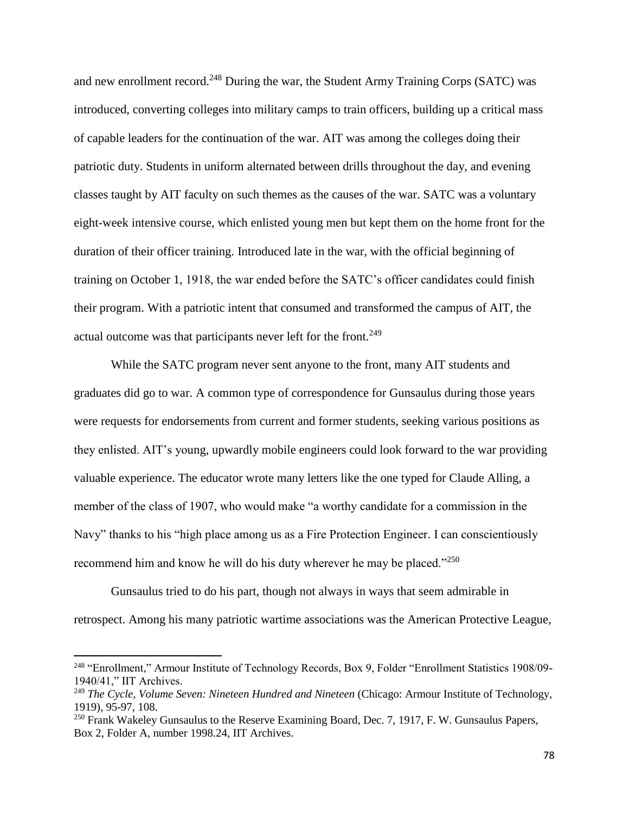and new enrollment record.<sup>248</sup> During the war, the Student Army Training Corps (SATC) was introduced, converting colleges into military camps to train officers, building up a critical mass of capable leaders for the continuation of the war. AIT was among the colleges doing their patriotic duty. Students in uniform alternated between drills throughout the day, and evening classes taught by AIT faculty on such themes as the causes of the war. SATC was a voluntary eight-week intensive course, which enlisted young men but kept them on the home front for the duration of their officer training. Introduced late in the war, with the official beginning of training on October 1, 1918, the war ended before the SATC's officer candidates could finish their program. With a patriotic intent that consumed and transformed the campus of AIT, the actual outcome was that participants never left for the front.<sup>249</sup>

While the SATC program never sent anyone to the front, many AIT students and graduates did go to war. A common type of correspondence for Gunsaulus during those years were requests for endorsements from current and former students, seeking various positions as they enlisted. AIT's young, upwardly mobile engineers could look forward to the war providing valuable experience. The educator wrote many letters like the one typed for Claude Alling, a member of the class of 1907, who would make "a worthy candidate for a commission in the Navy" thanks to his "high place among us as a Fire Protection Engineer. I can conscientiously recommend him and know he will do his duty wherever he may be placed."<sup>250</sup>

Gunsaulus tried to do his part, though not always in ways that seem admirable in retrospect. Among his many patriotic wartime associations was the American Protective League,

l

<sup>248</sup> "Enrollment," Armour Institute of Technology Records, Box 9, Folder "Enrollment Statistics 1908/09- 1940/41," IIT Archives.

<sup>249</sup> *The Cycle, Volume Seven: Nineteen Hundred and Nineteen* (Chicago: Armour Institute of Technology, 1919), 95-97, 108.

<sup>&</sup>lt;sup>250</sup> Frank Wakeley Gunsaulus to the Reserve Examining Board, Dec. 7, 1917, F. W. Gunsaulus Papers, Box 2, Folder A, number 1998.24, IIT Archives.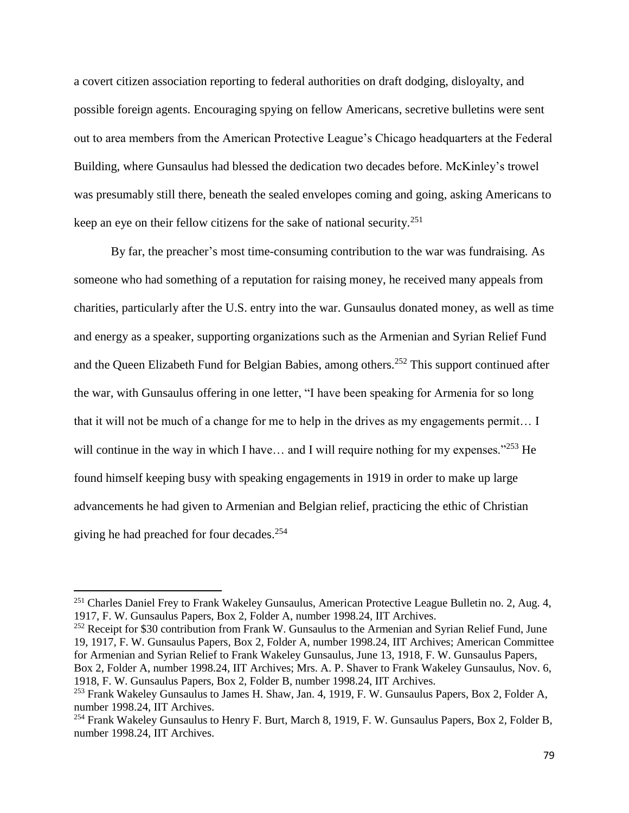a covert citizen association reporting to federal authorities on draft dodging, disloyalty, and possible foreign agents. Encouraging spying on fellow Americans, secretive bulletins were sent out to area members from the American Protective League's Chicago headquarters at the Federal Building, where Gunsaulus had blessed the dedication two decades before. McKinley's trowel was presumably still there, beneath the sealed envelopes coming and going, asking Americans to keep an eye on their fellow citizens for the sake of national security.<sup>251</sup>

By far, the preacher's most time-consuming contribution to the war was fundraising. As someone who had something of a reputation for raising money, he received many appeals from charities, particularly after the U.S. entry into the war. Gunsaulus donated money, as well as time and energy as a speaker, supporting organizations such as the Armenian and Syrian Relief Fund and the Queen Elizabeth Fund for Belgian Babies, among others.<sup>252</sup> This support continued after the war, with Gunsaulus offering in one letter, "I have been speaking for Armenia for so long that it will not be much of a change for me to help in the drives as my engagements permit… I will continue in the way in which I have... and I will require nothing for my expenses."<sup>253</sup> He found himself keeping busy with speaking engagements in 1919 in order to make up large advancements he had given to Armenian and Belgian relief, practicing the ethic of Christian giving he had preached for four decades.<sup>254</sup>

 $\overline{\phantom{a}}$ 

<sup>252</sup> Receipt for \$30 contribution from Frank W. Gunsaulus to the Armenian and Syrian Relief Fund, June 19, 1917, F. W. Gunsaulus Papers, Box 2, Folder A, number 1998.24, IIT Archives; American Committee for Armenian and Syrian Relief to Frank Wakeley Gunsaulus, June 13, 1918, F. W. Gunsaulus Papers, Box 2, Folder A, number 1998.24, IIT Archives; Mrs. A. P. Shaver to Frank Wakeley Gunsaulus, Nov. 6, 1918, F. W. Gunsaulus Papers, Box 2, Folder B, number 1998.24, IIT Archives.

<sup>&</sup>lt;sup>251</sup> Charles Daniel Frey to Frank Wakeley Gunsaulus, American Protective League Bulletin no. 2, Aug. 4, 1917, F. W. Gunsaulus Papers, Box 2, Folder A, number 1998.24, IIT Archives.

<sup>253</sup> Frank Wakeley Gunsaulus to James H. Shaw, Jan. 4, 1919, F. W. Gunsaulus Papers, Box 2, Folder A, number 1998.24, IIT Archives.

<sup>&</sup>lt;sup>254</sup> Frank Wakeley Gunsaulus to Henry F. Burt, March 8, 1919, F. W. Gunsaulus Papers, Box 2, Folder B, number 1998.24, IIT Archives.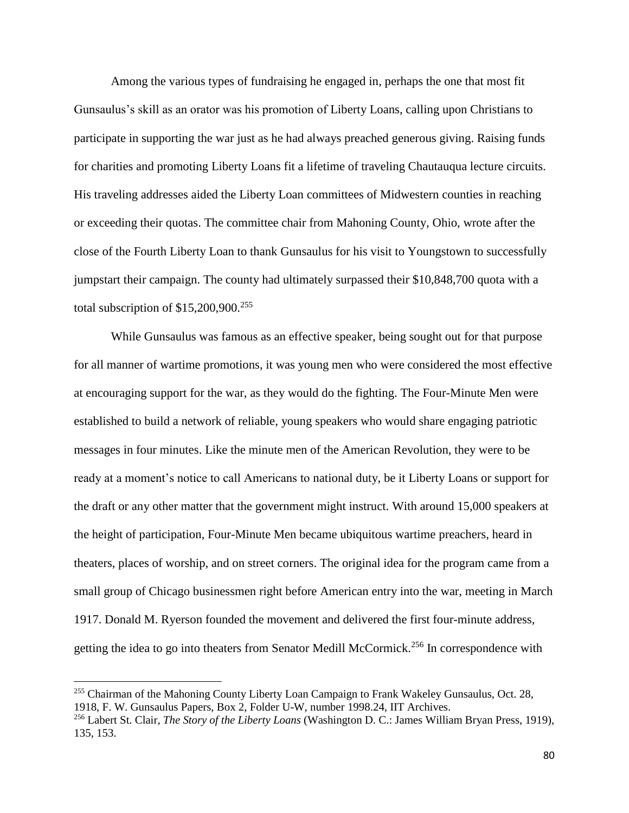Among the various types of fundraising he engaged in, perhaps the one that most fit Gunsaulus's skill as an orator was his promotion of Liberty Loans, calling upon Christians to participate in supporting the war just as he had always preached generous giving. Raising funds for charities and promoting Liberty Loans fit a lifetime of traveling Chautauqua lecture circuits. His traveling addresses aided the Liberty Loan committees of Midwestern counties in reaching or exceeding their quotas. The committee chair from Mahoning County, Ohio, wrote after the close of the Fourth Liberty Loan to thank Gunsaulus for his visit to Youngstown to successfully jumpstart their campaign. The county had ultimately surpassed their \$10,848,700 quota with a total subscription of  $$15,200,900.<sup>255</sup>$ 

While Gunsaulus was famous as an effective speaker, being sought out for that purpose for all manner of wartime promotions, it was young men who were considered the most effective at encouraging support for the war, as they would do the fighting. The Four-Minute Men were established to build a network of reliable, young speakers who would share engaging patriotic messages in four minutes. Like the minute men of the American Revolution, they were to be ready at a moment's notice to call Americans to national duty, be it Liberty Loans or support for the draft or any other matter that the government might instruct. With around 15,000 speakers at the height of participation, Four-Minute Men became ubiquitous wartime preachers, heard in theaters, places of worship, and on street corners. The original idea for the program came from a small group of Chicago businessmen right before American entry into the war, meeting in March 1917. Donald M. Ryerson founded the movement and delivered the first four-minute address, getting the idea to go into theaters from Senator Medill McCormick.<sup>256</sup> In correspondence with

<sup>&</sup>lt;sup>255</sup> Chairman of the Mahoning County Liberty Loan Campaign to Frank Wakeley Gunsaulus, Oct. 28, 1918, F. W. Gunsaulus Papers, Box 2, Folder U-W, number 1998.24, IIT Archives.

<sup>256</sup> Labert St. Clair, *The Story of the Liberty Loans* (Washington D. C.: James William Bryan Press, 1919), 135, 153.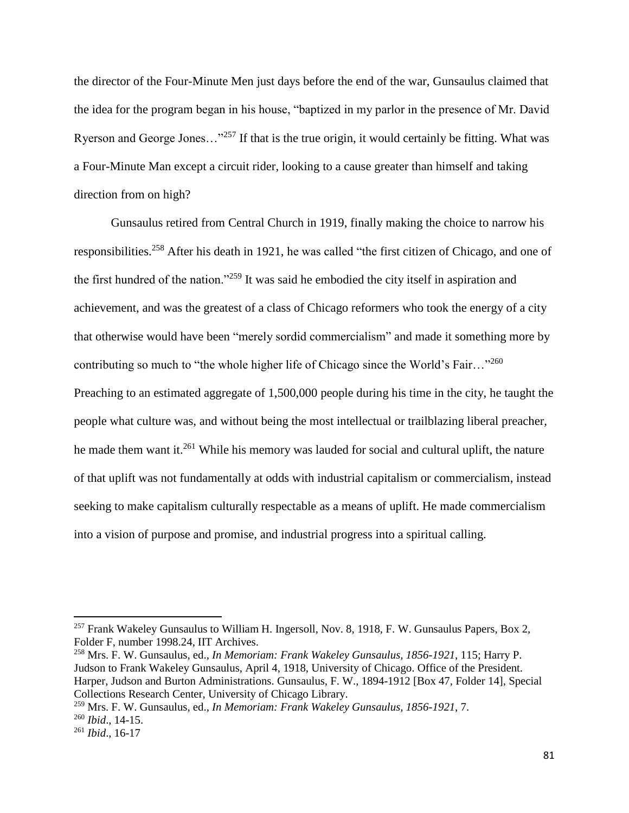the director of the Four-Minute Men just days before the end of the war, Gunsaulus claimed that the idea for the program began in his house, "baptized in my parlor in the presence of Mr. David Ryerson and George Jones…"<sup>257</sup> If that is the true origin, it would certainly be fitting. What was a Four-Minute Man except a circuit rider, looking to a cause greater than himself and taking direction from on high?

Gunsaulus retired from Central Church in 1919, finally making the choice to narrow his responsibilities.<sup>258</sup> After his death in 1921, he was called "the first citizen of Chicago, and one of the first hundred of the nation."<sup>259</sup> It was said he embodied the city itself in aspiration and achievement, and was the greatest of a class of Chicago reformers who took the energy of a city that otherwise would have been "merely sordid commercialism" and made it something more by contributing so much to "the whole higher life of Chicago since the World's Fair..."<sup>260</sup> Preaching to an estimated aggregate of 1,500,000 people during his time in the city, he taught the people what culture was, and without being the most intellectual or trailblazing liberal preacher, he made them want it.<sup>261</sup> While his memory was lauded for social and cultural uplift, the nature of that uplift was not fundamentally at odds with industrial capitalism or commercialism, instead seeking to make capitalism culturally respectable as a means of uplift. He made commercialism into a vision of purpose and promise, and industrial progress into a spiritual calling.

<sup>&</sup>lt;sup>257</sup> Frank Wakeley Gunsaulus to William H. Ingersoll, Nov. 8, 1918, F. W. Gunsaulus Papers, Box 2, Folder F, number 1998.24, IIT Archives.

<sup>258</sup> Mrs. F. W. Gunsaulus, ed., *In Memoriam: Frank Wakeley Gunsaulus, 1856-1921*, 115; Harry P. Judson to Frank Wakeley Gunsaulus, April 4, 1918, University of Chicago. Office of the President. Harper, Judson and Burton Administrations. Gunsaulus, F. W., 1894-1912 [Box 47, Folder 14], Special Collections Research Center, University of Chicago Library.

<sup>259</sup> Mrs. F. W. Gunsaulus, ed., *In Memoriam: Frank Wakeley Gunsaulus, 1856-1921*, 7. <sup>260</sup> *Ibid*., 14-15.

<sup>261</sup> *Ibid*., 16-17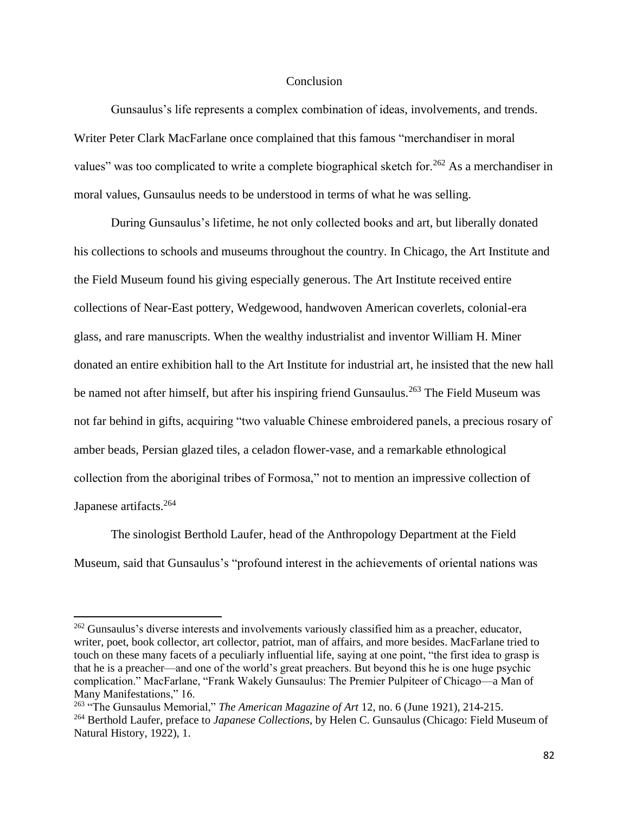## **Conclusion**

Gunsaulus's life represents a complex combination of ideas, involvements, and trends. Writer Peter Clark MacFarlane once complained that this famous "merchandiser in moral values" was too complicated to write a complete biographical sketch for.<sup>262</sup> As a merchandiser in moral values, Gunsaulus needs to be understood in terms of what he was selling.

During Gunsaulus's lifetime, he not only collected books and art, but liberally donated his collections to schools and museums throughout the country. In Chicago, the Art Institute and the Field Museum found his giving especially generous. The Art Institute received entire collections of Near-East pottery, Wedgewood, handwoven American coverlets, colonial-era glass, and rare manuscripts. When the wealthy industrialist and inventor William H. Miner donated an entire exhibition hall to the Art Institute for industrial art, he insisted that the new hall be named not after himself, but after his inspiring friend Gunsaulus.<sup>263</sup> The Field Museum was not far behind in gifts, acquiring "two valuable Chinese embroidered panels, a precious rosary of amber beads, Persian glazed tiles, a celadon flower-vase, and a remarkable ethnological collection from the aboriginal tribes of Formosa," not to mention an impressive collection of Japanese artifacts.<sup>264</sup>

The sinologist Berthold Laufer, head of the Anthropology Department at the Field Museum, said that Gunsaulus's "profound interest in the achievements of oriental nations was

<sup>&</sup>lt;sup>262</sup> Gunsaulus's diverse interests and involvements variously classified him as a preacher, educator, writer, poet, book collector, art collector, patriot, man of affairs, and more besides. MacFarlane tried to touch on these many facets of a peculiarly influential life, saying at one point, "the first idea to grasp is that he is a preacher—and one of the world's great preachers. But beyond this he is one huge psychic complication." MacFarlane, "Frank Wakely Gunsaulus: The Premier Pulpiteer of Chicago—a Man of Many Manifestations," 16.

<sup>263</sup> "The Gunsaulus Memorial," *The American Magazine of Art* 12, no. 6 (June 1921), 214-215. <sup>264</sup> Berthold Laufer, preface to *Japanese Collections*, by Helen C. Gunsaulus (Chicago: Field Museum of Natural History, 1922), 1.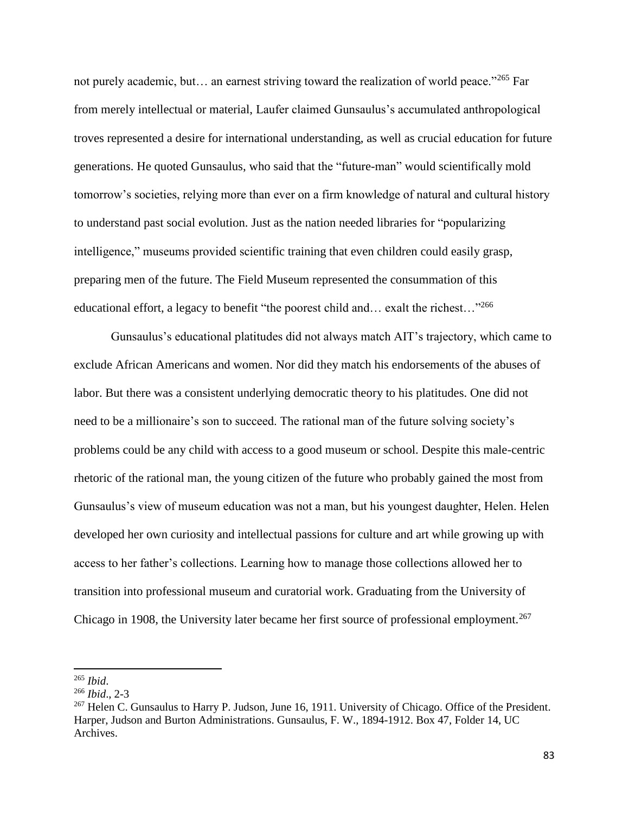not purely academic, but... an earnest striving toward the realization of world peace."<sup>265</sup> Far from merely intellectual or material, Laufer claimed Gunsaulus's accumulated anthropological troves represented a desire for international understanding, as well as crucial education for future generations. He quoted Gunsaulus, who said that the "future-man" would scientifically mold tomorrow's societies, relying more than ever on a firm knowledge of natural and cultural history to understand past social evolution. Just as the nation needed libraries for "popularizing intelligence," museums provided scientific training that even children could easily grasp, preparing men of the future. The Field Museum represented the consummation of this educational effort, a legacy to benefit "the poorest child and... exalt the richest..."<sup>266</sup>

Gunsaulus's educational platitudes did not always match AIT's trajectory, which came to exclude African Americans and women. Nor did they match his endorsements of the abuses of labor. But there was a consistent underlying democratic theory to his platitudes. One did not need to be a millionaire's son to succeed. The rational man of the future solving society's problems could be any child with access to a good museum or school. Despite this male-centric rhetoric of the rational man, the young citizen of the future who probably gained the most from Gunsaulus's view of museum education was not a man, but his youngest daughter, Helen. Helen developed her own curiosity and intellectual passions for culture and art while growing up with access to her father's collections. Learning how to manage those collections allowed her to transition into professional museum and curatorial work. Graduating from the University of Chicago in 1908, the University later became her first source of professional employment.<sup>267</sup>

<sup>265</sup> *Ibid*.

<sup>266</sup> *Ibid*., 2-3

<sup>267</sup> Helen C. Gunsaulus to Harry P. Judson, June 16, 1911. University of Chicago. Office of the President. Harper, Judson and Burton Administrations. Gunsaulus, F. W., 1894-1912. Box 47, Folder 14, UC Archives.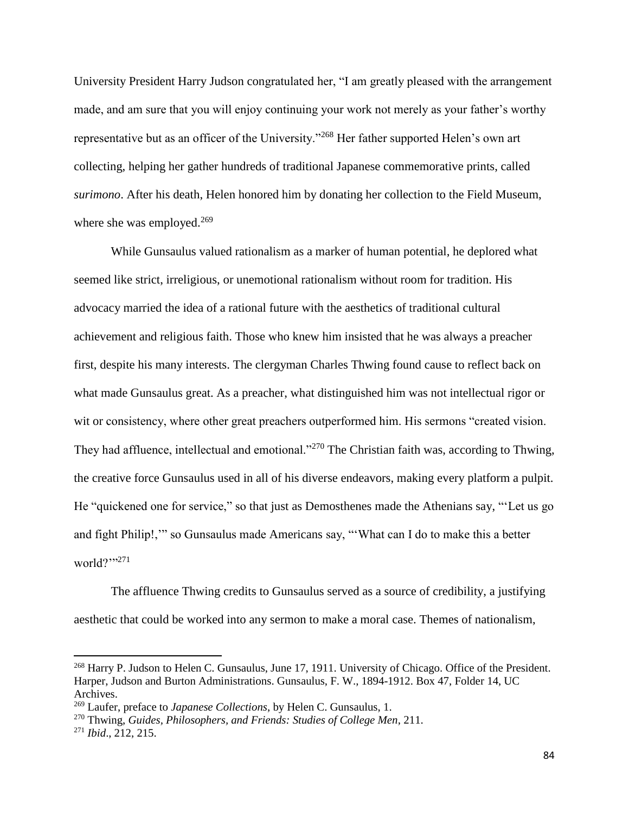University President Harry Judson congratulated her, "I am greatly pleased with the arrangement made, and am sure that you will enjoy continuing your work not merely as your father's worthy representative but as an officer of the University."<sup>268</sup> Her father supported Helen's own art collecting, helping her gather hundreds of traditional Japanese commemorative prints, called *surimono*. After his death, Helen honored him by donating her collection to the Field Museum, where she was employed. $269$ 

While Gunsaulus valued rationalism as a marker of human potential, he deplored what seemed like strict, irreligious, or unemotional rationalism without room for tradition. His advocacy married the idea of a rational future with the aesthetics of traditional cultural achievement and religious faith. Those who knew him insisted that he was always a preacher first, despite his many interests. The clergyman Charles Thwing found cause to reflect back on what made Gunsaulus great. As a preacher, what distinguished him was not intellectual rigor or wit or consistency, where other great preachers outperformed him. His sermons "created vision. They had affluence, intellectual and emotional."<sup>270</sup> The Christian faith was, according to Thwing, the creative force Gunsaulus used in all of his diverse endeavors, making every platform a pulpit. He "quickened one for service," so that just as Demosthenes made the Athenians say, "'Let us go and fight Philip!,'" so Gunsaulus made Americans say, "'What can I do to make this a better world?"<sup>271</sup>

The affluence Thwing credits to Gunsaulus served as a source of credibility, a justifying aesthetic that could be worked into any sermon to make a moral case. Themes of nationalism,

l

<sup>&</sup>lt;sup>268</sup> Harry P. Judson to Helen C. Gunsaulus, June 17, 1911. University of Chicago. Office of the President. Harper, Judson and Burton Administrations. Gunsaulus, F. W., 1894-1912. Box 47, Folder 14, UC Archives.

<sup>269</sup> Laufer, preface to *Japanese Collections*, by Helen C. Gunsaulus, 1.

<sup>270</sup> Thwing, *Guides, Philosophers, and Friends: Studies of College Men*, 211.

<sup>271</sup> *Ibid*., 212, 215.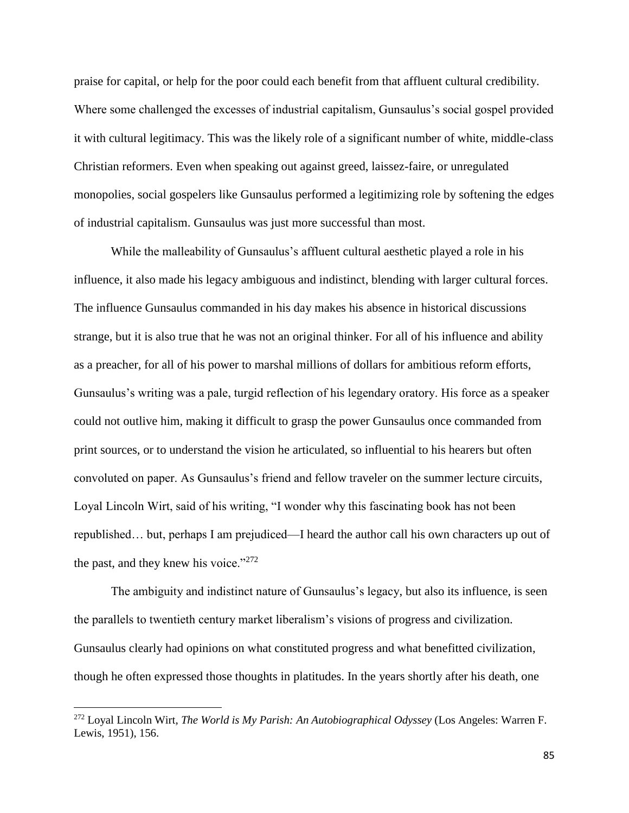praise for capital, or help for the poor could each benefit from that affluent cultural credibility. Where some challenged the excesses of industrial capitalism, Gunsaulus's social gospel provided it with cultural legitimacy. This was the likely role of a significant number of white, middle-class Christian reformers. Even when speaking out against greed, laissez-faire, or unregulated monopolies, social gospelers like Gunsaulus performed a legitimizing role by softening the edges of industrial capitalism. Gunsaulus was just more successful than most.

While the malleability of Gunsaulus's affluent cultural aesthetic played a role in his influence, it also made his legacy ambiguous and indistinct, blending with larger cultural forces. The influence Gunsaulus commanded in his day makes his absence in historical discussions strange, but it is also true that he was not an original thinker. For all of his influence and ability as a preacher, for all of his power to marshal millions of dollars for ambitious reform efforts, Gunsaulus's writing was a pale, turgid reflection of his legendary oratory. His force as a speaker could not outlive him, making it difficult to grasp the power Gunsaulus once commanded from print sources, or to understand the vision he articulated, so influential to his hearers but often convoluted on paper. As Gunsaulus's friend and fellow traveler on the summer lecture circuits, Loyal Lincoln Wirt, said of his writing, "I wonder why this fascinating book has not been republished… but, perhaps I am prejudiced—I heard the author call his own characters up out of the past, and they knew his voice." $272$ 

The ambiguity and indistinct nature of Gunsaulus's legacy, but also its influence, is seen the parallels to twentieth century market liberalism's visions of progress and civilization. Gunsaulus clearly had opinions on what constituted progress and what benefitted civilization, though he often expressed those thoughts in platitudes. In the years shortly after his death, one

 $\overline{a}$ 

<sup>272</sup> Loyal Lincoln Wirt, *The World is My Parish: An Autobiographical Odyssey* (Los Angeles: Warren F. Lewis, 1951), 156.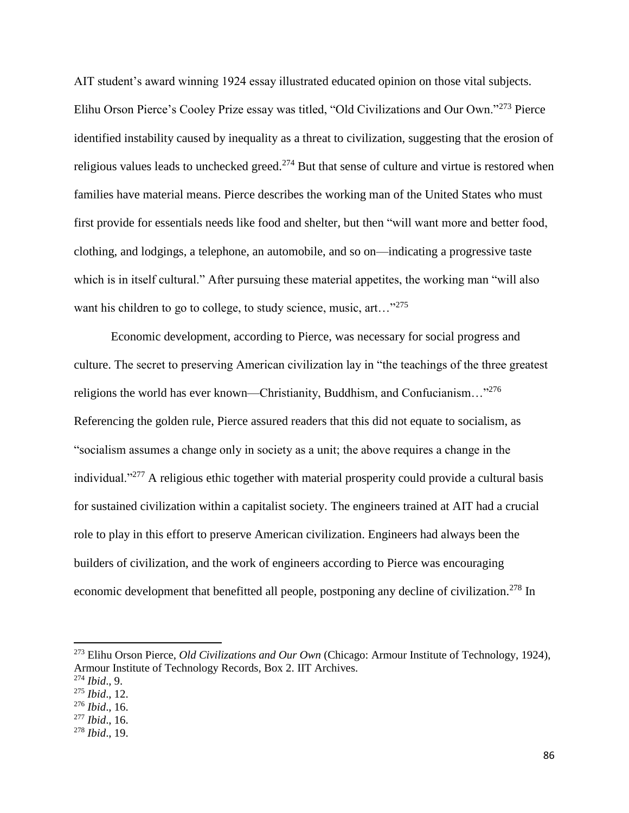AIT student's award winning 1924 essay illustrated educated opinion on those vital subjects. Elihu Orson Pierce's Cooley Prize essay was titled, "Old Civilizations and Our Own."<sup>273</sup> Pierce identified instability caused by inequality as a threat to civilization, suggesting that the erosion of religious values leads to unchecked greed.<sup>274</sup> But that sense of culture and virtue is restored when families have material means. Pierce describes the working man of the United States who must first provide for essentials needs like food and shelter, but then "will want more and better food, clothing, and lodgings, a telephone, an automobile, and so on—indicating a progressive taste which is in itself cultural." After pursuing these material appetites, the working man "will also want his children to go to college, to study science, music, art..."<sup>275</sup>

Economic development, according to Pierce, was necessary for social progress and culture. The secret to preserving American civilization lay in "the teachings of the three greatest religions the world has ever known—Christianity, Buddhism, and Confucianism..."<sup>276</sup> Referencing the golden rule, Pierce assured readers that this did not equate to socialism, as "socialism assumes a change only in society as a unit; the above requires a change in the individual."<sup>277</sup> A religious ethic together with material prosperity could provide a cultural basis for sustained civilization within a capitalist society. The engineers trained at AIT had a crucial role to play in this effort to preserve American civilization. Engineers had always been the builders of civilization, and the work of engineers according to Pierce was encouraging economic development that benefitted all people, postponing any decline of civilization.<sup>278</sup> In

<sup>273</sup> Elihu Orson Pierce, *Old Civilizations and Our Own* (Chicago: Armour Institute of Technology, 1924), Armour Institute of Technology Records, Box 2. IIT Archives.

<sup>274</sup> *Ibid*., 9.

<sup>275</sup> *Ibid*., 12.

<sup>276</sup> *Ibid*., 16.

<sup>277</sup> *Ibid*., 16.

<sup>278</sup> *Ibid*., 19.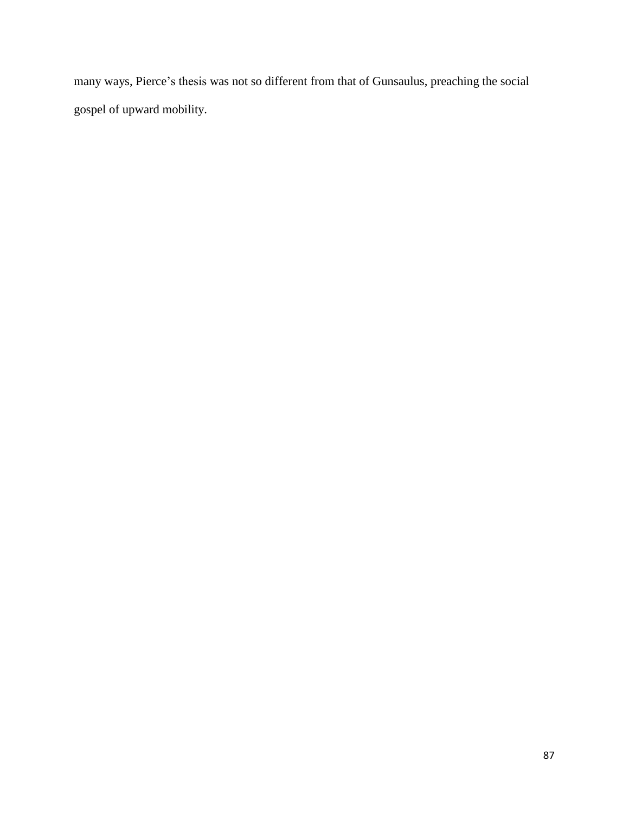many ways, Pierce's thesis was not so different from that of Gunsaulus, preaching the social gospel of upward mobility.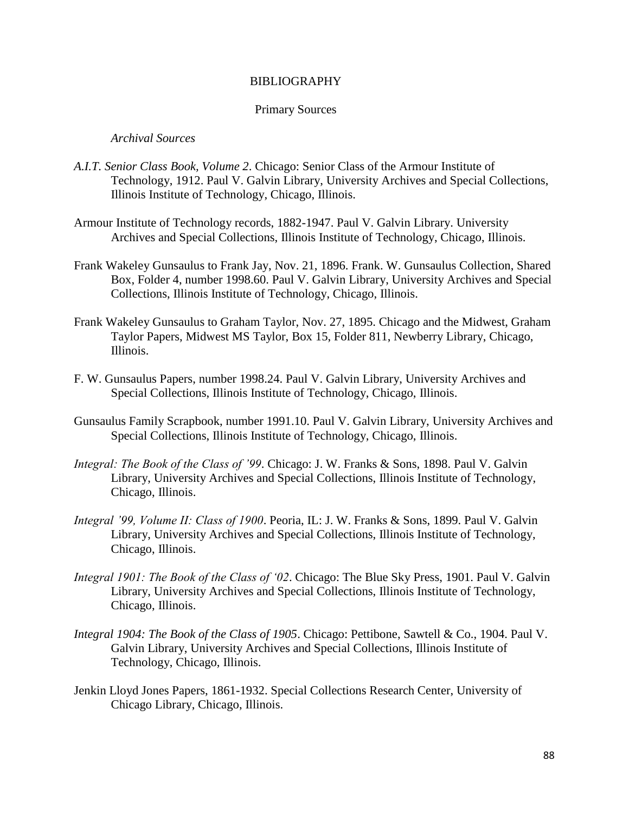## BIBLIOGRAPHY

#### Primary Sources

## *Archival Sources*

- *A.I.T. Senior Class Book, Volume 2*. Chicago: Senior Class of the Armour Institute of Technology, 1912. Paul V. Galvin Library, University Archives and Special Collections, Illinois Institute of Technology, Chicago, Illinois.
- Armour Institute of Technology records, 1882-1947. Paul V. Galvin Library. University Archives and Special Collections, Illinois Institute of Technology, Chicago, Illinois.
- Frank Wakeley Gunsaulus to Frank Jay, Nov. 21, 1896. Frank. W. Gunsaulus Collection, Shared Box, Folder 4, number 1998.60. Paul V. Galvin Library, University Archives and Special Collections, Illinois Institute of Technology, Chicago, Illinois.
- Frank Wakeley Gunsaulus to Graham Taylor, Nov. 27, 1895. Chicago and the Midwest, Graham Taylor Papers, Midwest MS Taylor, Box 15, Folder 811, Newberry Library, Chicago, Illinois.
- F. W. Gunsaulus Papers, number 1998.24. Paul V. Galvin Library, University Archives and Special Collections, Illinois Institute of Technology, Chicago, Illinois.
- Gunsaulus Family Scrapbook, number 1991.10. Paul V. Galvin Library, University Archives and Special Collections, Illinois Institute of Technology, Chicago, Illinois.
- *Integral: The Book of the Class of '99*. Chicago: J. W. Franks & Sons, 1898. Paul V. Galvin Library, University Archives and Special Collections, Illinois Institute of Technology, Chicago, Illinois.
- *Integral '99, Volume II: Class of 1900*. Peoria, IL: J. W. Franks & Sons, 1899. Paul V. Galvin Library, University Archives and Special Collections, Illinois Institute of Technology, Chicago, Illinois.
- *Integral 1901: The Book of the Class of '02*. Chicago: The Blue Sky Press, 1901. Paul V. Galvin Library, University Archives and Special Collections, Illinois Institute of Technology, Chicago, Illinois.
- *Integral 1904: The Book of the Class of 1905*. Chicago: Pettibone, Sawtell & Co., 1904. Paul V. Galvin Library, University Archives and Special Collections, Illinois Institute of Technology, Chicago, Illinois.
- Jenkin Lloyd Jones Papers, 1861-1932. Special Collections Research Center, University of Chicago Library, Chicago, Illinois.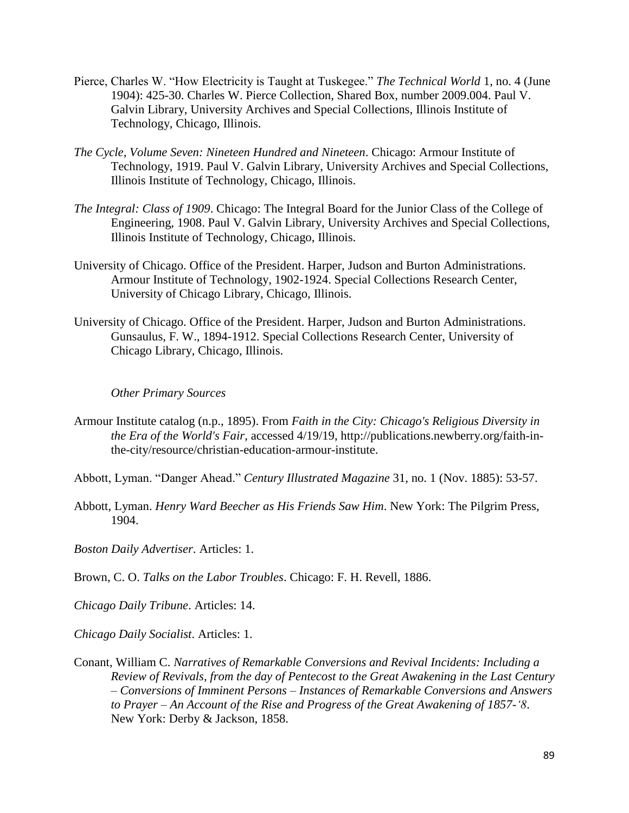- Pierce, Charles W. "How Electricity is Taught at Tuskegee." *The Technical World* 1, no. 4 (June 1904): 425-30. Charles W. Pierce Collection, Shared Box, number 2009.004. Paul V. Galvin Library, University Archives and Special Collections, Illinois Institute of Technology, Chicago, Illinois.
- *The Cycle, Volume Seven: Nineteen Hundred and Nineteen*. Chicago: Armour Institute of Technology, 1919. Paul V. Galvin Library, University Archives and Special Collections, Illinois Institute of Technology, Chicago, Illinois.
- *The Integral: Class of 1909*. Chicago: The Integral Board for the Junior Class of the College of Engineering, 1908. Paul V. Galvin Library, University Archives and Special Collections, Illinois Institute of Technology, Chicago, Illinois.
- University of Chicago. Office of the President. Harper, Judson and Burton Administrations. Armour Institute of Technology, 1902-1924. Special Collections Research Center, University of Chicago Library, Chicago, Illinois.
- University of Chicago. Office of the President. Harper, Judson and Burton Administrations. Gunsaulus, F. W., 1894-1912. Special Collections Research Center, University of Chicago Library, Chicago, Illinois.

# *Other Primary Sources*

- Armour Institute catalog (n.p., 1895). From *Faith in the City: Chicago's Religious Diversity in the Era of the World's Fair*, accessed 4/19/19, http://publications.newberry.org/faith-inthe-city/resource/christian-education-armour-institute.
- Abbott, Lyman. "Danger Ahead." *Century Illustrated Magazine* 31, no. 1 (Nov. 1885): 53-57.
- Abbott, Lyman. *Henry Ward Beecher as His Friends Saw Him*. New York: The Pilgrim Press, 1904.

*Boston Daily Advertiser*. Articles: 1.

Brown, C. O. *Talks on the Labor Troubles*. Chicago: F. H. Revell, 1886.

*Chicago Daily Tribune*. Articles: 14.

*Chicago Daily Socialist*. Articles: 1.

Conant, William C. *Narratives of Remarkable Conversions and Revival Incidents: Including a Review of Revivals, from the day of Pentecost to the Great Awakening in the Last Century – Conversions of Imminent Persons – Instances of Remarkable Conversions and Answers to Prayer – An Account of the Rise and Progress of the Great Awakening of 1857-'8*. New York: Derby & Jackson, 1858.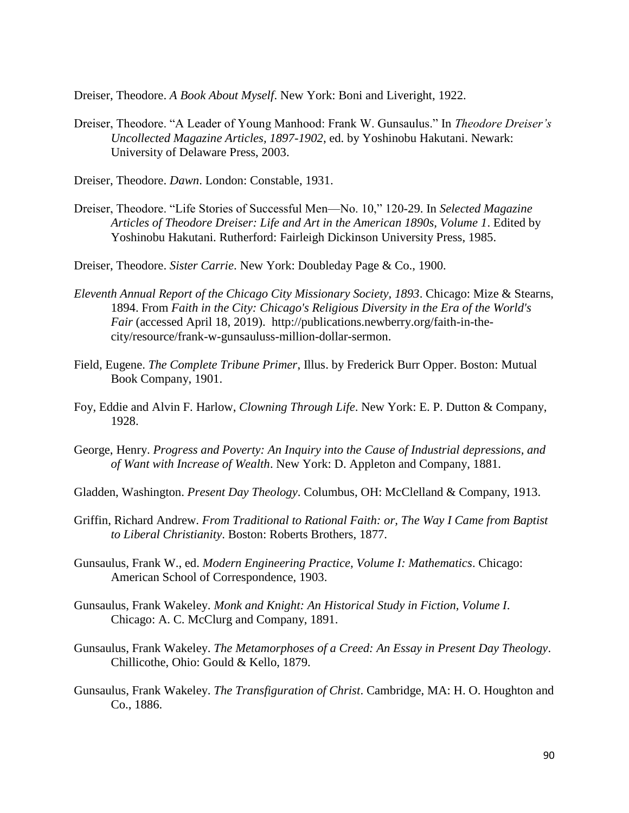Dreiser, Theodore. *A Book About Myself*. New York: Boni and Liveright, 1922.

- Dreiser, Theodore. "A Leader of Young Manhood: Frank W. Gunsaulus." In *Theodore Dreiser's Uncollected Magazine Articles, 1897-1902*, ed. by Yoshinobu Hakutani. Newark: University of Delaware Press, 2003.
- Dreiser, Theodore. *Dawn*. London: Constable, 1931.
- Dreiser, Theodore. "Life Stories of Successful Men—No. 10," 120-29. In *Selected Magazine Articles of Theodore Dreiser: Life and Art in the American 1890s, Volume 1*. Edited by Yoshinobu Hakutani. Rutherford: Fairleigh Dickinson University Press, 1985.
- Dreiser, Theodore. *Sister Carrie*. New York: Doubleday Page & Co., 1900.
- *Eleventh Annual Report of the Chicago City Missionary Society, 1893*. Chicago: Mize & Stearns, 1894. From *Faith in the City: Chicago's Religious Diversity in the Era of the World's Fair* (accessed April 18, 2019). http://publications.newberry.org/faith-in-thecity/resource/frank-w-gunsauluss-million-dollar-sermon.
- Field, Eugene. *The Complete Tribune Primer*, Illus. by Frederick Burr Opper. Boston: Mutual Book Company, 1901.
- Foy, Eddie and Alvin F. Harlow, *Clowning Through Life*. New York: E. P. Dutton & Company, 1928.
- George, Henry. *Progress and Poverty: An Inquiry into the Cause of Industrial depressions, and of Want with Increase of Wealth*. New York: D. Appleton and Company, 1881.
- Gladden, Washington. *Present Day Theology*. Columbus, OH: McClelland & Company, 1913.
- Griffin, Richard Andrew. *From Traditional to Rational Faith: or, The Way I Came from Baptist to Liberal Christianity*. Boston: Roberts Brothers, 1877.
- Gunsaulus, Frank W., ed. *Modern Engineering Practice, Volume I: Mathematics*. Chicago: American School of Correspondence, 1903.
- Gunsaulus, Frank Wakeley. *Monk and Knight: An Historical Study in Fiction, Volume I*. Chicago: A. C. McClurg and Company, 1891.
- Gunsaulus, Frank Wakeley. *The Metamorphoses of a Creed: An Essay in Present Day Theology*. Chillicothe, Ohio: Gould & Kello, 1879.
- Gunsaulus, Frank Wakeley. *The Transfiguration of Christ*. Cambridge, MA: H. O. Houghton and Co., 1886.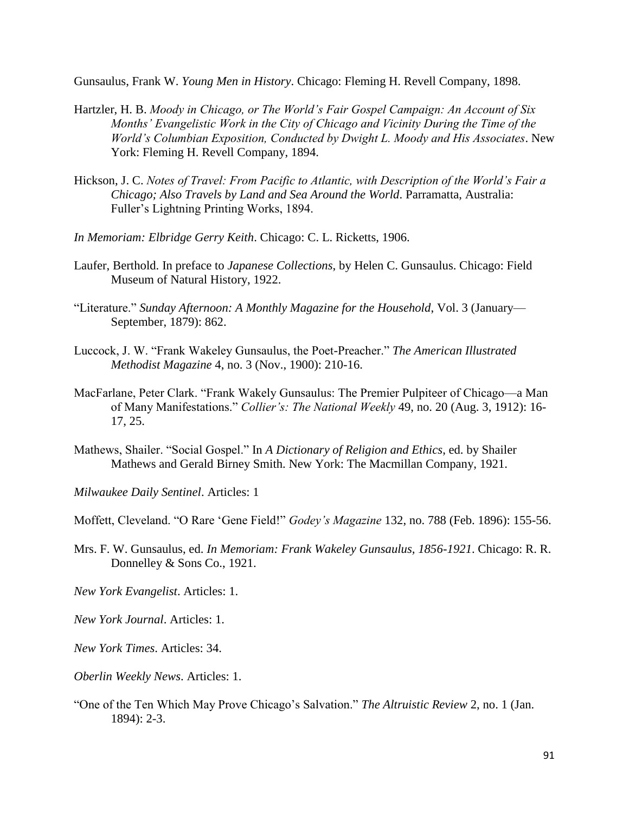Gunsaulus, Frank W. *Young Men in History*. Chicago: Fleming H. Revell Company, 1898.

- Hartzler, H. B. *Moody in Chicago, or The World's Fair Gospel Campaign: An Account of Six Months' Evangelistic Work in the City of Chicago and Vicinity During the Time of the World's Columbian Exposition, Conducted by Dwight L. Moody and His Associates*. New York: Fleming H. Revell Company, 1894.
- Hickson, J. C. *Notes of Travel: From Pacific to Atlantic, with Description of the World's Fair a Chicago; Also Travels by Land and Sea Around the World*. Parramatta, Australia: Fuller's Lightning Printing Works, 1894.
- *In Memoriam: Elbridge Gerry Keith*. Chicago: C. L. Ricketts, 1906.
- Laufer, Berthold. In preface to *Japanese Collections*, by Helen C. Gunsaulus. Chicago: Field Museum of Natural History, 1922.
- "Literature." *Sunday Afternoon: A Monthly Magazine for the Household*, Vol. 3 (January— September, 1879): 862.
- Luccock, J. W. "Frank Wakeley Gunsaulus, the Poet-Preacher." *The American Illustrated Methodist Magazine* 4, no. 3 (Nov., 1900): 210-16.
- MacFarlane, Peter Clark. "Frank Wakely Gunsaulus: The Premier Pulpiteer of Chicago—a Man of Many Manifestations." *Collier's: The National Weekly* 49, no. 20 (Aug. 3, 1912): 16- 17, 25.
- Mathews, Shailer. "Social Gospel." In *A Dictionary of Religion and Ethics*, ed. by Shailer Mathews and Gerald Birney Smith. New York: The Macmillan Company, 1921.

*Milwaukee Daily Sentinel*. Articles: 1

Moffett, Cleveland. "O Rare 'Gene Field!" *Godey's Magazine* 132, no. 788 (Feb. 1896): 155-56.

- Mrs. F. W. Gunsaulus, ed. *In Memoriam: Frank Wakeley Gunsaulus, 1856-1921*. Chicago: R. R. Donnelley & Sons Co., 1921.
- *New York Evangelist*. Articles: 1.
- *New York Journal*. Articles: 1.
- *New York Times*. Articles: 34.
- *Oberlin Weekly News*. Articles: 1.
- "One of the Ten Which May Prove Chicago's Salvation." *The Altruistic Review* 2, no. 1 (Jan. 1894): 2-3.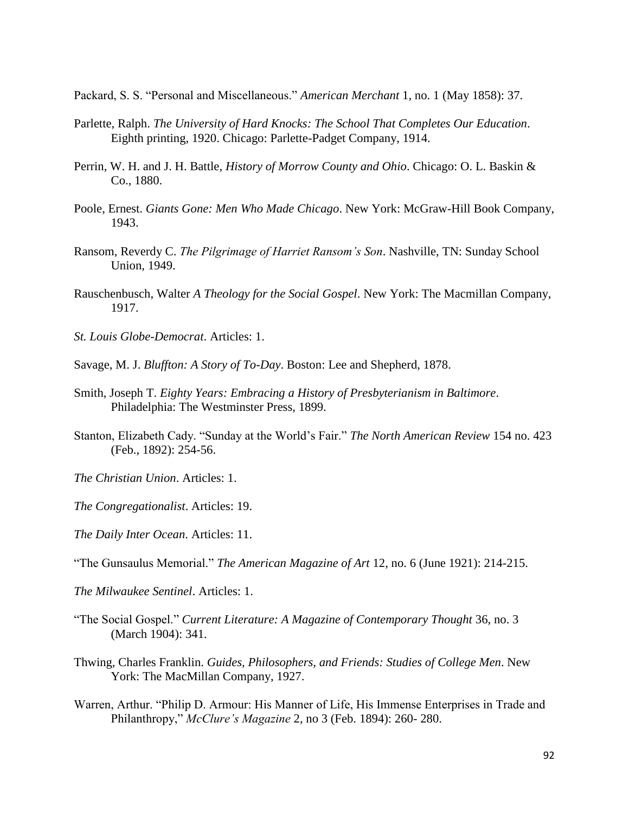Packard, S. S. "Personal and Miscellaneous." *American Merchant* 1, no. 1 (May 1858): 37.

- Parlette, Ralph. *The University of Hard Knocks: The School That Completes Our Education*. Eighth printing, 1920. Chicago: Parlette-Padget Company, 1914.
- Perrin, W. H. and J. H. Battle, *History of Morrow County and Ohio*. Chicago: O. L. Baskin & Co., 1880.
- Poole, Ernest. *Giants Gone: Men Who Made Chicago*. New York: McGraw-Hill Book Company, 1943.
- Ransom, Reverdy C. *The Pilgrimage of Harriet Ransom's Son*. Nashville, TN: Sunday School Union, 1949.
- Rauschenbusch, Walter *A Theology for the Social Gospel*. New York: The Macmillan Company, 1917.
- *St. Louis Globe-Democrat*. Articles: 1.
- Savage, M. J. *Bluffton: A Story of To-Day*. Boston: Lee and Shepherd, 1878.
- Smith, Joseph T. *Eighty Years: Embracing a History of Presbyterianism in Baltimore*. Philadelphia: The Westminster Press, 1899.
- Stanton, Elizabeth Cady. "Sunday at the World's Fair." *The North American Review* 154 no. 423 (Feb., 1892): 254-56.
- *The Christian Union*. Articles: 1.
- *The Congregationalist*. Articles: 19.
- *The Daily Inter Ocean*. Articles: 11.
- "The Gunsaulus Memorial." *The American Magazine of Art* 12, no. 6 (June 1921): 214-215.
- *The Milwaukee Sentinel*. Articles: 1.
- "The Social Gospel." *Current Literature: A Magazine of Contemporary Thought* 36, no. 3 (March 1904): 341.
- Thwing, Charles Franklin. *Guides, Philosophers, and Friends: Studies of College Men*. New York: The MacMillan Company, 1927.
- Warren, Arthur. "Philip D. Armour: His Manner of Life, His Immense Enterprises in Trade and Philanthropy," *McClure's Magazine* 2, no 3 (Feb. 1894): 260- 280.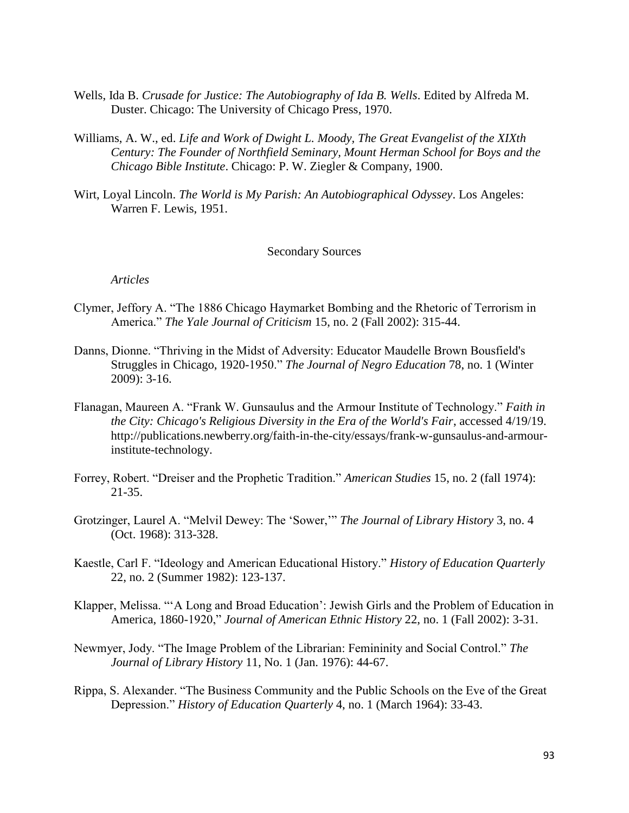- Wells, Ida B. *Crusade for Justice: The Autobiography of Ida B. Wells*. Edited by Alfreda M. Duster. Chicago: The University of Chicago Press, 1970.
- Williams, A. W., ed. *Life and Work of Dwight L. Moody, The Great Evangelist of the XIXth Century: The Founder of Northfield Seminary, Mount Herman School for Boys and the Chicago Bible Institute*. Chicago: P. W. Ziegler & Company, 1900.
- Wirt, Loyal Lincoln. *The World is My Parish: An Autobiographical Odyssey*. Los Angeles: Warren F. Lewis, 1951.

## Secondary Sources

*Articles*

- Clymer, Jeffory A. "The 1886 Chicago Haymarket Bombing and the Rhetoric of Terrorism in America." *The Yale Journal of Criticism* 15, no. 2 (Fall 2002): 315-44.
- Danns, Dionne. "Thriving in the Midst of Adversity: Educator Maudelle Brown Bousfield's Struggles in Chicago, 1920-1950." *The Journal of Negro Education* 78, no. 1 (Winter 2009): 3-16.
- Flanagan, Maureen A. "Frank W. Gunsaulus and the Armour Institute of Technology." *Faith in the City: Chicago's Religious Diversity in the Era of the World's Fair*, accessed 4/19/19. http://publications.newberry.org/faith-in-the-city/essays/frank-w-gunsaulus-and-armourinstitute-technology.
- Forrey, Robert. "Dreiser and the Prophetic Tradition." *American Studies* 15, no. 2 (fall 1974): 21-35.
- Grotzinger, Laurel A. "Melvil Dewey: The 'Sower,'" *The Journal of Library History* 3, no. 4 (Oct. 1968): 313-328.
- Kaestle, Carl F. "Ideology and American Educational History." *History of Education Quarterly* 22, no. 2 (Summer 1982): 123-137.
- Klapper, Melissa. "'A Long and Broad Education': Jewish Girls and the Problem of Education in America, 1860-1920," *Journal of American Ethnic History* 22, no. 1 (Fall 2002): 3-31.
- Newmyer, Jody. "The Image Problem of the Librarian: Femininity and Social Control." *The Journal of Library History* 11, No. 1 (Jan. 1976): 44-67.
- Rippa, S. Alexander. "The Business Community and the Public Schools on the Eve of the Great Depression." *History of Education Quarterly* 4, no. 1 (March 1964): 33-43.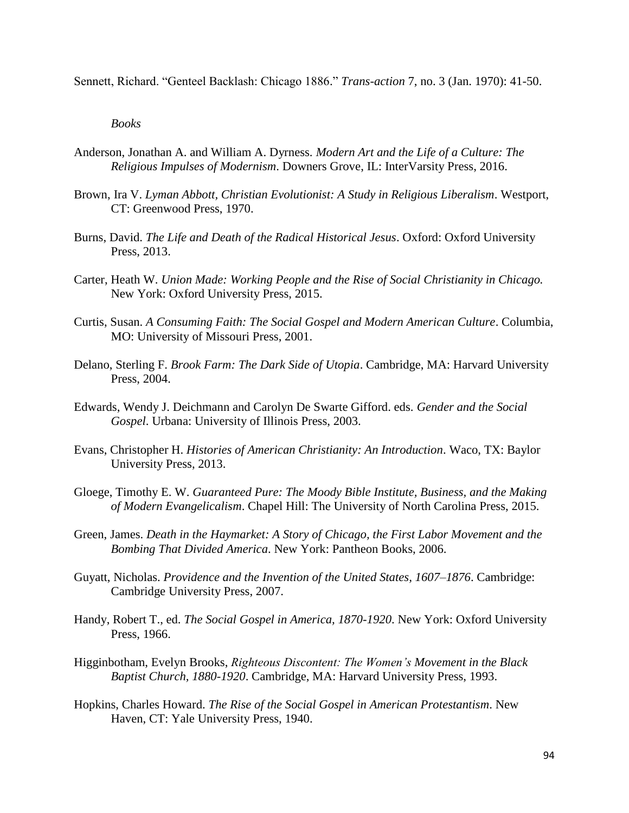Sennett, Richard. "Genteel Backlash: Chicago 1886." *Trans-action* 7, no. 3 (Jan. 1970): 41-50.

*Books*

- Anderson, Jonathan A. and William A. Dyrness. *Modern Art and the Life of a Culture: The Religious Impulses of Modernism*. Downers Grove, IL: InterVarsity Press, 2016.
- Brown, Ira V. *Lyman Abbott, Christian Evolutionist: A Study in Religious Liberalism*. Westport, CT: Greenwood Press, 1970.
- Burns, David. *The Life and Death of the Radical Historical Jesus*. Oxford: Oxford University Press, 2013.
- Carter, Heath W. *Union Made: Working People and the Rise of Social Christianity in Chicago.*  New York: Oxford University Press, 2015.
- Curtis, Susan. *A Consuming Faith: The Social Gospel and Modern American Culture*. Columbia, MO: University of Missouri Press, 2001.
- Delano, Sterling F. *Brook Farm: The Dark Side of Utopia*. Cambridge, MA: Harvard University Press, 2004.
- Edwards, Wendy J. Deichmann and Carolyn De Swarte Gifford. eds. *Gender and the Social Gospel*. Urbana: University of Illinois Press, 2003.
- Evans, Christopher H. *Histories of American Christianity: An Introduction*. Waco, TX: Baylor University Press, 2013.
- Gloege, Timothy E. W. *Guaranteed Pure: The Moody Bible Institute, Business, and the Making of Modern Evangelicalism*. Chapel Hill: The University of North Carolina Press, 2015.
- Green, James. *Death in the Haymarket: A Story of Chicago, the First Labor Movement and the Bombing That Divided America*. New York: Pantheon Books, 2006.
- Guyatt, Nicholas. *Providence and the Invention of the United States, 1607–1876*. Cambridge: Cambridge University Press, 2007.
- Handy, Robert T., ed. *The Social Gospel in America, 1870-1920*. New York: Oxford University Press, 1966.
- Higginbotham, Evelyn Brooks, *Righteous Discontent: The Women's Movement in the Black Baptist Church, 1880-1920*. Cambridge, MA: Harvard University Press, 1993.
- Hopkins, Charles Howard. *The Rise of the Social Gospel in American Protestantism*. New Haven, CT: Yale University Press, 1940.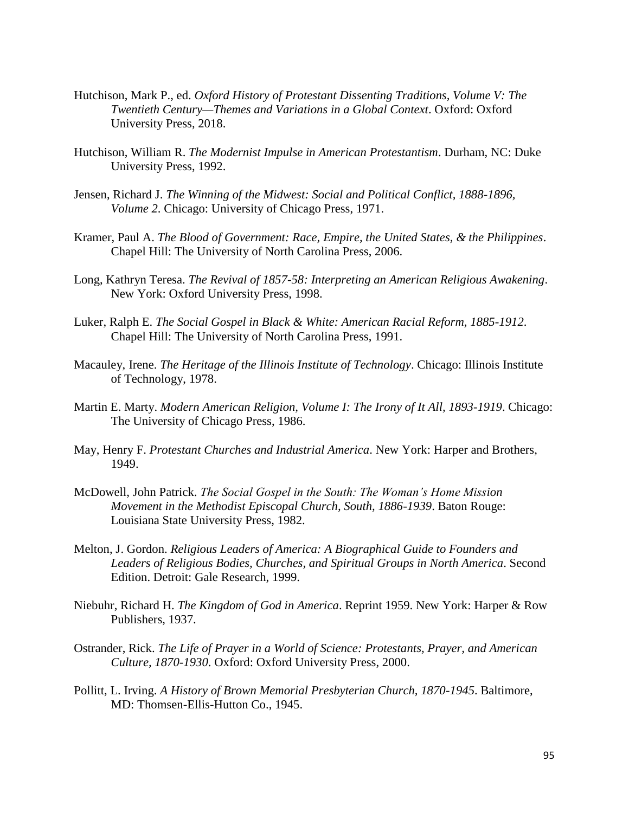- Hutchison, Mark P., ed. *Oxford History of Protestant Dissenting Traditions, Volume V: The Twentieth Century—Themes and Variations in a Global Context*. Oxford: Oxford University Press, 2018.
- Hutchison, William R. *The Modernist Impulse in American Protestantism*. Durham, NC: Duke University Press, 1992.
- Jensen, Richard J. *The Winning of the Midwest: Social and Political Conflict, 1888-1896, Volume 2*. Chicago: University of Chicago Press, 1971.
- Kramer, Paul A. *The Blood of Government: Race, Empire, the United States, & the Philippines*. Chapel Hill: The University of North Carolina Press, 2006.
- Long, Kathryn Teresa. *The Revival of 1857-58: Interpreting an American Religious Awakening*. New York: Oxford University Press, 1998.
- Luker, Ralph E. *The Social Gospel in Black & White: American Racial Reform, 1885-1912*. Chapel Hill: The University of North Carolina Press, 1991.
- Macauley, Irene. *The Heritage of the Illinois Institute of Technology*. Chicago: Illinois Institute of Technology, 1978.
- Martin E. Marty. *Modern American Religion, Volume I: The Irony of It All, 1893-1919*. Chicago: The University of Chicago Press, 1986.
- May, Henry F. *Protestant Churches and Industrial America*. New York: Harper and Brothers, 1949.
- McDowell, John Patrick. *The Social Gospel in the South: The Woman's Home Mission Movement in the Methodist Episcopal Church, South, 1886-1939*. Baton Rouge: Louisiana State University Press, 1982.
- Melton, J. Gordon. *Religious Leaders of America: A Biographical Guide to Founders and Leaders of Religious Bodies, Churches, and Spiritual Groups in North America*. Second Edition. Detroit: Gale Research, 1999.
- Niebuhr, Richard H. *The Kingdom of God in America*. Reprint 1959. New York: Harper & Row Publishers, 1937.
- Ostrander, Rick. *The Life of Prayer in a World of Science: Protestants, Prayer, and American Culture, 1870-1930*. Oxford: Oxford University Press, 2000.
- Pollitt, L. Irving. *A History of Brown Memorial Presbyterian Church, 1870-1945*. Baltimore, MD: Thomsen-Ellis-Hutton Co., 1945.